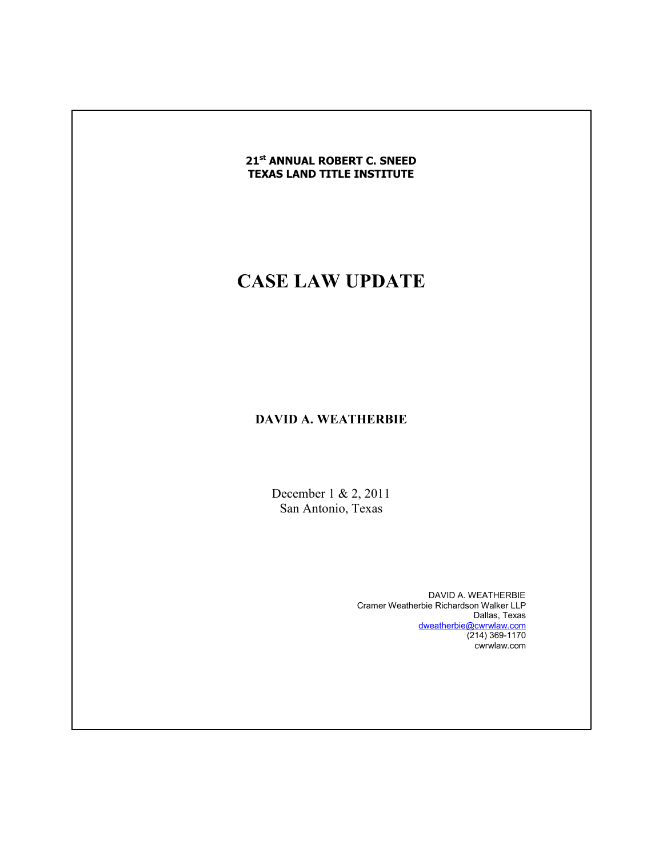#### **21st ANNUAL ROBERT C. SNEED TEXAS LAND TITLE INSTITUTE**

# **CASE LAW UPDATE**

## **DAVID A. WEATHERBIE**

December 1 & 2, 2011 San Antonio, Texas

> DAVID A. WEATHERBIE Cramer Weatherbie Richardson Walker LLP Dallas, Texas dweatherbie@cwrwlaw.com (214) 369-1170 cwrwlaw.com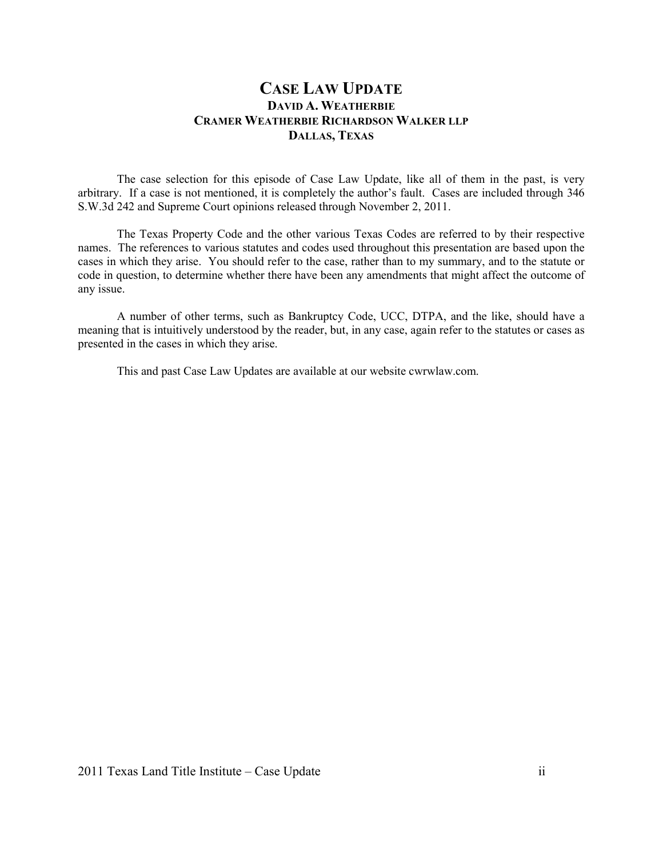### **CASE LAW UPDATE DAVID A. WEATHERBIE CRAMER WEATHERBIE RICHARDSO WALKER LLP DALLAS, TEXAS**

 The case selection for this episode of Case Law Update, like all of them in the past, is very arbitrary. If a case is not mentioned, it is completely the author's fault. Cases are included through 346 S.W.3d 242 and Supreme Court opinions released through November 2, 2011.

The Texas Property Code and the other various Texas Codes are referred to by their respective names. The references to various statutes and codes used throughout this presentation are based upon the cases in which they arise. You should refer to the case, rather than to my summary, and to the statute or code in question, to determine whether there have been any amendments that might affect the outcome of any issue.

 A number of other terms, such as Bankruptcy Code, UCC, DTPA, and the like, should have a meaning that is intuitively understood by the reader, but, in any case, again refer to the statutes or cases as presented in the cases in which they arise.

This and past Case Law Updates are available at our website cwrwlaw.com.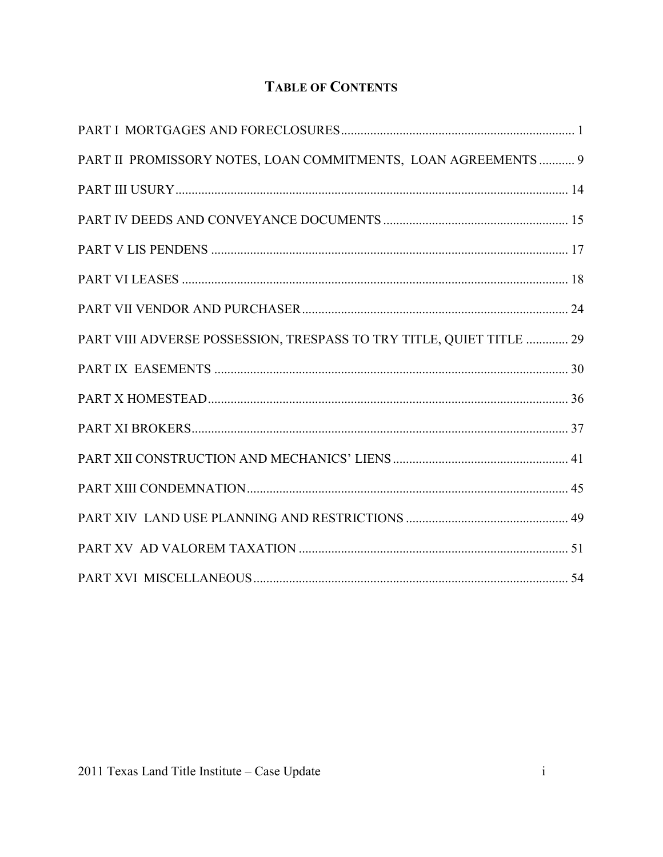## **TABLE OF CONTENTS**

| PART II PROMISSORY NOTES, LOAN COMMITMENTS, LOAN AGREEMENTS 9        |  |
|----------------------------------------------------------------------|--|
|                                                                      |  |
|                                                                      |  |
|                                                                      |  |
|                                                                      |  |
|                                                                      |  |
| PART VIII ADVERSE POSSESSION, TRESPASS TO TRY TITLE, QUIET TITLE  29 |  |
|                                                                      |  |
|                                                                      |  |
|                                                                      |  |
|                                                                      |  |
|                                                                      |  |
|                                                                      |  |
|                                                                      |  |
|                                                                      |  |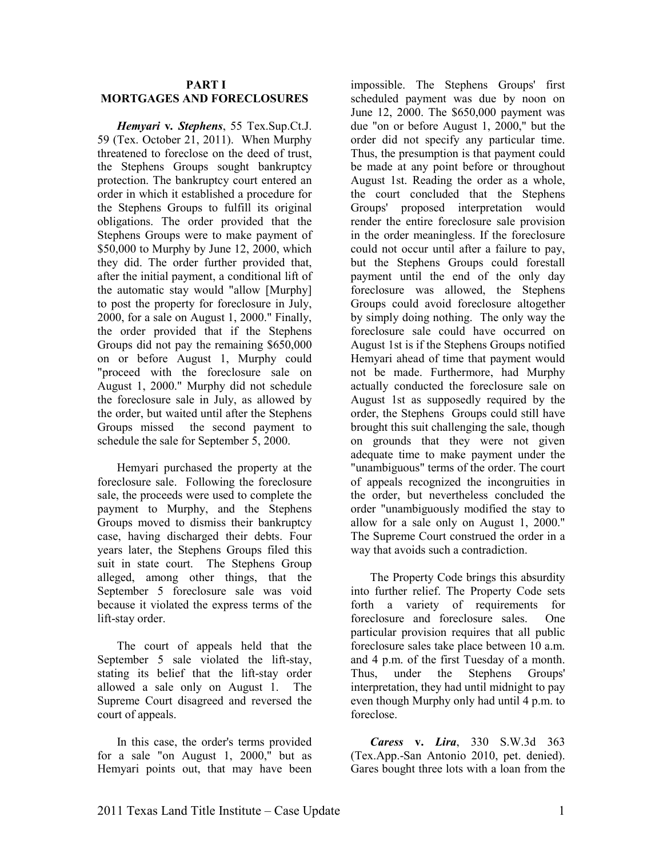#### **PART I MORTGAGES AND FORECLOSURES**

*Hemyari* **v***. Stephens*, 55 Tex.Sup.Ct.J. 59 (Tex. October 21, 2011). When Murphy threatened to foreclose on the deed of trust, the Stephens Groups sought bankruptcy protection. The bankruptcy court entered an order in which it established a procedure for the Stephens Groups to fulfill its original obligations. The order provided that the Stephens Groups were to make payment of \$50,000 to Murphy by June 12, 2000, which they did. The order further provided that, after the initial payment, a conditional lift of the automatic stay would "allow [Murphy] to post the property for foreclosure in July, 2000, for a sale on August 1, 2000." Finally, the order provided that if the Stephens Groups did not pay the remaining \$650,000 on or before August 1, Murphy could "proceed with the foreclosure sale on August 1, 2000." Murphy did not schedule the foreclosure sale in July, as allowed by the order, but waited until after the Stephens Groups missed the second payment to schedule the sale for September 5, 2000.

Hemyari purchased the property at the foreclosure sale. Following the foreclosure sale, the proceeds were used to complete the payment to Murphy, and the Stephens Groups moved to dismiss their bankruptcy case, having discharged their debts. Four years later, the Stephens Groups filed this suit in state court. The Stephens Group alleged, among other things, that the September 5 foreclosure sale was void because it violated the express terms of the lift-stay order.

The court of appeals held that the September 5 sale violated the lift-stay, stating its belief that the lift-stay order allowed a sale only on August 1. The Supreme Court disagreed and reversed the court of appeals.

In this case, the order's terms provided for a sale "on August 1, 2000," but as Hemyari points out, that may have been

impossible. The Stephens Groups' first scheduled payment was due by noon on June 12, 2000. The \$650,000 payment was due "on or before August 1, 2000," but the order did not specify any particular time. Thus, the presumption is that payment could be made at any point before or throughout August 1st. Reading the order as a whole, the court concluded that the Stephens Groups' proposed interpretation would render the entire foreclosure sale provision in the order meaningless. If the foreclosure could not occur until after a failure to pay, but the Stephens Groups could forestall payment until the end of the only day foreclosure was allowed, the Stephens Groups could avoid foreclosure altogether by simply doing nothing. The only way the foreclosure sale could have occurred on August 1st is if the Stephens Groups notified Hemyari ahead of time that payment would not be made. Furthermore, had Murphy actually conducted the foreclosure sale on August 1st as supposedly required by the order, the Stephens Groups could still have brought this suit challenging the sale, though on grounds that they were not given adequate time to make payment under the "unambiguous" terms of the order. The court of appeals recognized the incongruities in the order, but nevertheless concluded the order "unambiguously modified the stay to allow for a sale only on August 1, 2000." The Supreme Court construed the order in a way that avoids such a contradiction.

The Property Code brings this absurdity into further relief. The Property Code sets forth a variety of requirements for foreclosure and foreclosure sales. One particular provision requires that all public foreclosure sales take place between 10 a.m. and 4 p.m. of the first Tuesday of a month. Thus, under the Stephens Groups' interpretation, they had until midnight to pay even though Murphy only had until 4 p.m. to foreclose.

*Caress* **v.** *Lira*, 330 S.W.3d 363 (Tex.App.-San Antonio 2010, pet. denied). Gares bought three lots with a loan from the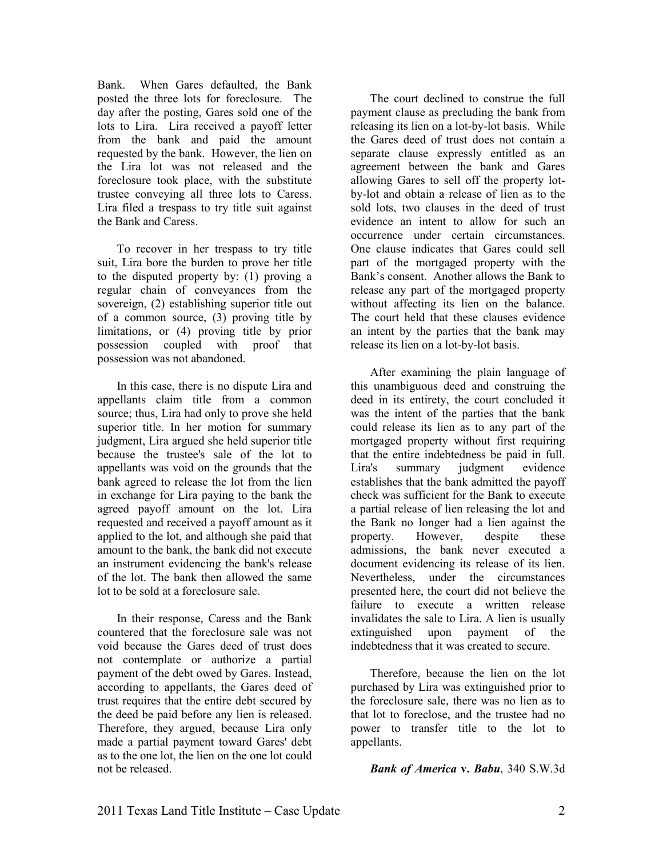Bank. When Gares defaulted, the Bank posted the three lots for foreclosure. The day after the posting, Gares sold one of the lots to Lira. Lira received a payoff letter from the bank and paid the amount requested by the bank. However, the lien on the Lira lot was not released and the foreclosure took place, with the substitute trustee conveying all three lots to Caress. Lira filed a trespass to try title suit against the Bank and Caress.

To recover in her trespass to try title suit, Lira bore the burden to prove her title to the disputed property by: (1) proving a regular chain of conveyances from the sovereign, (2) establishing superior title out of a common source, (3) proving title by limitations, or (4) proving title by prior possession coupled with proof that possession was not abandoned.

In this case, there is no dispute Lira and appellants claim title from a common source; thus, Lira had only to prove she held superior title. In her motion for summary judgment, Lira argued she held superior title because the trustee's sale of the lot to appellants was void on the grounds that the bank agreed to release the lot from the lien in exchange for Lira paying to the bank the agreed payoff amount on the lot. Lira requested and received a payoff amount as it applied to the lot, and although she paid that amount to the bank, the bank did not execute an instrument evidencing the bank's release of the lot. The bank then allowed the same lot to be sold at a foreclosure sale.

In their response, Caress and the Bank countered that the foreclosure sale was not void because the Gares deed of trust does not contemplate or authorize a partial payment of the debt owed by Gares. Instead, according to appellants, the Gares deed of trust requires that the entire debt secured by the deed be paid before any lien is released. Therefore, they argued, because Lira only made a partial payment toward Gares' debt as to the one lot, the lien on the one lot could not be released.

The court declined to construe the full payment clause as precluding the bank from releasing its lien on a lot-by-lot basis. While the Gares deed of trust does not contain a separate clause expressly entitled as an agreement between the bank and Gares allowing Gares to sell off the property lotby-lot and obtain a release of lien as to the sold lots, two clauses in the deed of trust evidence an intent to allow for such an occurrence under certain circumstances. One clause indicates that Gares could sell part of the mortgaged property with the Bank's consent. Another allows the Bank to release any part of the mortgaged property without affecting its lien on the balance. The court held that these clauses evidence an intent by the parties that the bank may release its lien on a lot-by-lot basis.

After examining the plain language of this unambiguous deed and construing the deed in its entirety, the court concluded it was the intent of the parties that the bank could release its lien as to any part of the mortgaged property without first requiring that the entire indebtedness be paid in full. Lira's summary judgment evidence establishes that the bank admitted the payoff check was sufficient for the Bank to execute a partial release of lien releasing the lot and the Bank no longer had a lien against the property. However, despite these admissions, the bank never executed a document evidencing its release of its lien. Nevertheless, under the circumstances presented here, the court did not believe the failure to execute a written release invalidates the sale to Lira. A lien is usually extinguished upon payment of the indebtedness that it was created to secure.

Therefore, because the lien on the lot purchased by Lira was extinguished prior to the foreclosure sale, there was no lien as to that lot to foreclose, and the trustee had no power to transfer title to the lot to appellants.

*Bank of America* **v.** *Babu*, 340 S.W.3d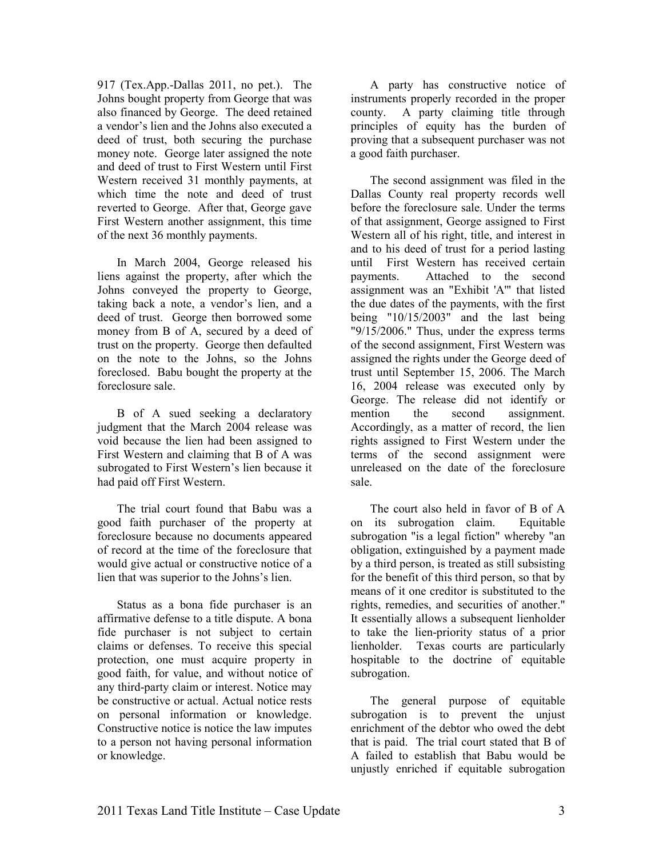917 (Tex.App.-Dallas 2011, no pet.). The Johns bought property from George that was also financed by George. The deed retained a vendor's lien and the Johns also executed a deed of trust, both securing the purchase money note. George later assigned the note and deed of trust to First Western until First Western received 31 monthly payments, at which time the note and deed of trust reverted to George. After that, George gave First Western another assignment, this time of the next 36 monthly payments.

In March 2004, George released his liens against the property, after which the Johns conveyed the property to George, taking back a note, a vendor's lien, and a deed of trust. George then borrowed some money from B of A, secured by a deed of trust on the property. George then defaulted on the note to the Johns, so the Johns foreclosed. Babu bought the property at the foreclosure sale.

B of A sued seeking a declaratory judgment that the March 2004 release was void because the lien had been assigned to First Western and claiming that B of A was subrogated to First Western's lien because it had paid off First Western.

The trial court found that Babu was a good faith purchaser of the property at foreclosure because no documents appeared of record at the time of the foreclosure that would give actual or constructive notice of a lien that was superior to the Johns's lien.

Status as a bona fide purchaser is an affirmative defense to a title dispute. A bona fide purchaser is not subject to certain claims or defenses. To receive this special protection, one must acquire property in good faith, for value, and without notice of any third-party claim or interest. Notice may be constructive or actual. Actual notice rests on personal information or knowledge. Constructive notice is notice the law imputes to a person not having personal information or knowledge.

A party has constructive notice of instruments properly recorded in the proper county. A party claiming title through principles of equity has the burden of proving that a subsequent purchaser was not a good faith purchaser.

The second assignment was filed in the Dallas County real property records well before the foreclosure sale. Under the terms of that assignment, George assigned to First Western all of his right, title, and interest in and to his deed of trust for a period lasting until First Western has received certain payments. Attached to the second assignment was an "Exhibit 'A'" that listed the due dates of the payments, with the first being "10/15/2003" and the last being "9/15/2006." Thus, under the express terms of the second assignment, First Western was assigned the rights under the George deed of trust until September 15, 2006. The March 16, 2004 release was executed only by George. The release did not identify or mention the second assignment. Accordingly, as a matter of record, the lien rights assigned to First Western under the terms of the second assignment were unreleased on the date of the foreclosure sale.

The court also held in favor of B of A on its subrogation claim. Equitable subrogation "is a legal fiction" whereby "an obligation, extinguished by a payment made by a third person, is treated as still subsisting for the benefit of this third person, so that by means of it one creditor is substituted to the rights, remedies, and securities of another." It essentially allows a subsequent lienholder to take the lien-priority status of a prior lienholder. Texas courts are particularly hospitable to the doctrine of equitable subrogation.

The general purpose of equitable subrogation is to prevent the unjust enrichment of the debtor who owed the debt that is paid. The trial court stated that B of A failed to establish that Babu would be unjustly enriched if equitable subrogation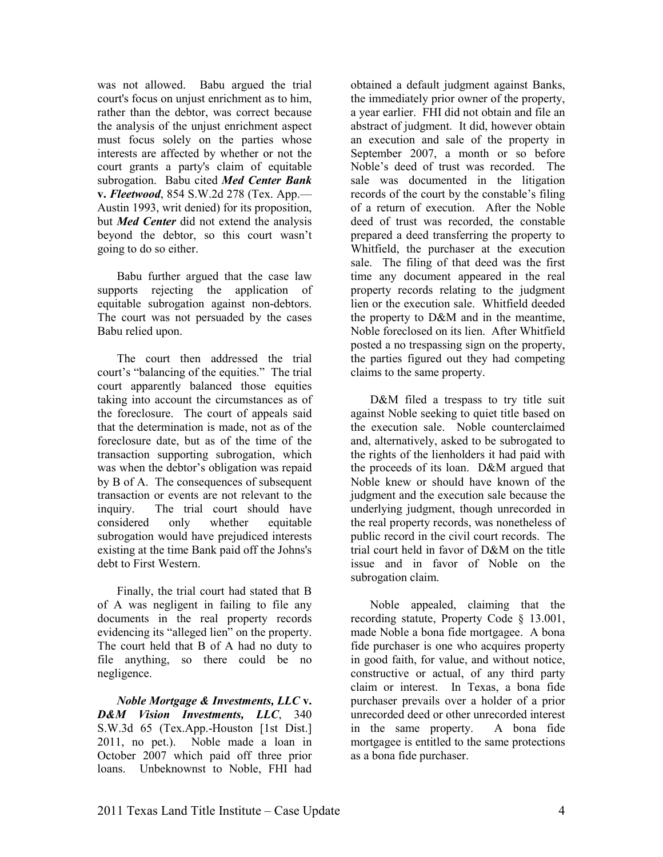was not allowed. Babu argued the trial court's focus on unjust enrichment as to him, rather than the debtor, was correct because the analysis of the unjust enrichment aspect must focus solely on the parties whose interests are affected by whether or not the court grants a party's claim of equitable subrogation. Babu cited *Med Center Bank*  **v.** *Fleetwood*, 854 S.W.2d 278 (Tex. App.— Austin 1993, writ denied) for its proposition, but *Med Center* did not extend the analysis beyond the debtor, so this court wasn't going to do so either.

Babu further argued that the case law supports rejecting the application of equitable subrogation against non-debtors. The court was not persuaded by the cases Babu relied upon.

The court then addressed the trial court's "balancing of the equities." The trial court apparently balanced those equities taking into account the circumstances as of the foreclosure. The court of appeals said that the determination is made, not as of the foreclosure date, but as of the time of the transaction supporting subrogation, which was when the debtor's obligation was repaid by B of A. The consequences of subsequent transaction or events are not relevant to the inquiry. The trial court should have considered only whether equitable subrogation would have prejudiced interests existing at the time Bank paid off the Johns's debt to First Western.

Finally, the trial court had stated that B of A was negligent in failing to file any documents in the real property records evidencing its "alleged lien" on the property. The court held that B of A had no duty to file anything, so there could be no negligence.

*Noble Mortgage & Investments, LLC v. D&M Vision Investments, LLC*, 340 S.W.3d 65 (Tex.App.-Houston [1st Dist.] 2011, no pet.). Noble made a loan in October 2007 which paid off three prior loans. Unbeknownst to Noble, FHI had

obtained a default judgment against Banks, the immediately prior owner of the property, a year earlier. FHI did not obtain and file an abstract of judgment. It did, however obtain an execution and sale of the property in September 2007, a month or so before Noble's deed of trust was recorded. The sale was documented in the litigation records of the court by the constable's filing of a return of execution. After the Noble deed of trust was recorded, the constable prepared a deed transferring the property to Whitfield, the purchaser at the execution sale. The filing of that deed was the first time any document appeared in the real property records relating to the judgment lien or the execution sale. Whitfield deeded the property to D&M and in the meantime, Noble foreclosed on its lien. After Whitfield posted a no trespassing sign on the property, the parties figured out they had competing claims to the same property.

D&M filed a trespass to try title suit against Noble seeking to quiet title based on the execution sale. Noble counterclaimed and, alternatively, asked to be subrogated to the rights of the lienholders it had paid with the proceeds of its loan. D&M argued that Noble knew or should have known of the judgment and the execution sale because the underlying judgment, though unrecorded in the real property records, was nonetheless of public record in the civil court records. The trial court held in favor of D&M on the title issue and in favor of Noble on the subrogation claim.

Noble appealed, claiming that the recording statute, Property Code § 13.001, made Noble a bona fide mortgagee. A bona fide purchaser is one who acquires property in good faith, for value, and without notice, constructive or actual, of any third party claim or interest. In Texas, a bona fide purchaser prevails over a holder of a prior unrecorded deed or other unrecorded interest in the same property. A bona fide mortgagee is entitled to the same protections as a bona fide purchaser.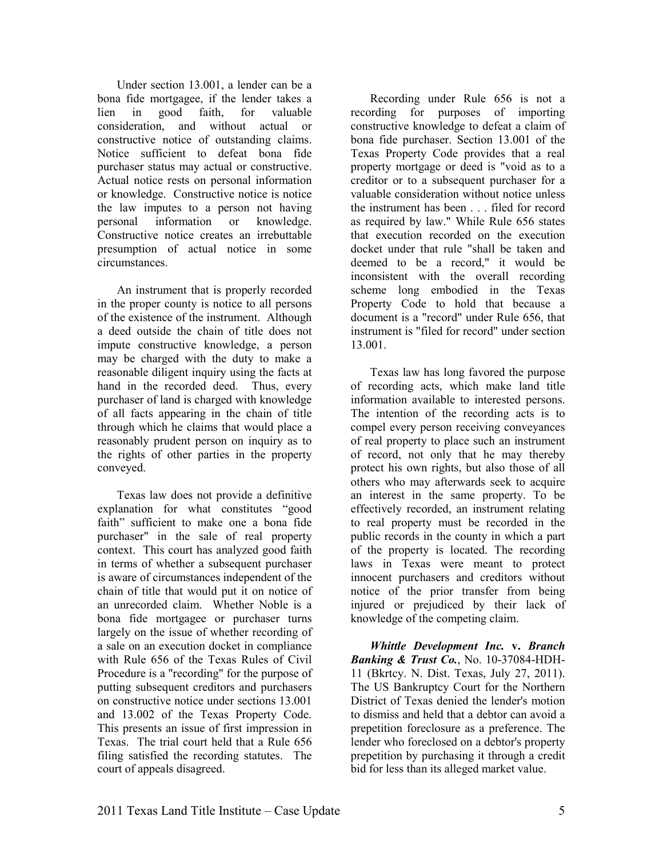Under section 13.001, a lender can be a bona fide mortgagee, if the lender takes a lien in good faith, for valuable consideration, and without actual or constructive notice of outstanding claims. Notice sufficient to defeat bona fide purchaser status may actual or constructive. Actual notice rests on personal information or knowledge. Constructive notice is notice the law imputes to a person not having personal information or knowledge. Constructive notice creates an irrebuttable presumption of actual notice in some circumstances.

An instrument that is properly recorded in the proper county is notice to all persons of the existence of the instrument. Although a deed outside the chain of title does not impute constructive knowledge, a person may be charged with the duty to make a reasonable diligent inquiry using the facts at hand in the recorded deed. Thus, every purchaser of land is charged with knowledge of all facts appearing in the chain of title through which he claims that would place a reasonably prudent person on inquiry as to the rights of other parties in the property conveyed.

Texas law does not provide a definitive explanation for what constitutes "good faith" sufficient to make one a bona fide purchaser" in the sale of real property context. This court has analyzed good faith in terms of whether a subsequent purchaser is aware of circumstances independent of the chain of title that would put it on notice of an unrecorded claim. Whether Noble is a bona fide mortgagee or purchaser turns largely on the issue of whether recording of a sale on an execution docket in compliance with Rule 656 of the Texas Rules of Civil Procedure is a "recording" for the purpose of putting subsequent creditors and purchasers on constructive notice under sections 13.001 and 13.002 of the Texas Property Code. This presents an issue of first impression in Texas. The trial court held that a Rule 656 filing satisfied the recording statutes. The court of appeals disagreed.

Recording under Rule 656 is not a recording for purposes of importing constructive knowledge to defeat a claim of bona fide purchaser. Section 13.001 of the Texas Property Code provides that a real property mortgage or deed is "void as to a creditor or to a subsequent purchaser for a valuable consideration without notice unless the instrument has been . . . filed for record as required by law." While Rule 656 states that execution recorded on the execution docket under that rule "shall be taken and deemed to be a record," it would be inconsistent with the overall recording scheme long embodied in the Texas Property Code to hold that because a document is a "record" under Rule 656, that instrument is "filed for record" under section 13.001.

Texas law has long favored the purpose of recording acts, which make land title information available to interested persons. The intention of the recording acts is to compel every person receiving conveyances of real property to place such an instrument of record, not only that he may thereby protect his own rights, but also those of all others who may afterwards seek to acquire an interest in the same property. To be effectively recorded, an instrument relating to real property must be recorded in the public records in the county in which a part of the property is located. The recording laws in Texas were meant to protect innocent purchasers and creditors without notice of the prior transfer from being injured or prejudiced by their lack of knowledge of the competing claim.

*Whittle Development Inc.* **v.** *Branch Banking & Trust Co.*, No. 10-37084-HDH-11 (Bkrtcy. N. Dist. Texas, July 27, 2011). The US Bankruptcy Court for the Northern District of Texas denied the lender's motion to dismiss and held that a debtor can avoid a prepetition foreclosure as a preference. The lender who foreclosed on a debtor's property prepetition by purchasing it through a credit bid for less than its alleged market value.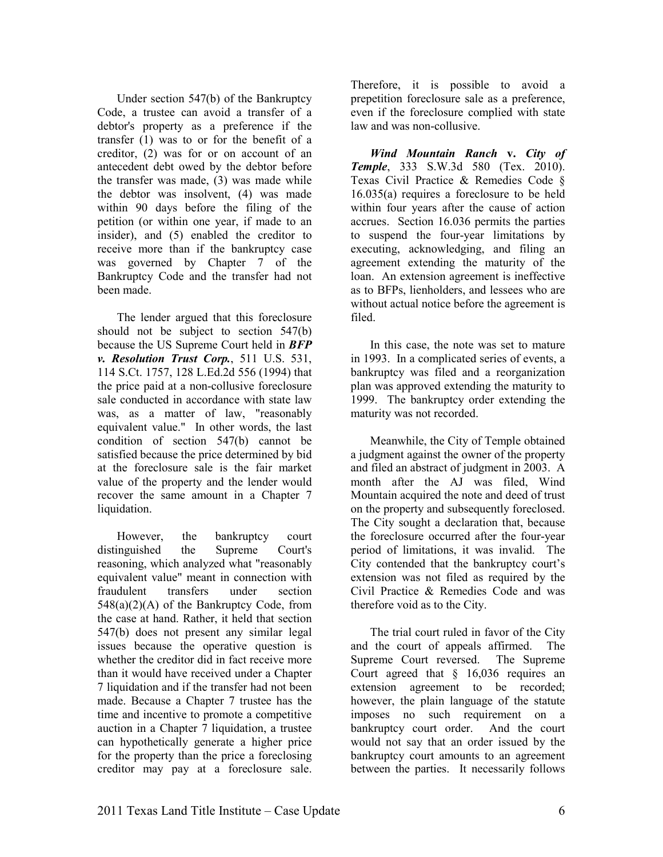Under section 547(b) of the Bankruptcy Code, a trustee can avoid a transfer of a debtor's property as a preference if the transfer (1) was to or for the benefit of a creditor, (2) was for or on account of an antecedent debt owed by the debtor before the transfer was made, (3) was made while the debtor was insolvent, (4) was made within 90 days before the filing of the petition (or within one year, if made to an insider), and (5) enabled the creditor to receive more than if the bankruptcy case was governed by Chapter 7 of the Bankruptcy Code and the transfer had not been made.

The lender argued that this foreclosure should not be subject to section 547(b) because the US Supreme Court held in *BFP v. Resolution Trust Corp.*, 511 U.S. 531, 114 S.Ct. 1757, 128 L.Ed.2d 556 (1994) that the price paid at a non-collusive foreclosure sale conducted in accordance with state law was, as a matter of law, "reasonably equivalent value." In other words, the last condition of section 547(b) cannot be satisfied because the price determined by bid at the foreclosure sale is the fair market value of the property and the lender would recover the same amount in a Chapter 7 liquidation.

However, the bankruptcy court distinguished the Supreme Court's reasoning, which analyzed what "reasonably equivalent value" meant in connection with fraudulent transfers under section  $548(a)(2)(A)$  of the Bankruptcy Code, from the case at hand. Rather, it held that section 547(b) does not present any similar legal issues because the operative question is whether the creditor did in fact receive more than it would have received under a Chapter 7 liquidation and if the transfer had not been made. Because a Chapter 7 trustee has the time and incentive to promote a competitive auction in a Chapter 7 liquidation, a trustee can hypothetically generate a higher price for the property than the price a foreclosing creditor may pay at a foreclosure sale.

Therefore, it is possible to avoid a prepetition foreclosure sale as a preference, even if the foreclosure complied with state law and was non-collusive.

*Wind Mountain Ranch* **v.** *City of*  **Temple**, 333 S.W.3d 580 (Tex. 2010). Texas Civil Practice & Remedies Code § 16.035(a) requires a foreclosure to be held within four years after the cause of action accrues. Section 16.036 permits the parties to suspend the four-year limitations by executing, acknowledging, and filing an agreement extending the maturity of the loan. An extension agreement is ineffective as to BFPs, lienholders, and lessees who are without actual notice before the agreement is filed.

In this case, the note was set to mature in 1993. In a complicated series of events, a bankruptcy was filed and a reorganization plan was approved extending the maturity to 1999. The bankruptcy order extending the maturity was not recorded.

Meanwhile, the City of Temple obtained a judgment against the owner of the property and filed an abstract of judgment in 2003. A month after the AJ was filed, Wind Mountain acquired the note and deed of trust on the property and subsequently foreclosed. The City sought a declaration that, because the foreclosure occurred after the four-year period of limitations, it was invalid. The City contended that the bankruptcy court's extension was not filed as required by the Civil Practice & Remedies Code and was therefore void as to the City.

The trial court ruled in favor of the City and the court of appeals affirmed. The Supreme Court reversed. The Supreme Court agreed that § 16,036 requires an extension agreement to be recorded; however, the plain language of the statute imposes no such requirement on a bankruptcy court order. And the court would not say that an order issued by the bankruptcy court amounts to an agreement between the parties. It necessarily follows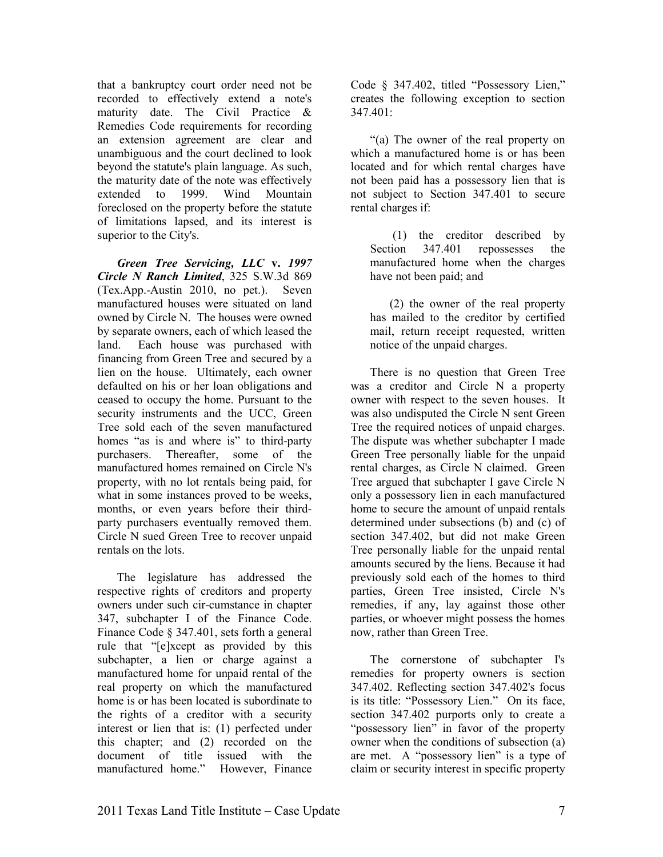that a bankruptcy court order need not be recorded to effectively extend a note's maturity date. The Civil Practice & Remedies Code requirements for recording an extension agreement are clear and unambiguous and the court declined to look beyond the statute's plain language. As such, the maturity date of the note was effectively extended to 1999. Wind Mountain foreclosed on the property before the statute of limitations lapsed, and its interest is superior to the City's.

*Green Tree Servicing, LLC* **v.** *1997 Circle Ranch Limited*, 325 S.W.3d 869 (Tex.App.-Austin 2010, no pet.). Seven manufactured houses were situated on land owned by Circle N. The houses were owned by separate owners, each of which leased the land. Each house was purchased with financing from Green Tree and secured by a lien on the house. Ultimately, each owner defaulted on his or her loan obligations and ceased to occupy the home. Pursuant to the security instruments and the UCC, Green Tree sold each of the seven manufactured homes "as is and where is" to third-party purchasers. Thereafter, some of the manufactured homes remained on Circle N's property, with no lot rentals being paid, for what in some instances proved to be weeks, months, or even years before their thirdparty purchasers eventually removed them. Circle N sued Green Tree to recover unpaid rentals on the lots.

The legislature has addressed the respective rights of creditors and property owners under such cir-cumstance in chapter 347, subchapter I of the Finance Code. Finance Code § 347.401, sets forth a general rule that "[e]xcept as provided by this subchapter, a lien or charge against a manufactured home for unpaid rental of the real property on which the manufactured home is or has been located is subordinate to the rights of a creditor with a security interest or lien that is: (1) perfected under this chapter; and (2) recorded on the document of title issued with the manufactured home." However, Finance

Code § 347.402, titled "Possessory Lien," creates the following exception to section  $347.401$ 

"(a) The owner of the real property on which a manufactured home is or has been located and for which rental charges have not been paid has a possessory lien that is not subject to Section 347.401 to secure rental charges if:

 (1) the creditor described by Section 347.401 repossesses the manufactured home when the charges have not been paid; and

(2) the owner of the real property has mailed to the creditor by certified mail, return receipt requested, written notice of the unpaid charges.

There is no question that Green Tree was a creditor and Circle N a property owner with respect to the seven houses. It was also undisputed the Circle N sent Green Tree the required notices of unpaid charges. The dispute was whether subchapter I made Green Tree personally liable for the unpaid rental charges, as Circle N claimed. Green Tree argued that subchapter I gave Circle N only a possessory lien in each manufactured home to secure the amount of unpaid rentals determined under subsections (b) and (c) of section 347.402, but did not make Green Tree personally liable for the unpaid rental amounts secured by the liens. Because it had previously sold each of the homes to third parties, Green Tree insisted, Circle N's remedies, if any, lay against those other parties, or whoever might possess the homes now, rather than Green Tree.

The cornerstone of subchapter I's remedies for property owners is section 347.402. Reflecting section 347.402's focus is its title: "Possessory Lien." On its face, section 347.402 purports only to create a "possessory lien" in favor of the property owner when the conditions of subsection (a) are met. A "possessory lien" is a type of claim or security interest in specific property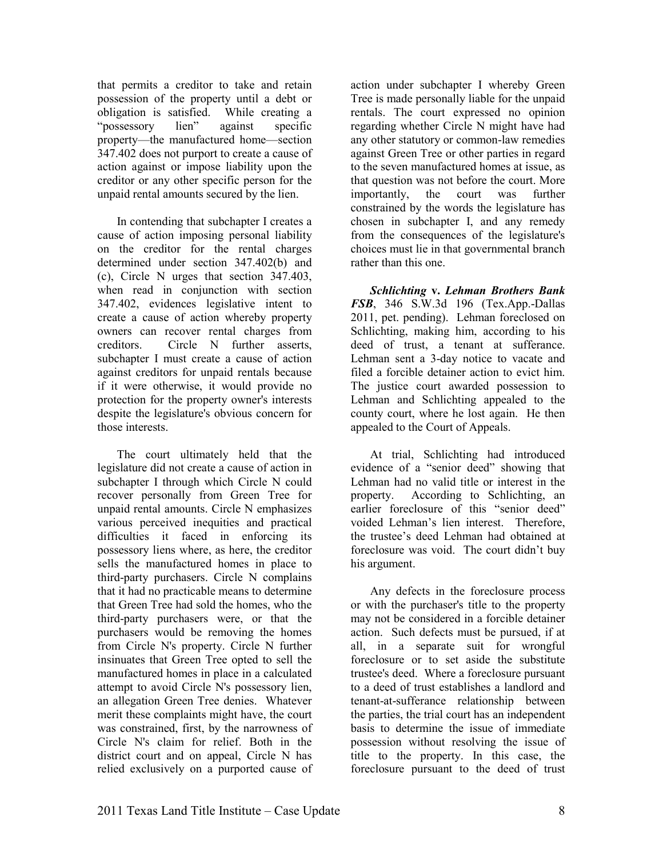that permits a creditor to take and retain possession of the property until a debt or obligation is satisfied. While creating a "possessory lien" against specific property—the manufactured home—section 347.402 does not purport to create a cause of action against or impose liability upon the creditor or any other specific person for the unpaid rental amounts secured by the lien.

In contending that subchapter I creates a cause of action imposing personal liability on the creditor for the rental charges determined under section 347.402(b) and (c), Circle N urges that section 347.403, when read in conjunction with section 347.402, evidences legislative intent to create a cause of action whereby property owners can recover rental charges from creditors. Circle N further asserts, subchapter I must create a cause of action against creditors for unpaid rentals because if it were otherwise, it would provide no protection for the property owner's interests despite the legislature's obvious concern for those interests.

The court ultimately held that the legislature did not create a cause of action in subchapter I through which Circle N could recover personally from Green Tree for unpaid rental amounts. Circle N emphasizes various perceived inequities and practical difficulties it faced in enforcing its possessory liens where, as here, the creditor sells the manufactured homes in place to third-party purchasers. Circle N complains that it had no practicable means to determine that Green Tree had sold the homes, who the third-party purchasers were, or that the purchasers would be removing the homes from Circle N's property. Circle N further insinuates that Green Tree opted to sell the manufactured homes in place in a calculated attempt to avoid Circle N's possessory lien, an allegation Green Tree denies. Whatever merit these complaints might have, the court was constrained, first, by the narrowness of Circle N's claim for relief. Both in the district court and on appeal, Circle N has relied exclusively on a purported cause of action under subchapter I whereby Green Tree is made personally liable for the unpaid rentals. The court expressed no opinion regarding whether Circle N might have had any other statutory or common-law remedies against Green Tree or other parties in regard to the seven manufactured homes at issue, as that question was not before the court. More importantly, the court was further constrained by the words the legislature has chosen in subchapter I, and any remedy from the consequences of the legislature's choices must lie in that governmental branch rather than this one.

*Schlichting* **v.** *Lehman Brothers Bank FSB*, 346 S.W.3d 196 (Tex.App.-Dallas 2011, pet. pending). Lehman foreclosed on Schlichting, making him, according to his deed of trust, a tenant at sufferance. Lehman sent a 3-day notice to vacate and filed a forcible detainer action to evict him. The justice court awarded possession to Lehman and Schlichting appealed to the county court, where he lost again. He then appealed to the Court of Appeals.

At trial, Schlichting had introduced evidence of a "senior deed" showing that Lehman had no valid title or interest in the property. According to Schlichting, an earlier foreclosure of this "senior deed" voided Lehman's lien interest. Therefore, the trustee's deed Lehman had obtained at foreclosure was void. The court didn't buy his argument.

Any defects in the foreclosure process or with the purchaser's title to the property may not be considered in a forcible detainer action. Such defects must be pursued, if at all, in a separate suit for wrongful foreclosure or to set aside the substitute trustee's deed. Where a foreclosure pursuant to a deed of trust establishes a landlord and tenant-at-sufferance relationship between the parties, the trial court has an independent basis to determine the issue of immediate possession without resolving the issue of title to the property. In this case, the foreclosure pursuant to the deed of trust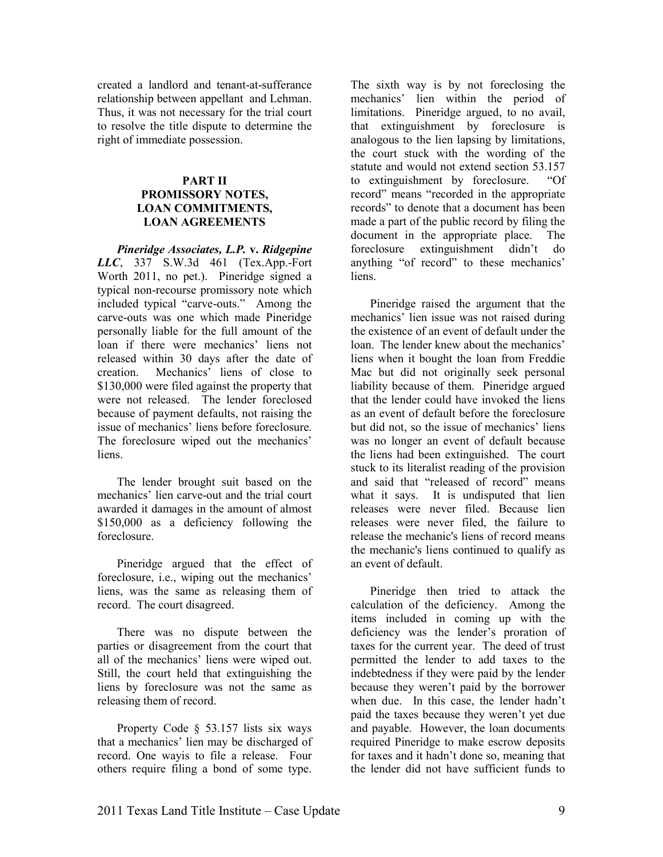created a landlord and tenant-at-sufferance relationship between appellant and Lehman. Thus, it was not necessary for the trial court to resolve the title dispute to determine the right of immediate possession.

#### **PART II PROMISSORY NOTES. LOAN COMMITMENTS. LOAN AGREEMENTS**

*Pineridge Associates, L.P.* **v.** *Ridgepine LLC*, 337 S.W.3d 461 (Tex.App.-Fort Worth 2011, no pet.). Pineridge signed a typical non-recourse promissory note which included typical "carve-outs." Among the carve-outs was one which made Pineridge personally liable for the full amount of the loan if there were mechanics' liens not released within 30 days after the date of creation. Mechanics' liens of close to \$130,000 were filed against the property that were not released. The lender foreclosed because of payment defaults, not raising the issue of mechanics' liens before foreclosure. The foreclosure wiped out the mechanics' liens.

The lender brought suit based on the mechanics' lien carve-out and the trial court awarded it damages in the amount of almost \$150,000 as a deficiency following the foreclosure.

Pineridge argued that the effect of foreclosure, i.e., wiping out the mechanics' liens, was the same as releasing them of record. The court disagreed.

There was no dispute between the parties or disagreement from the court that all of the mechanics' liens were wiped out. Still, the court held that extinguishing the liens by foreclosure was not the same as releasing them of record.

Property Code § 53.157 lists six ways that a mechanics' lien may be discharged of record. One wayis to file a release. Four others require filing a bond of some type.

The sixth way is by not foreclosing the mechanics' lien within the period of limitations. Pineridge argued, to no avail, that extinguishment by foreclosure is analogous to the lien lapsing by limitations, the court stuck with the wording of the statute and would not extend section 53.157 to extinguishment by foreclosure. "Of record" means "recorded in the appropriate records" to denote that a document has been made a part of the public record by filing the document in the appropriate place. The foreclosure extinguishment didn't do anything "of record" to these mechanics' **liens** 

Pineridge raised the argument that the mechanics' lien issue was not raised during the existence of an event of default under the loan. The lender knew about the mechanics' liens when it bought the loan from Freddie Mac but did not originally seek personal liability because of them. Pineridge argued that the lender could have invoked the liens as an event of default before the foreclosure but did not, so the issue of mechanics' liens was no longer an event of default because the liens had been extinguished. The court stuck to its literalist reading of the provision and said that "released of record" means what it says. It is undisputed that lien releases were never filed. Because lien releases were never filed, the failure to release the mechanic's liens of record means the mechanic's liens continued to qualify as an event of default.

Pineridge then tried to attack the calculation of the deficiency. Among the items included in coming up with the deficiency was the lender's proration of taxes for the current year. The deed of trust permitted the lender to add taxes to the indebtedness if they were paid by the lender because they weren't paid by the borrower when due. In this case, the lender hadn't paid the taxes because they weren't yet due and payable. However, the loan documents required Pineridge to make escrow deposits for taxes and it hadn't done so, meaning that the lender did not have sufficient funds to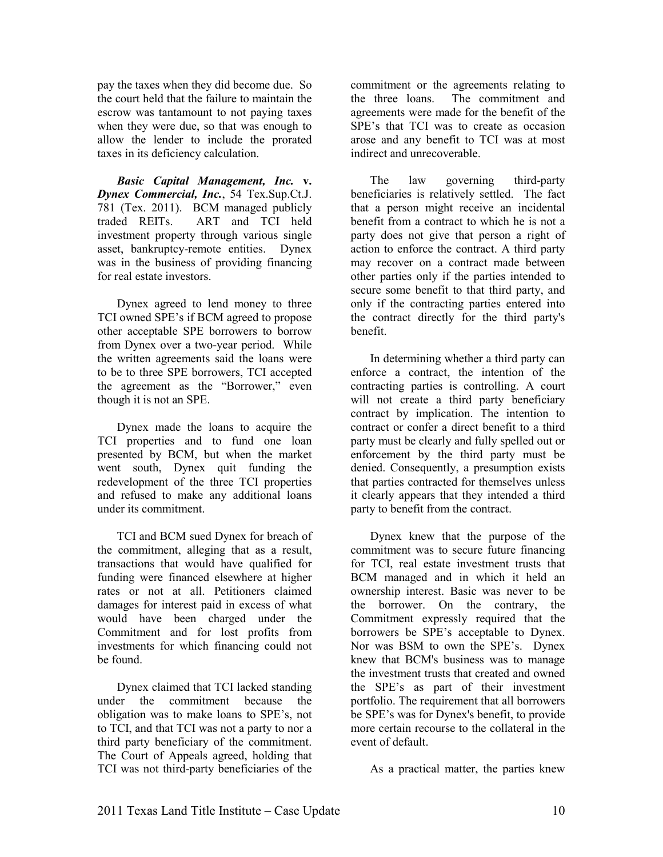pay the taxes when they did become due. So the court held that the failure to maintain the escrow was tantamount to not paying taxes when they were due, so that was enough to allow the lender to include the prorated taxes in its deficiency calculation.

*Basic Capital Management, Inc.* **v.** *Dynex Commercial, Inc.*, 54 Tex.Sup.Ct.J. 781 (Tex. 2011). BCM managed publicly traded REITs. ART and TCI held investment property through various single asset, bankruptcy-remote entities. Dynex was in the business of providing financing for real estate investors.

Dynex agreed to lend money to three TCI owned SPE's if BCM agreed to propose other acceptable SPE borrowers to borrow from Dynex over a two-year period. While the written agreements said the loans were to be to three SPE borrowers, TCI accepted the agreement as the "Borrower," even though it is not an SPE.

Dynex made the loans to acquire the TCI properties and to fund one loan presented by BCM, but when the market went south, Dynex quit funding the redevelopment of the three TCI properties and refused to make any additional loans under its commitment.

TCI and BCM sued Dynex for breach of the commitment, alleging that as a result, transactions that would have qualified for funding were financed elsewhere at higher rates or not at all. Petitioners claimed damages for interest paid in excess of what would have been charged under the Commitment and for lost profits from investments for which financing could not be found.

Dynex claimed that TCI lacked standing under the commitment because the obligation was to make loans to SPE's, not to TCI, and that TCI was not a party to nor a third party beneficiary of the commitment. The Court of Appeals agreed, holding that TCI was not third-party beneficiaries of the

commitment or the agreements relating to the three loans. The commitment and agreements were made for the benefit of the SPE's that TCI was to create as occasion arose and any benefit to TCI was at most indirect and unrecoverable.

The law governing third-party beneficiaries is relatively settled. The fact that a person might receive an incidental benefit from a contract to which he is not a party does not give that person a right of action to enforce the contract. A third party may recover on a contract made between other parties only if the parties intended to secure some benefit to that third party, and only if the contracting parties entered into the contract directly for the third party's benefit.

In determining whether a third party can enforce a contract, the intention of the contracting parties is controlling. A court will not create a third party beneficiary contract by implication. The intention to contract or confer a direct benefit to a third party must be clearly and fully spelled out or enforcement by the third party must be denied. Consequently, a presumption exists that parties contracted for themselves unless it clearly appears that they intended a third party to benefit from the contract.

Dynex knew that the purpose of the commitment was to secure future financing for TCI, real estate investment trusts that BCM managed and in which it held an ownership interest. Basic was never to be the borrower. On the contrary, the Commitment expressly required that the borrowers be SPE's acceptable to Dynex. Nor was BSM to own the SPE's. Dynex knew that BCM's business was to manage the investment trusts that created and owned the SPE's as part of their investment portfolio. The requirement that all borrowers be SPE's was for Dynex's benefit, to provide more certain recourse to the collateral in the event of default.

As a practical matter, the parties knew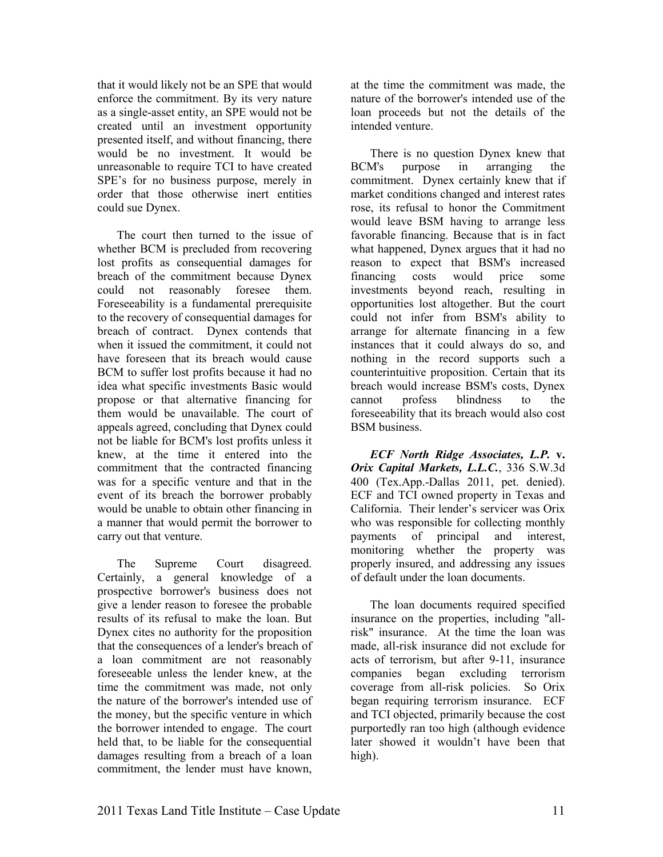that it would likely not be an SPE that would enforce the commitment. By its very nature as a single-asset entity, an SPE would not be created until an investment opportunity presented itself, and without financing, there would be no investment. It would be unreasonable to require TCI to have created SPE's for no business purpose, merely in order that those otherwise inert entities could sue Dynex.

The court then turned to the issue of whether BCM is precluded from recovering lost profits as consequential damages for breach of the commitment because Dynex could not reasonably foresee them. Foreseeability is a fundamental prerequisite to the recovery of consequential damages for breach of contract. Dynex contends that when it issued the commitment, it could not have foreseen that its breach would cause BCM to suffer lost profits because it had no idea what specific investments Basic would propose or that alternative financing for them would be unavailable. The court of appeals agreed, concluding that Dynex could not be liable for BCM's lost profits unless it knew, at the time it entered into the commitment that the contracted financing was for a specific venture and that in the event of its breach the borrower probably would be unable to obtain other financing in a manner that would permit the borrower to carry out that venture.

The Supreme Court disagreed. Certainly, a general knowledge of a prospective borrower's business does not give a lender reason to foresee the probable results of its refusal to make the loan. But Dynex cites no authority for the proposition that the consequences of a lender's breach of a loan commitment are not reasonably foreseeable unless the lender knew, at the time the commitment was made, not only the nature of the borrower's intended use of the money, but the specific venture in which the borrower intended to engage. The court held that, to be liable for the consequential damages resulting from a breach of a loan commitment, the lender must have known,

at the time the commitment was made, the nature of the borrower's intended use of the loan proceeds but not the details of the intended venture.

There is no question Dynex knew that BCM's purpose in arranging the commitment. Dynex certainly knew that if market conditions changed and interest rates rose, its refusal to honor the Commitment would leave BSM having to arrange less favorable financing. Because that is in fact what happened, Dynex argues that it had no reason to expect that BSM's increased financing costs would price some investments beyond reach, resulting in opportunities lost altogether. But the court could not infer from BSM's ability to arrange for alternate financing in a few instances that it could always do so, and nothing in the record supports such a counterintuitive proposition. Certain that its breach would increase BSM's costs, Dynex cannot profess blindness to the foreseeability that its breach would also cost BSM business.

*ECF North Ridge Associates, L.P. v. Orix Capital Markets, L.L.C.*, 336 S.W.3d 400 (Tex.App.-Dallas 2011, pet. denied). ECF and TCI owned property in Texas and California. Their lender's servicer was Orix who was responsible for collecting monthly payments of principal and interest, monitoring whether the property was properly insured, and addressing any issues of default under the loan documents.

The loan documents required specified insurance on the properties, including "allrisk" insurance. At the time the loan was made, all-risk insurance did not exclude for acts of terrorism, but after 9-11, insurance companies began excluding terrorism coverage from all-risk policies. So Orix began requiring terrorism insurance. ECF and TCI objected, primarily because the cost purportedly ran too high (although evidence later showed it wouldn't have been that high).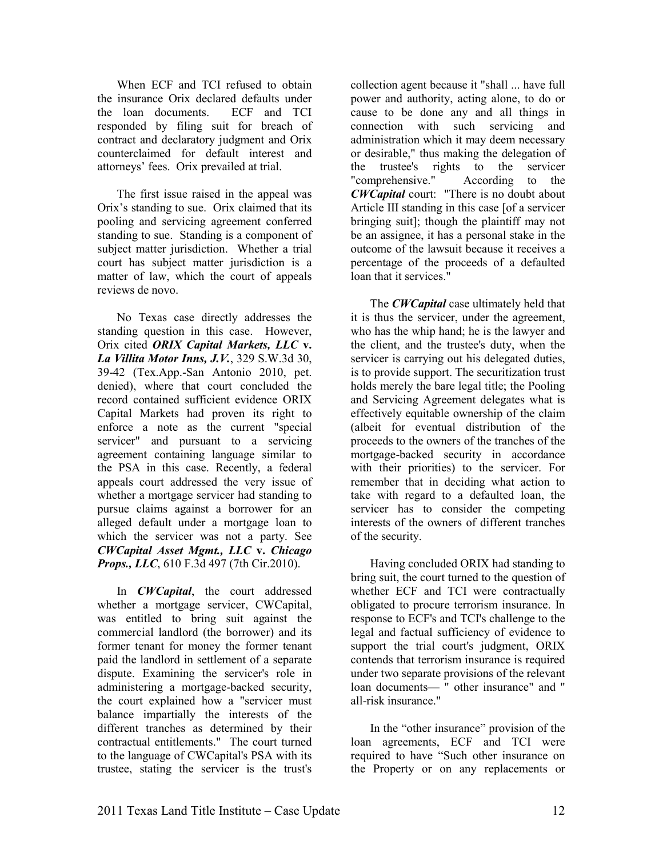When ECF and TCI refused to obtain the insurance Orix declared defaults under the loan documents. ECF and TCI responded by filing suit for breach of contract and declaratory judgment and Orix counterclaimed for default interest and attorneys' fees. Orix prevailed at trial.

The first issue raised in the appeal was Orix's standing to sue. Orix claimed that its pooling and servicing agreement conferred standing to sue. Standing is a component of subject matter jurisdiction. Whether a trial court has subject matter jurisdiction is a matter of law, which the court of appeals reviews de novo.

No Texas case directly addresses the standing question in this case. However, Orix cited *ORIX Capital Markets, LLC* **v.**  *La Villita Motor Inns, J.V.*, 329 S.W.3d 30, 39-42 (Tex.App.-San Antonio 2010, pet. denied), where that court concluded the record contained sufficient evidence ORIX Capital Markets had proven its right to enforce a note as the current "special servicer" and pursuant to a servicing agreement containing language similar to the PSA in this case. Recently, a federal appeals court addressed the very issue of whether a mortgage servicer had standing to pursue claims against a borrower for an alleged default under a mortgage loan to which the servicer was not a party. See *CWCapital Asset Mgmt., LLC* **v.** *Chicago Props., LLC*, 610 F.3d 497 (7th Cir.2010).

In *CWCapital*, the court addressed whether a mortgage servicer, CWCapital, was entitled to bring suit against the commercial landlord (the borrower) and its former tenant for money the former tenant paid the landlord in settlement of a separate dispute. Examining the servicer's role in administering a mortgage-backed security, the court explained how a "servicer must balance impartially the interests of the different tranches as determined by their contractual entitlements." The court turned to the language of CWCapital's PSA with its trustee, stating the servicer is the trust's

collection agent because it "shall ... have full power and authority, acting alone, to do or cause to be done any and all things in connection with such servicing and administration which it may deem necessary or desirable," thus making the delegation of the trustee's rights to the servicer "comprehensive." According to the *CWCapital* court: "There is no doubt about Article III standing in this case [of a servicer bringing suit]; though the plaintiff may not be an assignee, it has a personal stake in the outcome of the lawsuit because it receives a percentage of the proceeds of a defaulted loan that it services."

The *CWCapital* case ultimately held that it is thus the servicer, under the agreement, who has the whip hand; he is the lawyer and the client, and the trustee's duty, when the servicer is carrying out his delegated duties, is to provide support. The securitization trust holds merely the bare legal title; the Pooling and Servicing Agreement delegates what is effectively equitable ownership of the claim (albeit for eventual distribution of the proceeds to the owners of the tranches of the mortgage-backed security in accordance with their priorities) to the servicer. For remember that in deciding what action to take with regard to a defaulted loan, the servicer has to consider the competing interests of the owners of different tranches of the security.

Having concluded ORIX had standing to bring suit, the court turned to the question of whether ECF and TCI were contractually obligated to procure terrorism insurance. In response to ECF's and TCI's challenge to the legal and factual sufficiency of evidence to support the trial court's judgment, ORIX contends that terrorism insurance is required under two separate provisions of the relevant loan documents— " other insurance" and " all-risk insurance."

In the "other insurance" provision of the loan agreements, ECF and TCI were required to have "Such other insurance on the Property or on any replacements or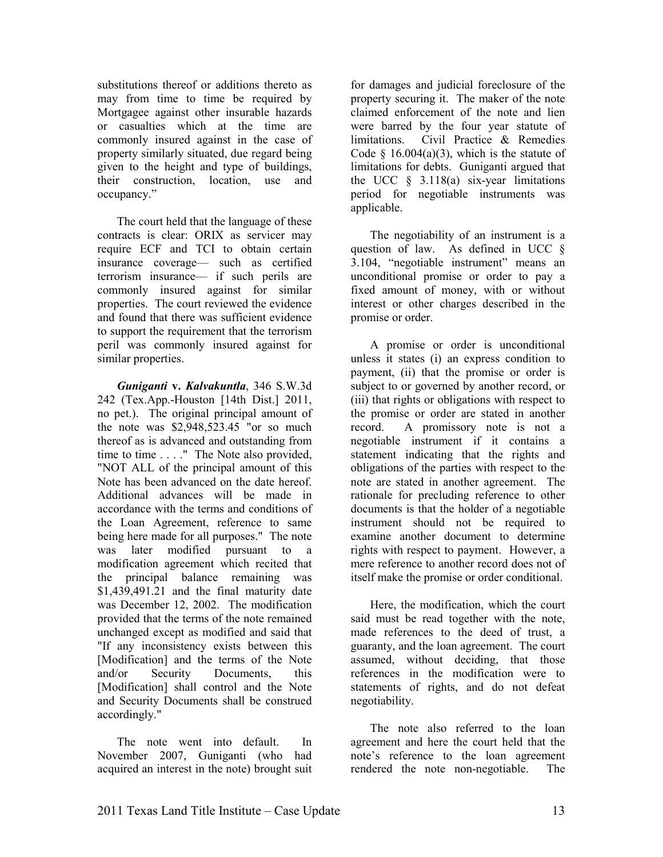substitutions thereof or additions thereto as may from time to time be required by Mortgagee against other insurable hazards or casualties which at the time are commonly insured against in the case of property similarly situated, due regard being given to the height and type of buildings, their construction, location, use and occupancy."

The court held that the language of these contracts is clear: ORIX as servicer may require ECF and TCI to obtain certain insurance coverage— such as certified terrorism insurance— if such perils are commonly insured against for similar properties. The court reviewed the evidence and found that there was sufficient evidence to support the requirement that the terrorism peril was commonly insured against for similar properties.

*Guniganti* **v.** *Kalvakuntla*, 346 S.W.3d 242 (Tex.App.-Houston [14th Dist.] 2011, no pet.). The original principal amount of the note was \$2,948,523.45 "or so much thereof as is advanced and outstanding from time to time . . . ." The Note also provided, "NOT ALL of the principal amount of this Note has been advanced on the date hereof. Additional advances will be made in accordance with the terms and conditions of the Loan Agreement, reference to same being here made for all purposes." The note was later modified pursuant to a modification agreement which recited that the principal balance remaining was \$1,439,491.21 and the final maturity date was December 12, 2002. The modification provided that the terms of the note remained unchanged except as modified and said that "If any inconsistency exists between this [Modification] and the terms of the Note and/or Security Documents, this [Modification] shall control and the Note and Security Documents shall be construed accordingly."

The note went into default. In November 2007, Guniganti (who had acquired an interest in the note) brought suit

for damages and judicial foreclosure of the property securing it. The maker of the note claimed enforcement of the note and lien were barred by the four year statute of limitations. Civil Practice & Remedies Code  $§$  16.004(a)(3), which is the statute of limitations for debts. Guniganti argued that the UCC  $\S$  3.118(a) six-year limitations period for negotiable instruments was applicable.

The negotiability of an instrument is a question of law. As defined in UCC § 3.104, "negotiable instrument" means an unconditional promise or order to pay a fixed amount of money, with or without interest or other charges described in the promise or order.

A promise or order is unconditional unless it states (i) an express condition to payment, (ii) that the promise or order is subject to or governed by another record, or (iii) that rights or obligations with respect to the promise or order are stated in another record. A promissory note is not a negotiable instrument if it contains a statement indicating that the rights and obligations of the parties with respect to the note are stated in another agreement. The rationale for precluding reference to other documents is that the holder of a negotiable instrument should not be required to examine another document to determine rights with respect to payment. However, a mere reference to another record does not of itself make the promise or order conditional.

Here, the modification, which the court said must be read together with the note, made references to the deed of trust, a guaranty, and the loan agreement. The court assumed, without deciding, that those references in the modification were to statements of rights, and do not defeat negotiability.

The note also referred to the loan agreement and here the court held that the note's reference to the loan agreement rendered the note non-negotiable. The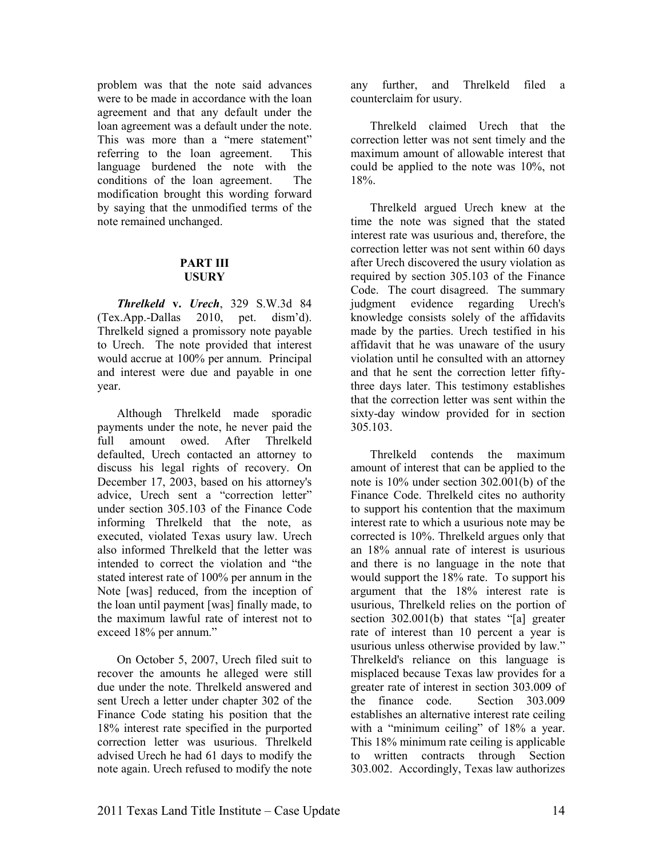problem was that the note said advances were to be made in accordance with the loan agreement and that any default under the loan agreement was a default under the note. This was more than a "mere statement" referring to the loan agreement. This language burdened the note with the conditions of the loan agreement. The modification brought this wording forward by saying that the unmodified terms of the note remained unchanged.

#### **PART III USURY**

*Threlkeld* **v.** *Urech*, 329 S.W.3d 84 (Tex.App.-Dallas 2010, pet. dism'd). Threlkeld signed a promissory note payable to Urech. The note provided that interest would accrue at 100% per annum. Principal and interest were due and payable in one year.

Although Threlkeld made sporadic payments under the note, he never paid the full amount owed. After Threlkeld defaulted, Urech contacted an attorney to discuss his legal rights of recovery. On December 17, 2003, based on his attorney's advice, Urech sent a "correction letter" under section 305.103 of the Finance Code informing Threlkeld that the note, as executed, violated Texas usury law. Urech also informed Threlkeld that the letter was intended to correct the violation and "the stated interest rate of 100% per annum in the Note [was] reduced, from the inception of the loan until payment [was] finally made, to the maximum lawful rate of interest not to exceed 18% per annum."

On October 5, 2007, Urech filed suit to recover the amounts he alleged were still due under the note. Threlkeld answered and sent Urech a letter under chapter 302 of the Finance Code stating his position that the 18% interest rate specified in the purported correction letter was usurious. Threlkeld advised Urech he had 61 days to modify the note again. Urech refused to modify the note

any further, and Threlkeld filed a counterclaim for usury.

Threlkeld claimed Urech that the correction letter was not sent timely and the maximum amount of allowable interest that could be applied to the note was 10%, not 18%.

Threlkeld argued Urech knew at the time the note was signed that the stated interest rate was usurious and, therefore, the correction letter was not sent within 60 days after Urech discovered the usury violation as required by section 305.103 of the Finance Code. The court disagreed. The summary judgment evidence regarding Urech's knowledge consists solely of the affidavits made by the parties. Urech testified in his affidavit that he was unaware of the usury violation until he consulted with an attorney and that he sent the correction letter fiftythree days later. This testimony establishes that the correction letter was sent within the sixty-day window provided for in section 305.103.

Threlkeld contends the maximum amount of interest that can be applied to the note is 10% under section 302.001(b) of the Finance Code. Threlkeld cites no authority to support his contention that the maximum interest rate to which a usurious note may be corrected is 10%. Threlkeld argues only that an 18% annual rate of interest is usurious and there is no language in the note that would support the 18% rate. To support his argument that the 18% interest rate is usurious, Threlkeld relies on the portion of section 302.001(b) that states "[a] greater rate of interest than 10 percent a year is usurious unless otherwise provided by law." Threlkeld's reliance on this language is misplaced because Texas law provides for a greater rate of interest in section 303.009 of the finance code. Section 303.009 establishes an alternative interest rate ceiling with a "minimum ceiling" of 18% a year. This 18% minimum rate ceiling is applicable to written contracts through Section 303.002. Accordingly, Texas law authorizes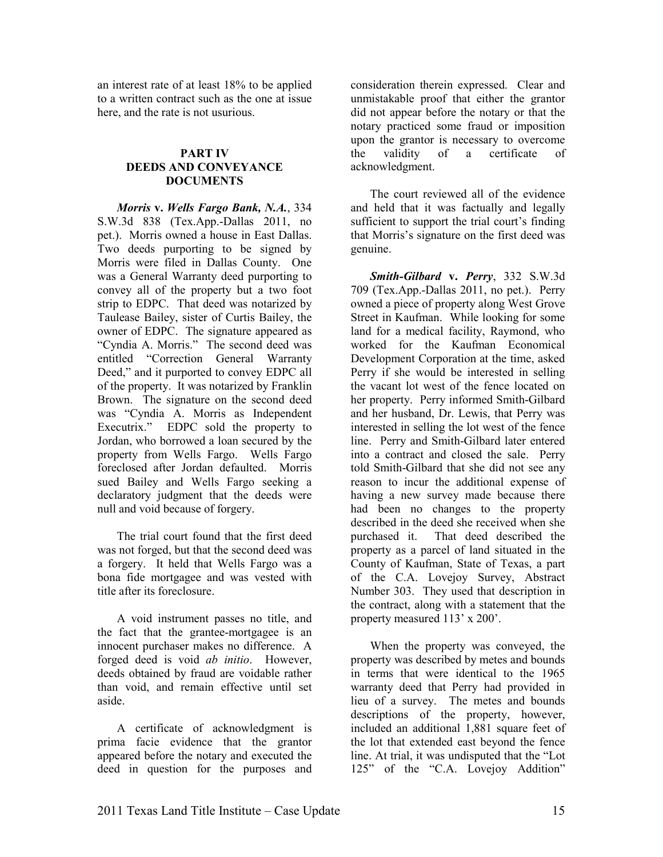an interest rate of at least 18% to be applied to a written contract such as the one at issue here, and the rate is not usurious.

#### **PART IV DEEDS AND CONVEYANCE DOCUMETS**

*Morris v. Wells Fargo Bank, N.A., 334* S.W.3d 838 (Tex.App.-Dallas 2011, no pet.). Morris owned a house in East Dallas. Two deeds purporting to be signed by Morris were filed in Dallas County. One was a General Warranty deed purporting to convey all of the property but a two foot strip to EDPC. That deed was notarized by Taulease Bailey, sister of Curtis Bailey, the owner of EDPC. The signature appeared as "Cyndia A. Morris." The second deed was entitled "Correction General Warranty Deed," and it purported to convey EDPC all of the property. It was notarized by Franklin Brown. The signature on the second deed was "Cyndia A. Morris as Independent Executrix." EDPC sold the property to Jordan, who borrowed a loan secured by the property from Wells Fargo. Wells Fargo foreclosed after Jordan defaulted. Morris sued Bailey and Wells Fargo seeking a declaratory judgment that the deeds were null and void because of forgery.

The trial court found that the first deed was not forged, but that the second deed was a forgery. It held that Wells Fargo was a bona fide mortgagee and was vested with title after its foreclosure.

A void instrument passes no title, and the fact that the grantee-mortgagee is an innocent purchaser makes no difference. A forged deed is void *ab initio*. However, deeds obtained by fraud are voidable rather than void, and remain effective until set aside.

A certificate of acknowledgment is prima facie evidence that the grantor appeared before the notary and executed the deed in question for the purposes and consideration therein expressed. Clear and unmistakable proof that either the grantor did not appear before the notary or that the notary practiced some fraud or imposition upon the grantor is necessary to overcome the validity of a certificate of acknowledgment.

The court reviewed all of the evidence and held that it was factually and legally sufficient to support the trial court's finding that Morris's signature on the first deed was genuine.

*Smith-Gilbard* **v.** *Perry*, 332 S.W.3d 709 (Tex.App.-Dallas 2011, no pet.). Perry owned a piece of property along West Grove Street in Kaufman. While looking for some land for a medical facility, Raymond, who worked for the Kaufman Economical Development Corporation at the time, asked Perry if she would be interested in selling the vacant lot west of the fence located on her property. Perry informed Smith-Gilbard and her husband, Dr. Lewis, that Perry was interested in selling the lot west of the fence line. Perry and Smith-Gilbard later entered into a contract and closed the sale. Perry told Smith-Gilbard that she did not see any reason to incur the additional expense of having a new survey made because there had been no changes to the property described in the deed she received when she purchased it. That deed described the property as a parcel of land situated in the County of Kaufman, State of Texas, a part of the C.A. Lovejoy Survey, Abstract Number 303. They used that description in the contract, along with a statement that the property measured 113' x 200'.

When the property was conveyed, the property was described by metes and bounds in terms that were identical to the 1965 warranty deed that Perry had provided in lieu of a survey. The metes and bounds descriptions of the property, however, included an additional 1,881 square feet of the lot that extended east beyond the fence line. At trial, it was undisputed that the "Lot 125" of the "C.A. Lovejoy Addition"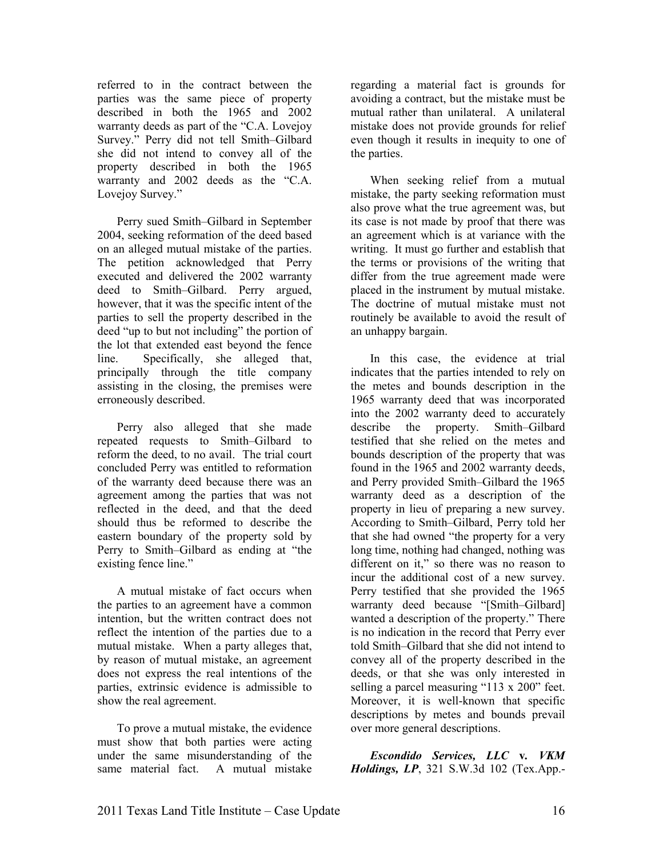referred to in the contract between the parties was the same piece of property described in both the 1965 and 2002 warranty deeds as part of the "C.A. Lovejoy Survey." Perry did not tell Smith–Gilbard she did not intend to convey all of the property described in both the 1965 warranty and 2002 deeds as the "C.A. Lovejoy Survey."

Perry sued Smith–Gilbard in September 2004, seeking reformation of the deed based on an alleged mutual mistake of the parties. The petition acknowledged that Perry executed and delivered the 2002 warranty deed to Smith–Gilbard. Perry argued, however, that it was the specific intent of the parties to sell the property described in the deed "up to but not including" the portion of the lot that extended east beyond the fence line. Specifically, she alleged that, principally through the title company assisting in the closing, the premises were erroneously described.

Perry also alleged that she made repeated requests to Smith–Gilbard to reform the deed, to no avail. The trial court concluded Perry was entitled to reformation of the warranty deed because there was an agreement among the parties that was not reflected in the deed, and that the deed should thus be reformed to describe the eastern boundary of the property sold by Perry to Smith–Gilbard as ending at "the existing fence line."

A mutual mistake of fact occurs when the parties to an agreement have a common intention, but the written contract does not reflect the intention of the parties due to a mutual mistake. When a party alleges that, by reason of mutual mistake, an agreement does not express the real intentions of the parties, extrinsic evidence is admissible to show the real agreement.

To prove a mutual mistake, the evidence must show that both parties were acting under the same misunderstanding of the same material fact. A mutual mistake

regarding a material fact is grounds for avoiding a contract, but the mistake must be mutual rather than unilateral. A unilateral mistake does not provide grounds for relief even though it results in inequity to one of the parties.

When seeking relief from a mutual mistake, the party seeking reformation must also prove what the true agreement was, but its case is not made by proof that there was an agreement which is at variance with the writing. It must go further and establish that the terms or provisions of the writing that differ from the true agreement made were placed in the instrument by mutual mistake. The doctrine of mutual mistake must not routinely be available to avoid the result of an unhappy bargain.

In this case, the evidence at trial indicates that the parties intended to rely on the metes and bounds description in the 1965 warranty deed that was incorporated into the 2002 warranty deed to accurately describe the property. Smith–Gilbard testified that she relied on the metes and bounds description of the property that was found in the 1965 and 2002 warranty deeds, and Perry provided Smith–Gilbard the 1965 warranty deed as a description of the property in lieu of preparing a new survey. According to Smith–Gilbard, Perry told her that she had owned "the property for a very long time, nothing had changed, nothing was different on it," so there was no reason to incur the additional cost of a new survey. Perry testified that she provided the 1965 warranty deed because "[Smith–Gilbard] wanted a description of the property." There is no indication in the record that Perry ever told Smith–Gilbard that she did not intend to convey all of the property described in the deeds, or that she was only interested in selling a parcel measuring "113 x 200" feet. Moreover, it is well-known that specific descriptions by metes and bounds prevail over more general descriptions.

*Escondido Services, LLC* **v***. VKM Holdings, LP*, 321 S.W.3d 102 (Tex.App.-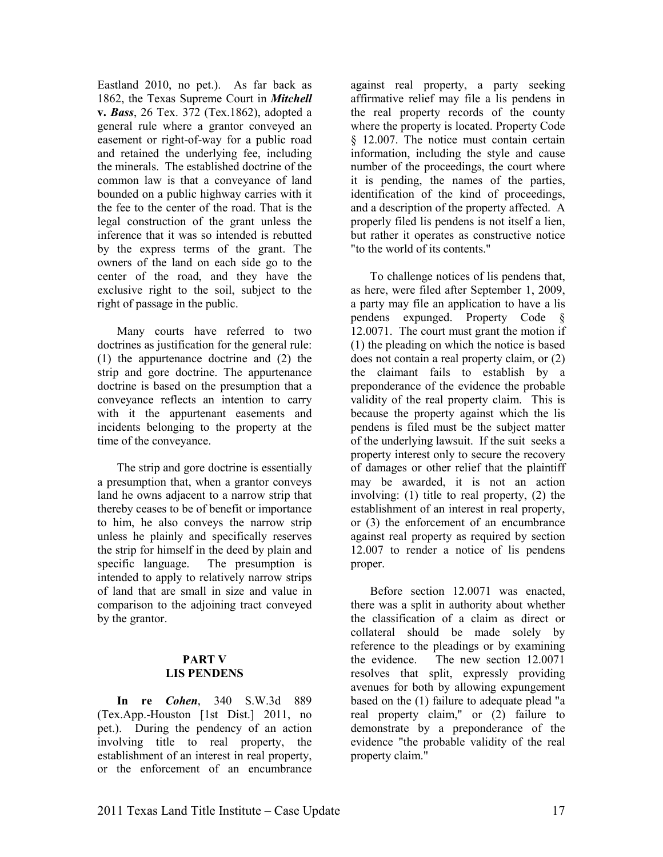Eastland 2010, no pet.). As far back as 1862, the Texas Supreme Court in *Mitchell*  **v.** *Bass*, 26 Tex. 372 (Tex.1862), adopted a general rule where a grantor conveyed an easement or right-of-way for a public road and retained the underlying fee, including the minerals. The established doctrine of the common law is that a conveyance of land bounded on a public highway carries with it the fee to the center of the road. That is the legal construction of the grant unless the inference that it was so intended is rebutted by the express terms of the grant. The owners of the land on each side go to the center of the road, and they have the exclusive right to the soil, subject to the right of passage in the public.

Many courts have referred to two doctrines as justification for the general rule: (1) the appurtenance doctrine and (2) the strip and gore doctrine. The appurtenance doctrine is based on the presumption that a conveyance reflects an intention to carry with it the appurtenant easements and incidents belonging to the property at the time of the conveyance.

The strip and gore doctrine is essentially a presumption that, when a grantor conveys land he owns adjacent to a narrow strip that thereby ceases to be of benefit or importance to him, he also conveys the narrow strip unless he plainly and specifically reserves the strip for himself in the deed by plain and<br>specific language. The presumption is The presumption is intended to apply to relatively narrow strips of land that are small in size and value in comparison to the adjoining tract conveyed by the grantor.

#### **PART V LIS PENDENS**

**In re** *Cohen*, 340 S.W.3d 889 (Tex.App.-Houston [1st Dist.] 2011, no pet.). During the pendency of an action involving title to real property, the establishment of an interest in real property, or the enforcement of an encumbrance

against real property, a party seeking affirmative relief may file a lis pendens in the real property records of the county where the property is located. Property Code § 12.007. The notice must contain certain information, including the style and cause number of the proceedings, the court where it is pending, the names of the parties, identification of the kind of proceedings, and a description of the property affected. A properly filed lis pendens is not itself a lien, but rather it operates as constructive notice "to the world of its contents."

To challenge notices of lis pendens that, as here, were filed after September 1, 2009, a party may file an application to have a lis pendens expunged. Property Code § 12.0071. The court must grant the motion if (1) the pleading on which the notice is based does not contain a real property claim, or (2) the claimant fails to establish by a preponderance of the evidence the probable validity of the real property claim. This is because the property against which the lis pendens is filed must be the subject matter of the underlying lawsuit. If the suit seeks a property interest only to secure the recovery of damages or other relief that the plaintiff may be awarded, it is not an action involving: (1) title to real property, (2) the establishment of an interest in real property, or (3) the enforcement of an encumbrance against real property as required by section 12.007 to render a notice of lis pendens proper.

Before section 12.0071 was enacted, there was a split in authority about whether the classification of a claim as direct or collateral should be made solely by reference to the pleadings or by examining the evidence. The new section 12.0071 resolves that split, expressly providing avenues for both by allowing expungement based on the (1) failure to adequate plead "a real property claim," or (2) failure to demonstrate by a preponderance of the evidence "the probable validity of the real property claim."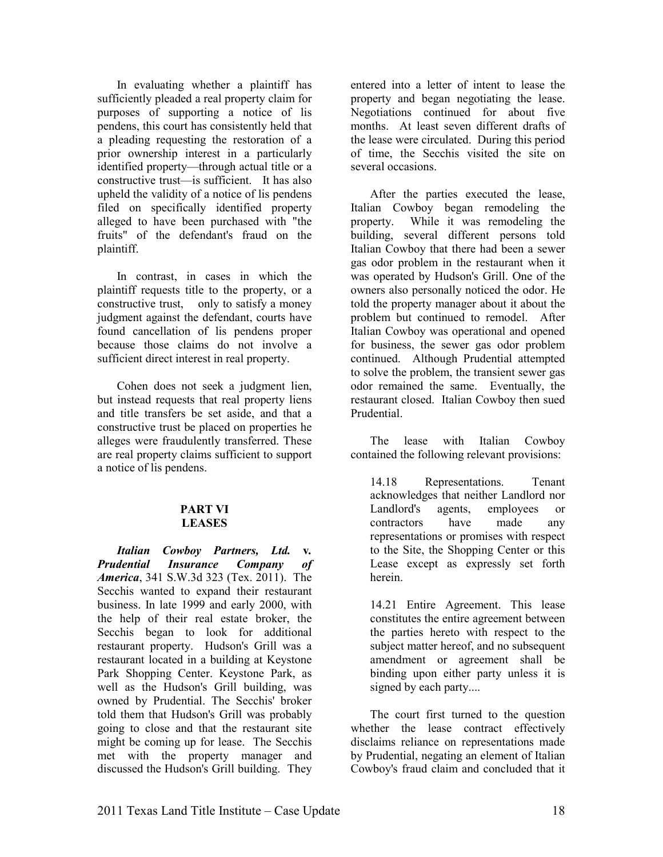In evaluating whether a plaintiff has sufficiently pleaded a real property claim for purposes of supporting a notice of lis pendens, this court has consistently held that a pleading requesting the restoration of a prior ownership interest in a particularly identified property—through actual title or a constructive trust—is sufficient. It has also upheld the validity of a notice of lis pendens filed on specifically identified property alleged to have been purchased with "the fruits" of the defendant's fraud on the plaintiff.

In contrast, in cases in which the plaintiff requests title to the property, or a constructive trust, only to satisfy a money judgment against the defendant, courts have found cancellation of lis pendens proper because those claims do not involve a sufficient direct interest in real property.

Cohen does not seek a judgment lien, but instead requests that real property liens and title transfers be set aside, and that a constructive trust be placed on properties he alleges were fraudulently transferred. These are real property claims sufficient to support a notice of lis pendens.

#### **PART VI LEASES**

*Italian Cowboy Partners, Ltd.* **v***. Prudential Insurance Company of America*, 341 S.W.3d 323 (Tex. 2011). The Secchis wanted to expand their restaurant business. In late 1999 and early 2000, with the help of their real estate broker, the Secchis began to look for additional restaurant property. Hudson's Grill was a restaurant located in a building at Keystone Park Shopping Center. Keystone Park, as well as the Hudson's Grill building, was owned by Prudential. The Secchis' broker told them that Hudson's Grill was probably going to close and that the restaurant site might be coming up for lease. The Secchis met with the property manager and discussed the Hudson's Grill building. They

entered into a letter of intent to lease the property and began negotiating the lease. Negotiations continued for about five months. At least seven different drafts of the lease were circulated. During this period of time, the Secchis visited the site on several occasions.

After the parties executed the lease, Italian Cowboy began remodeling the property. While it was remodeling the building, several different persons told Italian Cowboy that there had been a sewer gas odor problem in the restaurant when it was operated by Hudson's Grill. One of the owners also personally noticed the odor. He told the property manager about it about the problem but continued to remodel. After Italian Cowboy was operational and opened for business, the sewer gas odor problem continued. Although Prudential attempted to solve the problem, the transient sewer gas odor remained the same. Eventually, the restaurant closed. Italian Cowboy then sued Prudential.

The lease with Italian Cowboy contained the following relevant provisions:

14.18 Representations. Tenant acknowledges that neither Landlord nor Landlord's agents, employees or contractors have made any representations or promises with respect to the Site, the Shopping Center or this Lease except as expressly set forth herein.

14.21 Entire Agreement. This lease constitutes the entire agreement between the parties hereto with respect to the subject matter hereof, and no subsequent amendment or agreement shall be binding upon either party unless it is signed by each party....

The court first turned to the question whether the lease contract effectively disclaims reliance on representations made by Prudential, negating an element of Italian Cowboy's fraud claim and concluded that it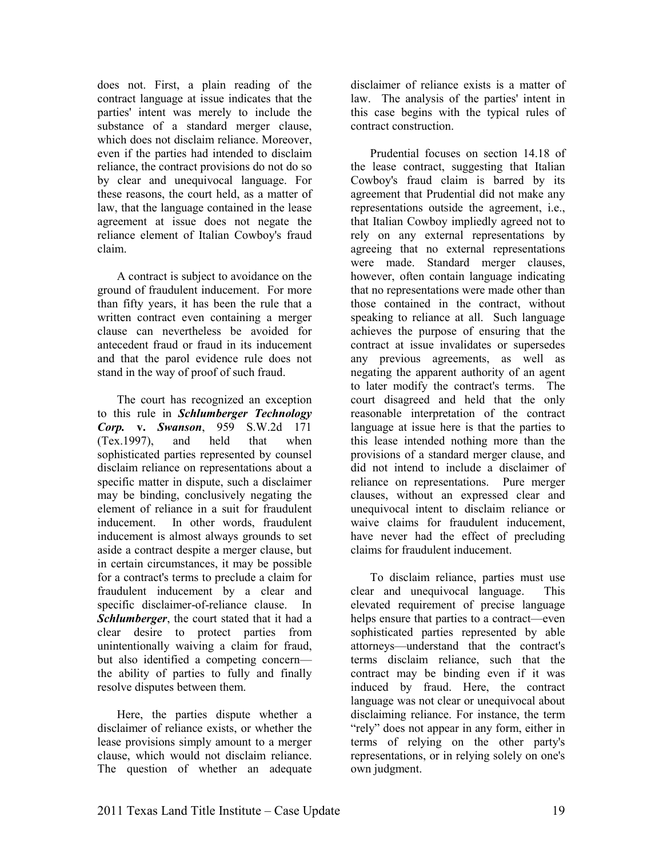does not. First, a plain reading of the contract language at issue indicates that the parties' intent was merely to include the substance of a standard merger clause, which does not disclaim reliance. Moreover, even if the parties had intended to disclaim reliance, the contract provisions do not do so by clear and unequivocal language. For these reasons, the court held, as a matter of law, that the language contained in the lease agreement at issue does not negate the reliance element of Italian Cowboy's fraud claim.

A contract is subject to avoidance on the ground of fraudulent inducement. For more than fifty years, it has been the rule that a written contract even containing a merger clause can nevertheless be avoided for antecedent fraud or fraud in its inducement and that the parol evidence rule does not stand in the way of proof of such fraud.

The court has recognized an exception to this rule in *Schlumberger Technology Corp.* **v.** *Swanson*, 959 S.W.2d 171 (Tex.1997), and held that when sophisticated parties represented by counsel disclaim reliance on representations about a specific matter in dispute, such a disclaimer may be binding, conclusively negating the element of reliance in a suit for fraudulent inducement. In other words, fraudulent inducement is almost always grounds to set aside a contract despite a merger clause, but in certain circumstances, it may be possible for a contract's terms to preclude a claim for fraudulent inducement by a clear and specific disclaimer-of-reliance clause. In *Schlumberger*, the court stated that it had a clear desire to protect parties from unintentionally waiving a claim for fraud, but also identified a competing concern the ability of parties to fully and finally resolve disputes between them.

Here, the parties dispute whether a disclaimer of reliance exists, or whether the lease provisions simply amount to a merger clause, which would not disclaim reliance. The question of whether an adequate

disclaimer of reliance exists is a matter of law. The analysis of the parties' intent in this case begins with the typical rules of contract construction.

Prudential focuses on section 14.18 of the lease contract, suggesting that Italian Cowboy's fraud claim is barred by its agreement that Prudential did not make any representations outside the agreement, i.e., that Italian Cowboy impliedly agreed not to rely on any external representations by agreeing that no external representations were made. Standard merger clauses, however, often contain language indicating that no representations were made other than those contained in the contract, without speaking to reliance at all. Such language achieves the purpose of ensuring that the contract at issue invalidates or supersedes any previous agreements, as well as negating the apparent authority of an agent to later modify the contract's terms. The court disagreed and held that the only reasonable interpretation of the contract language at issue here is that the parties to this lease intended nothing more than the provisions of a standard merger clause, and did not intend to include a disclaimer of reliance on representations. Pure merger clauses, without an expressed clear and unequivocal intent to disclaim reliance or waive claims for fraudulent inducement, have never had the effect of precluding claims for fraudulent inducement.

To disclaim reliance, parties must use clear and unequivocal language. This elevated requirement of precise language helps ensure that parties to a contract—even sophisticated parties represented by able attorneys—understand that the contract's terms disclaim reliance, such that the contract may be binding even if it was induced by fraud. Here, the contract language was not clear or unequivocal about disclaiming reliance. For instance, the term "rely" does not appear in any form, either in terms of relying on the other party's representations, or in relying solely on one's own judgment.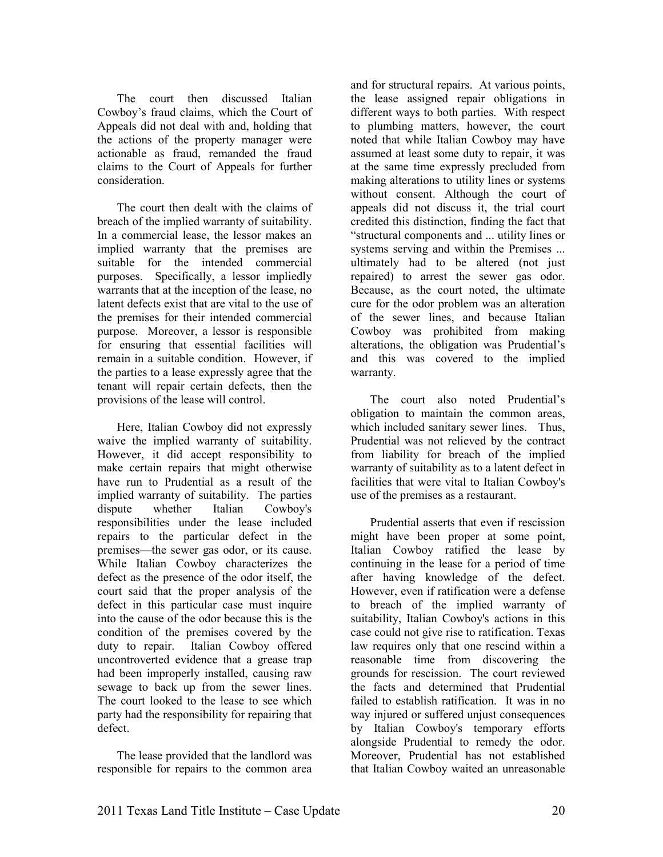The court then discussed Italian Cowboy's fraud claims, which the Court of Appeals did not deal with and, holding that the actions of the property manager were actionable as fraud, remanded the fraud claims to the Court of Appeals for further consideration.

The court then dealt with the claims of breach of the implied warranty of suitability. In a commercial lease, the lessor makes an implied warranty that the premises are suitable for the intended commercial purposes. Specifically, a lessor impliedly warrants that at the inception of the lease, no latent defects exist that are vital to the use of the premises for their intended commercial purpose. Moreover, a lessor is responsible for ensuring that essential facilities will remain in a suitable condition. However, if the parties to a lease expressly agree that the tenant will repair certain defects, then the provisions of the lease will control.

Here, Italian Cowboy did not expressly waive the implied warranty of suitability. However, it did accept responsibility to make certain repairs that might otherwise have run to Prudential as a result of the implied warranty of suitability. The parties dispute whether Italian Cowboy's responsibilities under the lease included repairs to the particular defect in the premises—the sewer gas odor, or its cause. While Italian Cowboy characterizes the defect as the presence of the odor itself, the court said that the proper analysis of the defect in this particular case must inquire into the cause of the odor because this is the condition of the premises covered by the duty to repair. Italian Cowboy offered uncontroverted evidence that a grease trap had been improperly installed, causing raw sewage to back up from the sewer lines. The court looked to the lease to see which party had the responsibility for repairing that defect.

The lease provided that the landlord was responsible for repairs to the common area

and for structural repairs. At various points, the lease assigned repair obligations in different ways to both parties. With respect to plumbing matters, however, the court noted that while Italian Cowboy may have assumed at least some duty to repair, it was at the same time expressly precluded from making alterations to utility lines or systems without consent. Although the court of appeals did not discuss it, the trial court credited this distinction, finding the fact that "structural components and ... utility lines or systems serving and within the Premises ... ultimately had to be altered (not just repaired) to arrest the sewer gas odor. Because, as the court noted, the ultimate cure for the odor problem was an alteration of the sewer lines, and because Italian Cowboy was prohibited from making alterations, the obligation was Prudential's and this was covered to the implied warranty.

The court also noted Prudential's obligation to maintain the common areas, which included sanitary sewer lines. Thus, Prudential was not relieved by the contract from liability for breach of the implied warranty of suitability as to a latent defect in facilities that were vital to Italian Cowboy's use of the premises as a restaurant.

Prudential asserts that even if rescission might have been proper at some point, Italian Cowboy ratified the lease by continuing in the lease for a period of time after having knowledge of the defect. However, even if ratification were a defense to breach of the implied warranty of suitability, Italian Cowboy's actions in this case could not give rise to ratification. Texas law requires only that one rescind within a reasonable time from discovering the grounds for rescission. The court reviewed the facts and determined that Prudential failed to establish ratification. It was in no way injured or suffered unjust consequences by Italian Cowboy's temporary efforts alongside Prudential to remedy the odor. Moreover, Prudential has not established that Italian Cowboy waited an unreasonable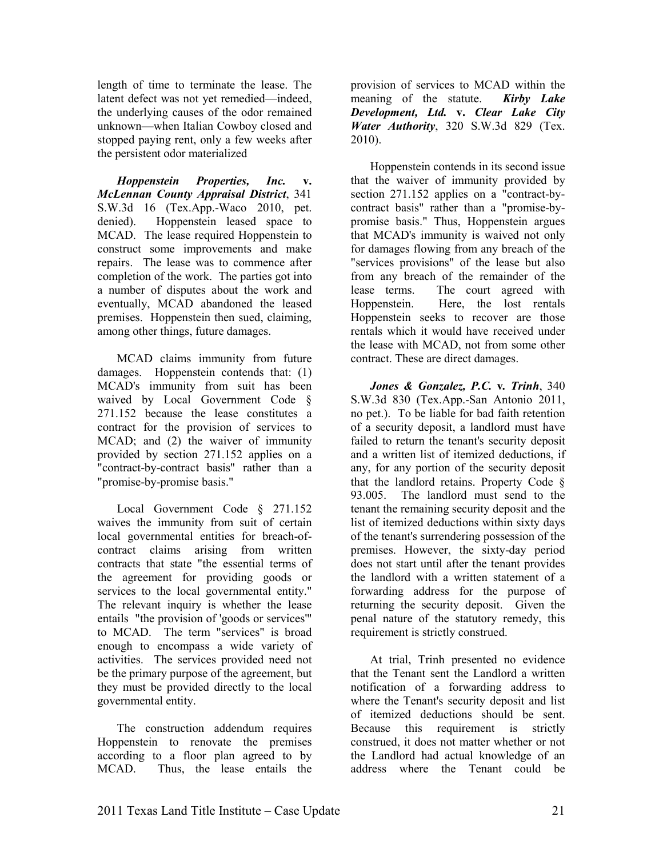length of time to terminate the lease. The latent defect was not yet remedied—indeed, the underlying causes of the odor remained unknown—when Italian Cowboy closed and stopped paying rent, only a few weeks after the persistent odor materialized

*Hoppenstein Properties, Inc.* **v.** *McLennan County Appraisal District*, 341 S.W.3d 16 (Tex.App.-Waco 2010, pet. denied). Hoppenstein leased space to MCAD. The lease required Hoppenstein to construct some improvements and make repairs. The lease was to commence after completion of the work. The parties got into a number of disputes about the work and eventually, MCAD abandoned the leased premises. Hoppenstein then sued, claiming, among other things, future damages.

MCAD claims immunity from future damages. Hoppenstein contends that: (1) MCAD's immunity from suit has been waived by Local Government Code § 271.152 because the lease constitutes a contract for the provision of services to MCAD; and (2) the waiver of immunity provided by section 271.152 applies on a "contract-by-contract basis" rather than a "promise-by-promise basis."

Local Government Code § 271.152 waives the immunity from suit of certain local governmental entities for breach-ofcontract claims arising from written contracts that state "the essential terms of the agreement for providing goods or services to the local governmental entity." The relevant inquiry is whether the lease entails "the provision of 'goods or services'" to MCAD. The term "services" is broad enough to encompass a wide variety of activities. The services provided need not be the primary purpose of the agreement, but they must be provided directly to the local governmental entity.

The construction addendum requires Hoppenstein to renovate the premises according to a floor plan agreed to by MCAD. Thus, the lease entails the

provision of services to MCAD within the meaning of the statute. *Kirby Lake Development, Ltd.* **v.** *Clear Lake City Water Authority*, 320 S.W.3d 829 (Tex. 2010).

Hoppenstein contends in its second issue that the waiver of immunity provided by section 271.152 applies on a "contract-bycontract basis" rather than a "promise-bypromise basis." Thus, Hoppenstein argues that MCAD's immunity is waived not only for damages flowing from any breach of the "services provisions" of the lease but also from any breach of the remainder of the lease terms. The court agreed with Hoppenstein. Here, the lost rentals Hoppenstein seeks to recover are those rentals which it would have received under the lease with MCAD, not from some other contract. These are direct damages.

*Jones & Gonzalez, P.C.* **v***. Trinh*, 340 S.W.3d 830 (Tex.App.-San Antonio 2011, no pet.). To be liable for bad faith retention of a security deposit, a landlord must have failed to return the tenant's security deposit and a written list of itemized deductions, if any, for any portion of the security deposit that the landlord retains. Property Code § 93.005. The landlord must send to the tenant the remaining security deposit and the list of itemized deductions within sixty days of the tenant's surrendering possession of the premises. However, the sixty-day period does not start until after the tenant provides the landlord with a written statement of a forwarding address for the purpose of returning the security deposit. Given the penal nature of the statutory remedy, this requirement is strictly construed.

At trial, Trinh presented no evidence that the Tenant sent the Landlord a written notification of a forwarding address to where the Tenant's security deposit and list of itemized deductions should be sent. Because this requirement is strictly construed, it does not matter whether or not the Landlord had actual knowledge of an address where the Tenant could be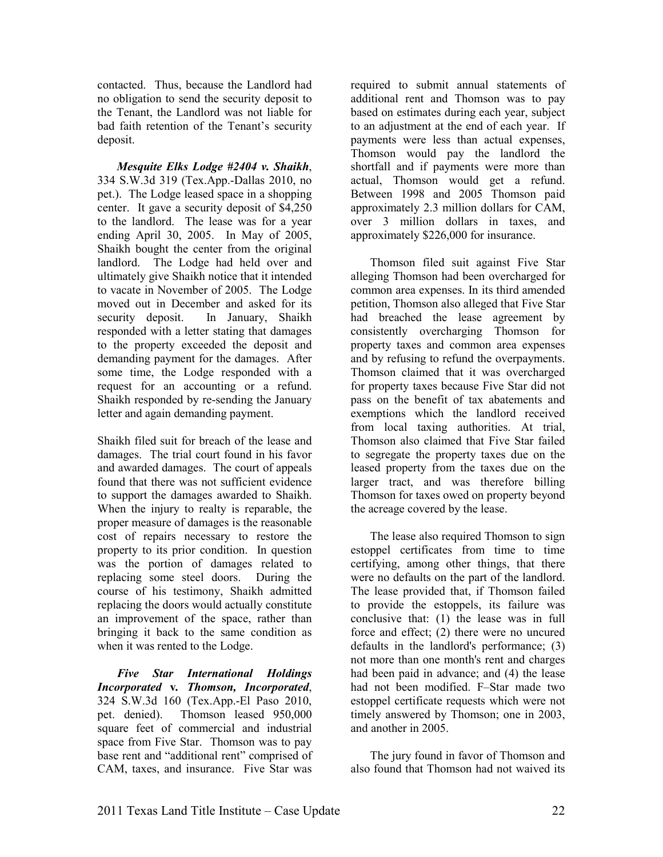contacted. Thus, because the Landlord had no obligation to send the security deposit to the Tenant, the Landlord was not liable for bad faith retention of the Tenant's security deposit.

*Mesquite Elks Lodge #2404 v. Shaikh*, 334 S.W.3d 319 (Tex.App.-Dallas 2010, no pet.). The Lodge leased space in a shopping center. It gave a security deposit of \$4,250 to the landlord. The lease was for a year ending April 30, 2005. In May of 2005, Shaikh bought the center from the original landlord. The Lodge had held over and ultimately give Shaikh notice that it intended to vacate in November of 2005. The Lodge moved out in December and asked for its security deposit. In January, Shaikh responded with a letter stating that damages to the property exceeded the deposit and demanding payment for the damages. After some time, the Lodge responded with a request for an accounting or a refund. Shaikh responded by re-sending the January letter and again demanding payment.

Shaikh filed suit for breach of the lease and damages. The trial court found in his favor and awarded damages. The court of appeals found that there was not sufficient evidence to support the damages awarded to Shaikh. When the injury to realty is reparable, the proper measure of damages is the reasonable cost of repairs necessary to restore the property to its prior condition. In question was the portion of damages related to replacing some steel doors. During the course of his testimony, Shaikh admitted replacing the doors would actually constitute an improvement of the space, rather than bringing it back to the same condition as when it was rented to the Lodge.

*Five Star International Holdings Incorporated* **v***. Thomson, Incorporated*, 324 S.W.3d 160 (Tex.App.-El Paso 2010, pet. denied). Thomson leased 950,000 square feet of commercial and industrial space from Five Star. Thomson was to pay base rent and "additional rent" comprised of CAM, taxes, and insurance. Five Star was

required to submit annual statements of additional rent and Thomson was to pay based on estimates during each year, subject to an adjustment at the end of each year. If payments were less than actual expenses, Thomson would pay the landlord the shortfall and if payments were more than actual, Thomson would get a refund. Between 1998 and 2005 Thomson paid approximately 2.3 million dollars for CAM, over 3 million dollars in taxes, and approximately \$226,000 for insurance.

Thomson filed suit against Five Star alleging Thomson had been overcharged for common area expenses. In its third amended petition, Thomson also alleged that Five Star had breached the lease agreement by consistently overcharging Thomson for property taxes and common area expenses and by refusing to refund the overpayments. Thomson claimed that it was overcharged for property taxes because Five Star did not pass on the benefit of tax abatements and exemptions which the landlord received from local taxing authorities. At trial, Thomson also claimed that Five Star failed to segregate the property taxes due on the leased property from the taxes due on the larger tract, and was therefore billing Thomson for taxes owed on property beyond the acreage covered by the lease.

The lease also required Thomson to sign estoppel certificates from time to time certifying, among other things, that there were no defaults on the part of the landlord. The lease provided that, if Thomson failed to provide the estoppels, its failure was conclusive that: (1) the lease was in full force and effect; (2) there were no uncured defaults in the landlord's performance; (3) not more than one month's rent and charges had been paid in advance; and (4) the lease had not been modified. F–Star made two estoppel certificate requests which were not timely answered by Thomson; one in 2003, and another in 2005.

The jury found in favor of Thomson and also found that Thomson had not waived its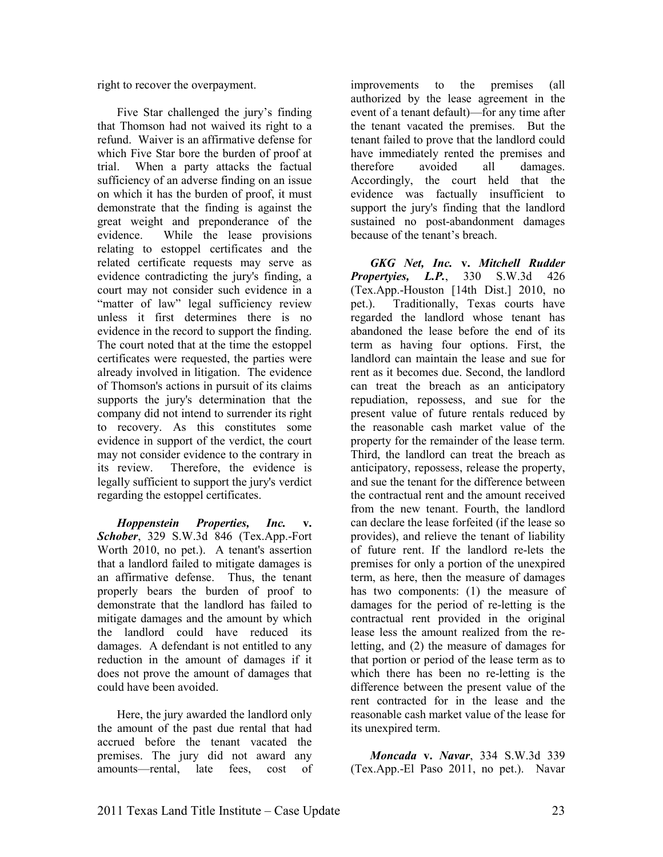right to recover the overpayment.

Five Star challenged the jury's finding that Thomson had not waived its right to a refund. Waiver is an affirmative defense for which Five Star bore the burden of proof at trial. When a party attacks the factual sufficiency of an adverse finding on an issue on which it has the burden of proof, it must demonstrate that the finding is against the great weight and preponderance of the evidence. While the lease provisions relating to estoppel certificates and the related certificate requests may serve as evidence contradicting the jury's finding, a court may not consider such evidence in a "matter of law" legal sufficiency review unless it first determines there is no evidence in the record to support the finding. The court noted that at the time the estoppel certificates were requested, the parties were already involved in litigation. The evidence of Thomson's actions in pursuit of its claims supports the jury's determination that the company did not intend to surrender its right to recovery. As this constitutes some evidence in support of the verdict, the court may not consider evidence to the contrary in its review. Therefore, the evidence is legally sufficient to support the jury's verdict regarding the estoppel certificates.

*Hoppenstein Properties, Inc.* **v.**  *Schober*, 329 S.W.3d 846 (Tex.App.-Fort Worth 2010, no pet.). A tenant's assertion that a landlord failed to mitigate damages is an affirmative defense. Thus, the tenant properly bears the burden of proof to demonstrate that the landlord has failed to mitigate damages and the amount by which the landlord could have reduced its damages. A defendant is not entitled to any reduction in the amount of damages if it does not prove the amount of damages that could have been avoided.

Here, the jury awarded the landlord only the amount of the past due rental that had accrued before the tenant vacated the premises. The jury did not award any amounts—rental, late fees, cost of

improvements to the premises (all authorized by the lease agreement in the event of a tenant default)—for any time after the tenant vacated the premises. But the tenant failed to prove that the landlord could have immediately rented the premises and therefore avoided all damages. Accordingly, the court held that the evidence was factually insufficient to support the jury's finding that the landlord sustained no post-abandonment damages because of the tenant's breach.

**GKG** Net, Inc. **v. Mitchell Rudder**<br>*Dertvies. L.P.* 330 S.W.3d 426 *Propertyies, L.P.*, 330 S.W.3d 426 (Tex.App.-Houston [14th Dist.] 2010, no pet.). Traditionally, Texas courts have regarded the landlord whose tenant has abandoned the lease before the end of its term as having four options. First, the landlord can maintain the lease and sue for rent as it becomes due. Second, the landlord can treat the breach as an anticipatory repudiation, repossess, and sue for the present value of future rentals reduced by the reasonable cash market value of the property for the remainder of the lease term. Third, the landlord can treat the breach as anticipatory, repossess, release the property, and sue the tenant for the difference between the contractual rent and the amount received from the new tenant. Fourth, the landlord can declare the lease forfeited (if the lease so provides), and relieve the tenant of liability of future rent. If the landlord re-lets the premises for only a portion of the unexpired term, as here, then the measure of damages has two components: (1) the measure of damages for the period of re-letting is the contractual rent provided in the original lease less the amount realized from the reletting, and (2) the measure of damages for that portion or period of the lease term as to which there has been no re-letting is the difference between the present value of the rent contracted for in the lease and the reasonable cash market value of the lease for its unexpired term.

*Moncada v. Navar*, 334 S.W.3d 339 (Tex.App.-El Paso 2011, no pet.). Navar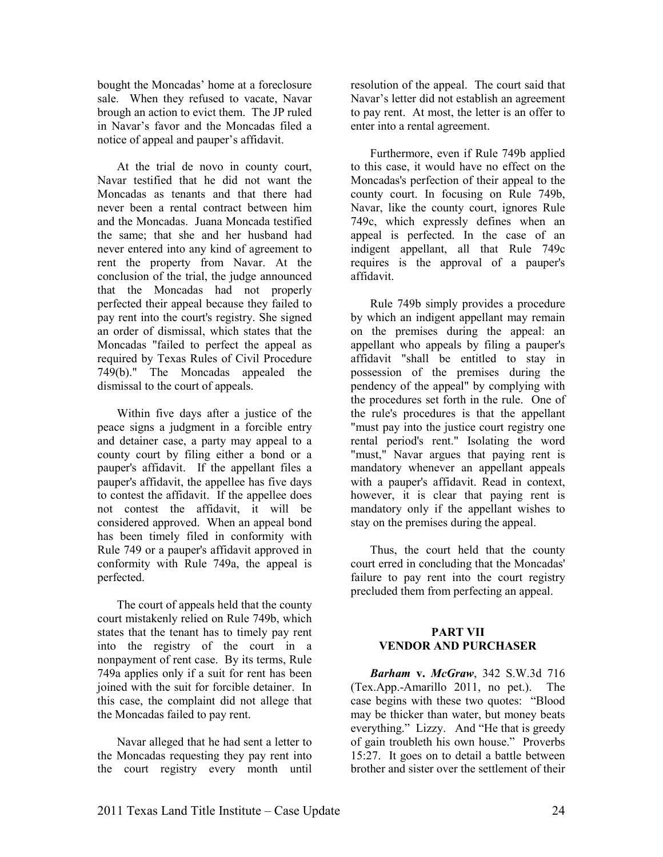bought the Moncadas' home at a foreclosure sale. When they refused to vacate, Navar brough an action to evict them. The JP ruled in Navar's favor and the Moncadas filed a notice of appeal and pauper's affidavit.

At the trial de novo in county court, Navar testified that he did not want the Moncadas as tenants and that there had never been a rental contract between him and the Moncadas. Juana Moncada testified the same; that she and her husband had never entered into any kind of agreement to rent the property from Navar. At the conclusion of the trial, the judge announced that the Moncadas had not properly perfected their appeal because they failed to pay rent into the court's registry. She signed an order of dismissal, which states that the Moncadas "failed to perfect the appeal as required by Texas Rules of Civil Procedure 749(b)." The Moncadas appealed the dismissal to the court of appeals.

Within five days after a justice of the peace signs a judgment in a forcible entry and detainer case, a party may appeal to a county court by filing either a bond or a pauper's affidavit. If the appellant files a pauper's affidavit, the appellee has five days to contest the affidavit. If the appellee does not contest the affidavit, it will be considered approved. When an appeal bond has been timely filed in conformity with Rule 749 or a pauper's affidavit approved in conformity with Rule 749a, the appeal is perfected.

The court of appeals held that the county court mistakenly relied on Rule 749b, which states that the tenant has to timely pay rent into the registry of the court in a nonpayment of rent case. By its terms, Rule 749a applies only if a suit for rent has been joined with the suit for forcible detainer. In this case, the complaint did not allege that the Moncadas failed to pay rent.

Navar alleged that he had sent a letter to the Moncadas requesting they pay rent into the court registry every month until

resolution of the appeal. The court said that Navar's letter did not establish an agreement to pay rent. At most, the letter is an offer to enter into a rental agreement.

Furthermore, even if Rule 749b applied to this case, it would have no effect on the Moncadas's perfection of their appeal to the county court. In focusing on Rule 749b, Navar, like the county court, ignores Rule 749c, which expressly defines when an appeal is perfected. In the case of an indigent appellant, all that Rule 749c requires is the approval of a pauper's affidavit.

Rule 749b simply provides a procedure by which an indigent appellant may remain on the premises during the appeal: an appellant who appeals by filing a pauper's affidavit "shall be entitled to stay in possession of the premises during the pendency of the appeal" by complying with the procedures set forth in the rule. One of the rule's procedures is that the appellant "must pay into the justice court registry one rental period's rent." Isolating the word "must," Navar argues that paying rent is mandatory whenever an appellant appeals with a pauper's affidavit. Read in context, however, it is clear that paying rent is mandatory only if the appellant wishes to stay on the premises during the appeal.

Thus, the court held that the county court erred in concluding that the Moncadas' failure to pay rent into the court registry precluded them from perfecting an appeal.

#### **PART VII VENDOR AND PURCHASER**

*Barham* **v.** *McGraw*, 342 S.W.3d 716 (Tex.App.-Amarillo 2011, no pet.). The case begins with these two quotes: "Blood may be thicker than water, but money beats everything." Lizzy. And "He that is greedy of gain troubleth his own house." Proverbs 15:27. It goes on to detail a battle between brother and sister over the settlement of their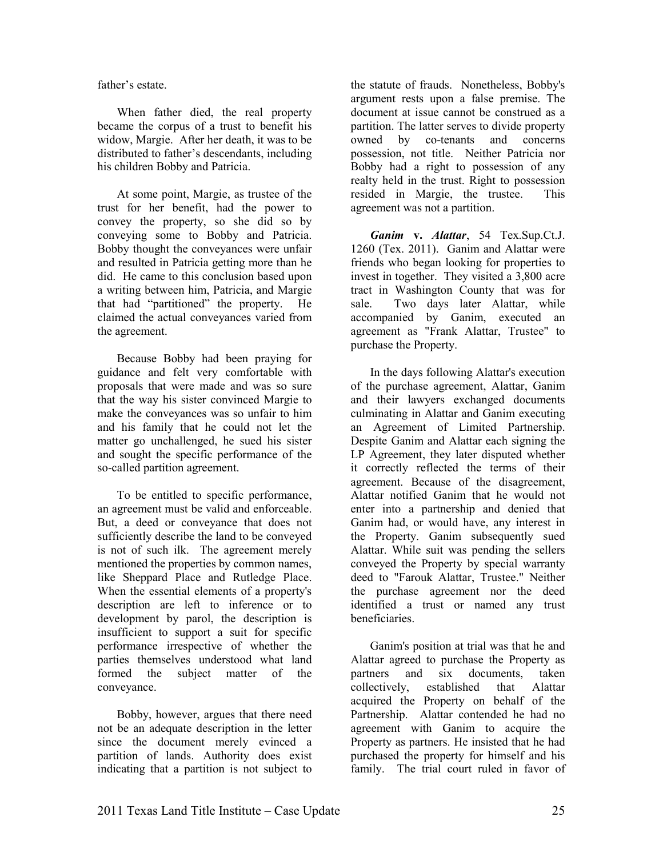father's estate.

When father died, the real property became the corpus of a trust to benefit his widow, Margie. After her death, it was to be distributed to father's descendants, including his children Bobby and Patricia.

At some point, Margie, as trustee of the trust for her benefit, had the power to convey the property, so she did so by conveying some to Bobby and Patricia. Bobby thought the conveyances were unfair and resulted in Patricia getting more than he did. He came to this conclusion based upon a writing between him, Patricia, and Margie that had "partitioned" the property. He claimed the actual conveyances varied from the agreement.

Because Bobby had been praying for guidance and felt very comfortable with proposals that were made and was so sure that the way his sister convinced Margie to make the conveyances was so unfair to him and his family that he could not let the matter go unchallenged, he sued his sister and sought the specific performance of the so-called partition agreement.

To be entitled to specific performance, an agreement must be valid and enforceable. But, a deed or conveyance that does not sufficiently describe the land to be conveyed is not of such ilk. The agreement merely mentioned the properties by common names, like Sheppard Place and Rutledge Place. When the essential elements of a property's description are left to inference or to development by parol, the description is insufficient to support a suit for specific performance irrespective of whether the parties themselves understood what land formed the subject matter of the conveyance.

Bobby, however, argues that there need not be an adequate description in the letter since the document merely evinced a partition of lands. Authority does exist indicating that a partition is not subject to

the statute of frauds. Nonetheless, Bobby's argument rests upon a false premise. The document at issue cannot be construed as a partition. The latter serves to divide property owned by co-tenants and concerns possession, not title. Neither Patricia nor Bobby had a right to possession of any realty held in the trust. Right to possession resided in Margie, the trustee. This agreement was not a partition.

*Ganim* **v.** *Alattar*, 54 Tex.Sup.Ct.J. 1260 (Tex. 2011). Ganim and Alattar were friends who began looking for properties to invest in together. They visited a 3,800 acre tract in Washington County that was for sale. Two days later Alattar, while accompanied by Ganim, executed an agreement as "Frank Alattar, Trustee" to purchase the Property.

In the days following Alattar's execution of the purchase agreement, Alattar, Ganim and their lawyers exchanged documents culminating in Alattar and Ganim executing an Agreement of Limited Partnership. Despite Ganim and Alattar each signing the LP Agreement, they later disputed whether it correctly reflected the terms of their agreement. Because of the disagreement, Alattar notified Ganim that he would not enter into a partnership and denied that Ganim had, or would have, any interest in the Property. Ganim subsequently sued Alattar. While suit was pending the sellers conveyed the Property by special warranty deed to "Farouk Alattar, Trustee." Neither the purchase agreement nor the deed identified a trust or named any trust beneficiaries.

Ganim's position at trial was that he and Alattar agreed to purchase the Property as partners and six documents, taken collectively, established that Alattar acquired the Property on behalf of the Partnership. Alattar contended he had no agreement with Ganim to acquire the Property as partners. He insisted that he had purchased the property for himself and his family. The trial court ruled in favor of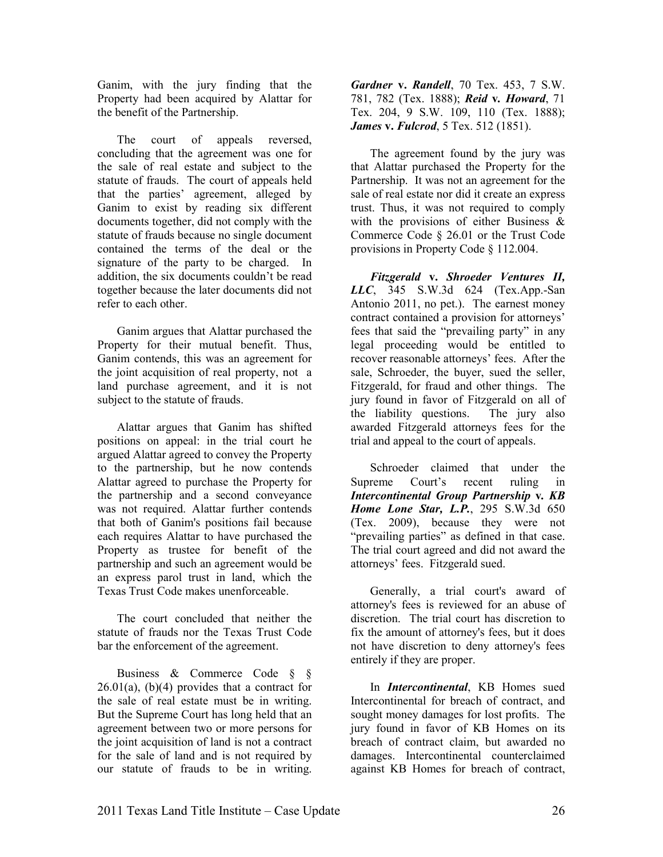Ganim, with the jury finding that the Property had been acquired by Alattar for the benefit of the Partnership.

The court of appeals reversed, concluding that the agreement was one for the sale of real estate and subject to the statute of frauds. The court of appeals held that the parties' agreement, alleged by Ganim to exist by reading six different documents together, did not comply with the statute of frauds because no single document contained the terms of the deal or the signature of the party to be charged. In addition, the six documents couldn't be read together because the later documents did not refer to each other.

Ganim argues that Alattar purchased the Property for their mutual benefit. Thus, Ganim contends, this was an agreement for the joint acquisition of real property, not a land purchase agreement, and it is not subject to the statute of frauds.

Alattar argues that Ganim has shifted positions on appeal: in the trial court he argued Alattar agreed to convey the Property to the partnership, but he now contends Alattar agreed to purchase the Property for the partnership and a second conveyance was not required. Alattar further contends that both of Ganim's positions fail because each requires Alattar to have purchased the Property as trustee for benefit of the partnership and such an agreement would be an express parol trust in land, which the Texas Trust Code makes unenforceable.

The court concluded that neither the statute of frauds nor the Texas Trust Code bar the enforcement of the agreement.

Business & Commerce Code § §  $26.01(a)$ ,  $(b)(4)$  provides that a contract for the sale of real estate must be in writing. But the Supreme Court has long held that an agreement between two or more persons for the joint acquisition of land is not a contract for the sale of land and is not required by our statute of frauds to be in writing.

*Gardner* **v.** *Randell*, 70 Tex. 453, 7 S.W. 781, 782 (Tex. 1888); *Reid* **v***. Howard*, 71 Tex. 204, 9 S.W. 109, 110 (Tex. 1888); *James* **v.** *Fulcrod*, 5 Tex. 512 (1851).

The agreement found by the jury was that Alattar purchased the Property for the Partnership. It was not an agreement for the sale of real estate nor did it create an express trust. Thus, it was not required to comply with the provisions of either Business & Commerce Code § 26.01 or the Trust Code provisions in Property Code § 112.004.

*Fitzgerald* **v.** *Shroeder Ventures II, LLC*, 345 S.W.3d 624 (Tex.App.-San Antonio 2011, no pet.). The earnest money contract contained a provision for attorneys' fees that said the "prevailing party" in any legal proceeding would be entitled to recover reasonable attorneys' fees. After the sale, Schroeder, the buyer, sued the seller, Fitzgerald, for fraud and other things. The jury found in favor of Fitzgerald on all of the liability questions. The jury also awarded Fitzgerald attorneys fees for the trial and appeal to the court of appeals.

Schroeder claimed that under the Supreme Court's recent ruling in *Intercontinental Group Partnership* **v***. KB Home Lone Star, L.P.*, 295 S.W.3d 650 (Tex. 2009), because they were not "prevailing parties" as defined in that case. The trial court agreed and did not award the attorneys' fees. Fitzgerald sued.

Generally, a trial court's award of attorney's fees is reviewed for an abuse of discretion. The trial court has discretion to fix the amount of attorney's fees, but it does not have discretion to deny attorney's fees entirely if they are proper.

In *Intercontinental*, KB Homes sued Intercontinental for breach of contract, and sought money damages for lost profits. The jury found in favor of KB Homes on its breach of contract claim, but awarded no damages. Intercontinental counterclaimed against KB Homes for breach of contract,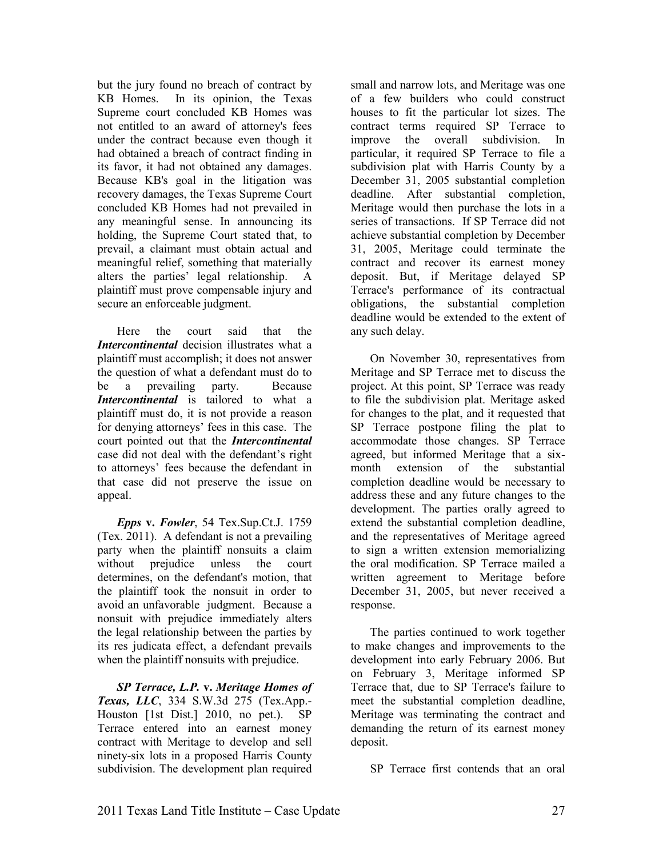but the jury found no breach of contract by KB Homes. In its opinion, the Texas Supreme court concluded KB Homes was not entitled to an award of attorney's fees under the contract because even though it had obtained a breach of contract finding in its favor, it had not obtained any damages. Because KB's goal in the litigation was recovery damages, the Texas Supreme Court concluded KB Homes had not prevailed in any meaningful sense. In announcing its holding, the Supreme Court stated that, to prevail, a claimant must obtain actual and meaningful relief, something that materially alters the parties' legal relationship. A plaintiff must prove compensable injury and secure an enforceable judgment.

Here the court said that the *Intercontinental* decision illustrates what a plaintiff must accomplish; it does not answer the question of what a defendant must do to be a prevailing party. Because *Intercontinental* is tailored to what a plaintiff must do, it is not provide a reason for denying attorneys' fees in this case. The court pointed out that the *Intercontinental* case did not deal with the defendant's right to attorneys' fees because the defendant in that case did not preserve the issue on appeal.

*Epps* **v.** *Fowler*, 54 Tex.Sup.Ct.J. 1759 (Tex. 2011). A defendant is not a prevailing party when the plaintiff nonsuits a claim without prejudice unless the court determines, on the defendant's motion, that the plaintiff took the nonsuit in order to avoid an unfavorable judgment. Because a nonsuit with prejudice immediately alters the legal relationship between the parties by its res judicata effect, a defendant prevails when the plaintiff nonsuits with prejudice.

*SP Terrace, L.P.* **v.** *Meritage Homes of Texas, LLC*, 334 S.W.3d 275 (Tex.App.- Houston [1st Dist.] 2010, no pet.). SP Terrace entered into an earnest money contract with Meritage to develop and sell ninety-six lots in a proposed Harris County subdivision. The development plan required

small and narrow lots, and Meritage was one of a few builders who could construct houses to fit the particular lot sizes. The contract terms required SP Terrace to improve the overall subdivision. In particular, it required SP Terrace to file a subdivision plat with Harris County by a December 31, 2005 substantial completion deadline. After substantial completion, Meritage would then purchase the lots in a series of transactions. If SP Terrace did not achieve substantial completion by December 31, 2005, Meritage could terminate the contract and recover its earnest money deposit. But, if Meritage delayed SP Terrace's performance of its contractual obligations, the substantial completion deadline would be extended to the extent of any such delay.

On November 30, representatives from Meritage and SP Terrace met to discuss the project. At this point, SP Terrace was ready to file the subdivision plat. Meritage asked for changes to the plat, and it requested that SP Terrace postpone filing the plat to accommodate those changes. SP Terrace agreed, but informed Meritage that a sixmonth extension of the substantial completion deadline would be necessary to address these and any future changes to the development. The parties orally agreed to extend the substantial completion deadline, and the representatives of Meritage agreed to sign a written extension memorializing the oral modification. SP Terrace mailed a written agreement to Meritage before December 31, 2005, but never received a response.

The parties continued to work together to make changes and improvements to the development into early February 2006. But on February 3, Meritage informed SP Terrace that, due to SP Terrace's failure to meet the substantial completion deadline, Meritage was terminating the contract and demanding the return of its earnest money deposit.

SP Terrace first contends that an oral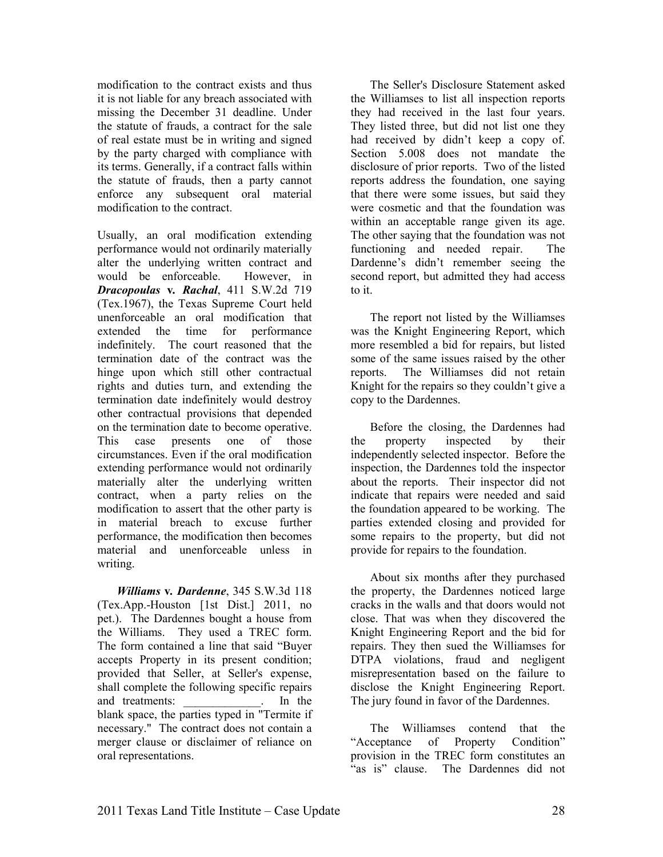modification to the contract exists and thus it is not liable for any breach associated with missing the December 31 deadline. Under the statute of frauds, a contract for the sale of real estate must be in writing and signed by the party charged with compliance with its terms. Generally, if a contract falls within the statute of frauds, then a party cannot enforce any subsequent oral material modification to the contract.

Usually, an oral modification extending performance would not ordinarily materially alter the underlying written contract and would be enforceable. However, in *Dracopoulas* **v***. Rachal*, 411 S.W.2d 719 (Tex.1967), the Texas Supreme Court held unenforceable an oral modification that extended the time for performance indefinitely. The court reasoned that the termination date of the contract was the hinge upon which still other contractual rights and duties turn, and extending the termination date indefinitely would destroy other contractual provisions that depended on the termination date to become operative. This case presents one of those circumstances. Even if the oral modification extending performance would not ordinarily materially alter the underlying written contract, when a party relies on the modification to assert that the other party is in material breach to excuse further performance, the modification then becomes material and unenforceable unless in writing.

*Williams* **v***. Dardenne*, 345 S.W.3d 118 (Tex.App.-Houston [1st Dist.] 2011, no pet.). The Dardennes bought a house from the Williams. They used a TREC form. The form contained a line that said "Buyer accepts Property in its present condition; provided that Seller, at Seller's expense, shall complete the following specific repairs and treatments: The state of the state of the state of the state of the state of the state of the state of the state of the state of the state of the state of the state of the state of the state of the state of the state o blank space, the parties typed in "Termite if necessary." The contract does not contain a merger clause or disclaimer of reliance on oral representations.

The Seller's Disclosure Statement asked the Williamses to list all inspection reports they had received in the last four years. They listed three, but did not list one they had received by didn't keep a copy of. Section 5.008 does not mandate the disclosure of prior reports. Two of the listed reports address the foundation, one saying that there were some issues, but said they were cosmetic and that the foundation was within an acceptable range given its age. The other saying that the foundation was not functioning and needed repair. The Dardenne's didn't remember seeing the second report, but admitted they had access to it.

The report not listed by the Williamses was the Knight Engineering Report, which more resembled a bid for repairs, but listed some of the same issues raised by the other reports. The Williamses did not retain Knight for the repairs so they couldn't give a copy to the Dardennes.

Before the closing, the Dardennes had the property inspected by their independently selected inspector. Before the inspection, the Dardennes told the inspector about the reports. Their inspector did not indicate that repairs were needed and said the foundation appeared to be working. The parties extended closing and provided for some repairs to the property, but did not provide for repairs to the foundation.

About six months after they purchased the property, the Dardennes noticed large cracks in the walls and that doors would not close. That was when they discovered the Knight Engineering Report and the bid for repairs. They then sued the Williamses for DTPA violations, fraud and negligent misrepresentation based on the failure to disclose the Knight Engineering Report. The jury found in favor of the Dardennes.

The Williamses contend that the "Acceptance of Property Condition" provision in the TREC form constitutes an "as is" clause. The Dardennes did not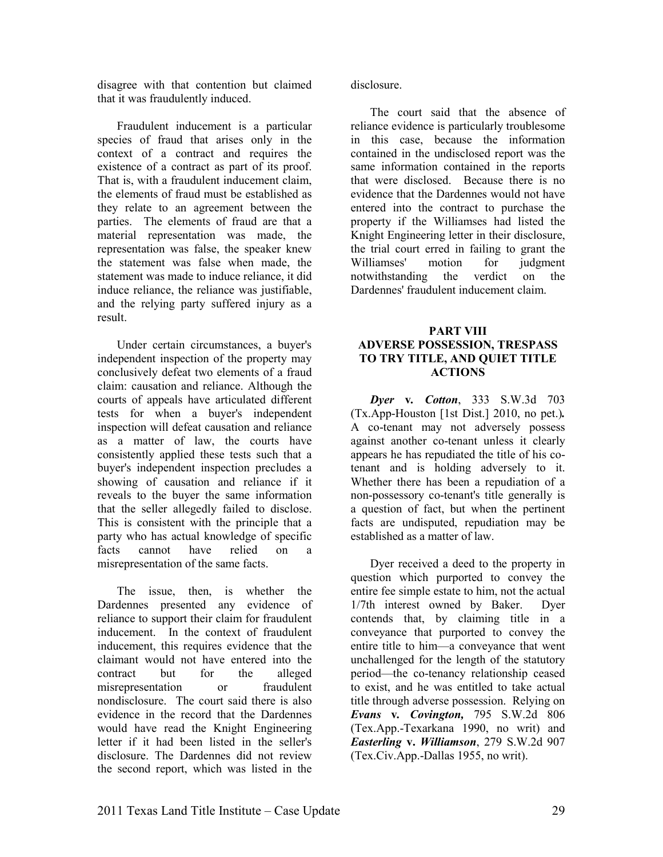disagree with that contention but claimed that it was fraudulently induced.

Fraudulent inducement is a particular species of fraud that arises only in the context of a contract and requires the existence of a contract as part of its proof. That is, with a fraudulent inducement claim, the elements of fraud must be established as they relate to an agreement between the parties. The elements of fraud are that a material representation was made, the representation was false, the speaker knew the statement was false when made, the statement was made to induce reliance, it did induce reliance, the reliance was justifiable, and the relying party suffered injury as a result.

Under certain circumstances, a buyer's independent inspection of the property may conclusively defeat two elements of a fraud claim: causation and reliance. Although the courts of appeals have articulated different tests for when a buyer's independent inspection will defeat causation and reliance as a matter of law, the courts have consistently applied these tests such that a buyer's independent inspection precludes a showing of causation and reliance if it reveals to the buyer the same information that the seller allegedly failed to disclose. This is consistent with the principle that a party who has actual knowledge of specific<br>facts cannot have relied on a cannot have relied on a misrepresentation of the same facts.

The issue, then, is whether the Dardennes presented any evidence of reliance to support their claim for fraudulent inducement. In the context of fraudulent inducement, this requires evidence that the claimant would not have entered into the contract but for the alleged misrepresentation or fraudulent nondisclosure. The court said there is also evidence in the record that the Dardennes would have read the Knight Engineering letter if it had been listed in the seller's disclosure. The Dardennes did not review the second report, which was listed in the

disclosure.

The court said that the absence of reliance evidence is particularly troublesome in this case, because the information contained in the undisclosed report was the same information contained in the reports that were disclosed. Because there is no evidence that the Dardennes would not have entered into the contract to purchase the property if the Williamses had listed the Knight Engineering letter in their disclosure, the trial court erred in failing to grant the<br>Williamses' motion for iudgment Williamses' motion for judgment notwithstanding the verdict on the Dardennes' fraudulent inducement claim.

#### **PART VIII ADVERSE POSSESSION, TRESPASS TO TRY TITLE, AD QUIET TITLE ACTIOS**

*Dyer* **v***. Cotton*, 333 S.W.3d 703 (Tx.App-Houston [1st Dist.] 2010, no pet.)*.*  A co-tenant may not adversely possess against another co-tenant unless it clearly appears he has repudiated the title of his cotenant and is holding adversely to it. Whether there has been a repudiation of a non-possessory co-tenant's title generally is a question of fact, but when the pertinent facts are undisputed, repudiation may be established as a matter of law.

Dyer received a deed to the property in question which purported to convey the entire fee simple estate to him, not the actual 1/7th interest owned by Baker. Dyer contends that, by claiming title in a conveyance that purported to convey the entire title to him—a conveyance that went unchallenged for the length of the statutory period—the co-tenancy relationship ceased to exist, and he was entitled to take actual title through adverse possession. Relying on *Evans* **v***. Covington,* 795 S.W.2d 806 (Tex.App.-Texarkana 1990, no writ) and *Easterling* **v.** *Williamson*, 279 S.W.2d 907 (Tex.Civ.App.-Dallas 1955, no writ).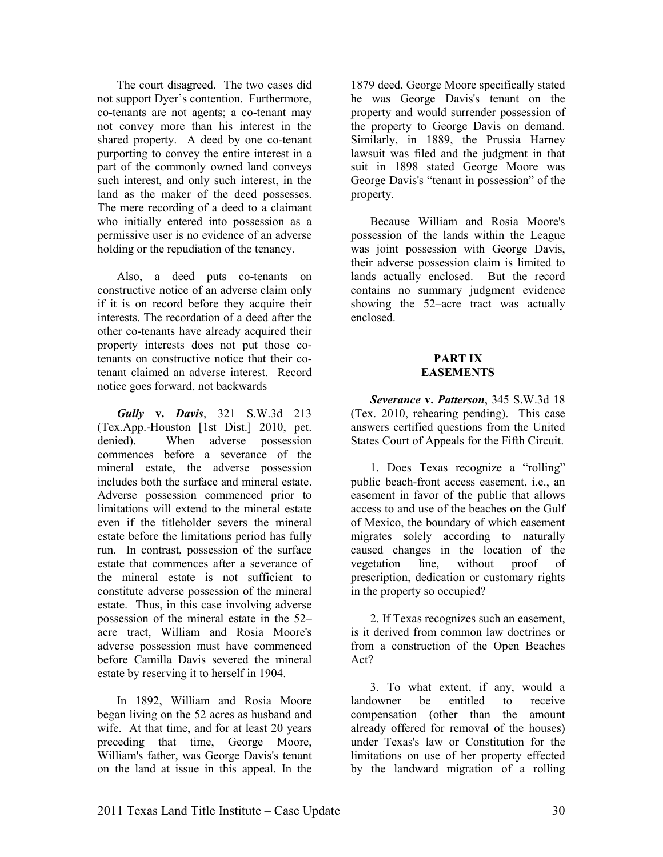The court disagreed. The two cases did not support Dyer's contention. Furthermore, co-tenants are not agents; a co-tenant may not convey more than his interest in the shared property. A deed by one co-tenant purporting to convey the entire interest in a part of the commonly owned land conveys such interest, and only such interest, in the land as the maker of the deed possesses. The mere recording of a deed to a claimant who initially entered into possession as a permissive user is no evidence of an adverse holding or the repudiation of the tenancy.

Also, a deed puts co-tenants on constructive notice of an adverse claim only if it is on record before they acquire their interests. The recordation of a deed after the other co-tenants have already acquired their property interests does not put those cotenants on constructive notice that their cotenant claimed an adverse interest. Record notice goes forward, not backwards

*Gully* **v.** *Davis*, 321 S.W.3d 213 (Tex.App.-Houston [1st Dist.] 2010, pet. denied). When adverse possession commences before a severance of the mineral estate, the adverse possession includes both the surface and mineral estate. Adverse possession commenced prior to limitations will extend to the mineral estate even if the titleholder severs the mineral estate before the limitations period has fully run. In contrast, possession of the surface estate that commences after a severance of the mineral estate is not sufficient to constitute adverse possession of the mineral estate. Thus, in this case involving adverse possession of the mineral estate in the 52– acre tract, William and Rosia Moore's adverse possession must have commenced before Camilla Davis severed the mineral estate by reserving it to herself in 1904.

In 1892, William and Rosia Moore began living on the 52 acres as husband and wife. At that time, and for at least 20 years preceding that time, George Moore, William's father, was George Davis's tenant on the land at issue in this appeal. In the

1879 deed, George Moore specifically stated he was George Davis's tenant on the property and would surrender possession of the property to George Davis on demand. Similarly, in 1889, the Prussia Harney lawsuit was filed and the judgment in that suit in 1898 stated George Moore was George Davis's "tenant in possession" of the property.

Because William and Rosia Moore's possession of the lands within the League was joint possession with George Davis, their adverse possession claim is limited to lands actually enclosed. But the record contains no summary judgment evidence showing the 52–acre tract was actually enclosed.

#### **PART IX EASEMENTS**

*Severance* **v.** *Patterson*, 345 S.W.3d 18 (Tex. 2010, rehearing pending). This case answers certified questions from the United States Court of Appeals for the Fifth Circuit.

1. Does Texas recognize a "rolling" public beach-front access easement, i.e., an easement in favor of the public that allows access to and use of the beaches on the Gulf of Mexico, the boundary of which easement migrates solely according to naturally caused changes in the location of the vegetation line, without proof of prescription, dedication or customary rights in the property so occupied?

2. If Texas recognizes such an easement, is it derived from common law doctrines or from a construction of the Open Beaches Act?

3. To what extent, if any, would a landowner be entitled to receive compensation (other than the amount already offered for removal of the houses) under Texas's law or Constitution for the limitations on use of her property effected by the landward migration of a rolling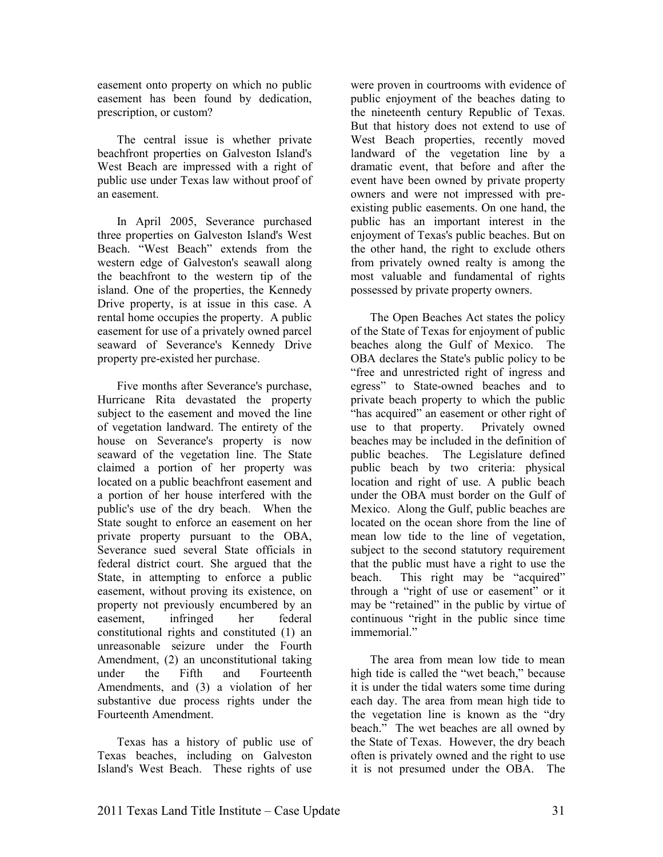easement onto property on which no public easement has been found by dedication, prescription, or custom?

The central issue is whether private beachfront properties on Galveston Island's West Beach are impressed with a right of public use under Texas law without proof of an easement.

In April 2005, Severance purchased three properties on Galveston Island's West Beach. "West Beach" extends from the western edge of Galveston's seawall along the beachfront to the western tip of the island. One of the properties, the Kennedy Drive property, is at issue in this case. A rental home occupies the property. A public easement for use of a privately owned parcel seaward of Severance's Kennedy Drive property pre-existed her purchase.

Five months after Severance's purchase, Hurricane Rita devastated the property subject to the easement and moved the line of vegetation landward. The entirety of the house on Severance's property is now seaward of the vegetation line. The State claimed a portion of her property was located on a public beachfront easement and a portion of her house interfered with the public's use of the dry beach. When the State sought to enforce an easement on her private property pursuant to the OBA, Severance sued several State officials in federal district court. She argued that the State, in attempting to enforce a public easement, without proving its existence, on property not previously encumbered by an easement, infringed her federal constitutional rights and constituted (1) an unreasonable seizure under the Fourth Amendment, (2) an unconstitutional taking under the Fifth and Fourteenth Amendments, and (3) a violation of her substantive due process rights under the Fourteenth Amendment.

Texas has a history of public use of Texas beaches, including on Galveston Island's West Beach. These rights of use

were proven in courtrooms with evidence of public enjoyment of the beaches dating to the nineteenth century Republic of Texas. But that history does not extend to use of West Beach properties, recently moved landward of the vegetation line by a dramatic event, that before and after the event have been owned by private property owners and were not impressed with preexisting public easements. On one hand, the public has an important interest in the enjoyment of Texas's public beaches. But on the other hand, the right to exclude others from privately owned realty is among the most valuable and fundamental of rights possessed by private property owners.

The Open Beaches Act states the policy of the State of Texas for enjoyment of public beaches along the Gulf of Mexico. The OBA declares the State's public policy to be "free and unrestricted right of ingress and egress" to State-owned beaches and to private beach property to which the public "has acquired" an easement or other right of use to that property. Privately owned beaches may be included in the definition of public beaches. The Legislature defined public beach by two criteria: physical location and right of use. A public beach under the OBA must border on the Gulf of Mexico. Along the Gulf, public beaches are located on the ocean shore from the line of mean low tide to the line of vegetation, subject to the second statutory requirement that the public must have a right to use the beach. This right may be "acquired" through a "right of use or easement" or it may be "retained" in the public by virtue of continuous "right in the public since time immemorial"

The area from mean low tide to mean high tide is called the "wet beach," because it is under the tidal waters some time during each day. The area from mean high tide to the vegetation line is known as the "dry beach." The wet beaches are all owned by the State of Texas. However, the dry beach often is privately owned and the right to use it is not presumed under the OBA. The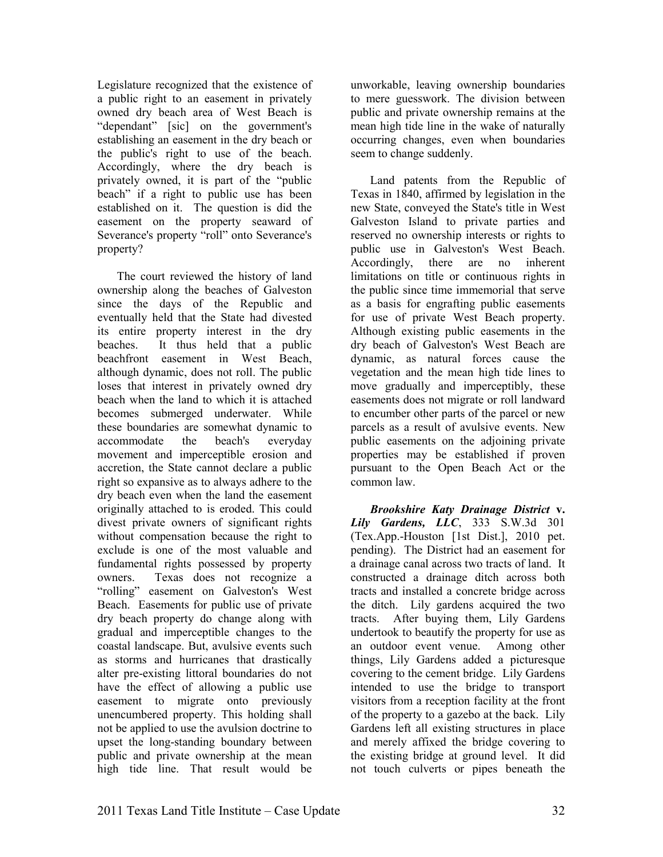Legislature recognized that the existence of a public right to an easement in privately owned dry beach area of West Beach is "dependant" [sic] on the government's establishing an easement in the dry beach or the public's right to use of the beach. Accordingly, where the dry beach is privately owned, it is part of the "public beach" if a right to public use has been established on it. The question is did the easement on the property seaward of Severance's property "roll" onto Severance's property?

The court reviewed the history of land ownership along the beaches of Galveston since the days of the Republic and eventually held that the State had divested its entire property interest in the dry beaches. It thus held that a public beachfront easement in West Beach, although dynamic, does not roll. The public loses that interest in privately owned dry beach when the land to which it is attached becomes submerged underwater. While these boundaries are somewhat dynamic to accommodate the beach's everyday movement and imperceptible erosion and accretion, the State cannot declare a public right so expansive as to always adhere to the dry beach even when the land the easement originally attached to is eroded. This could divest private owners of significant rights without compensation because the right to exclude is one of the most valuable and fundamental rights possessed by property owners. Texas does not recognize a "rolling" easement on Galveston's West Beach. Easements for public use of private dry beach property do change along with gradual and imperceptible changes to the coastal landscape. But, avulsive events such as storms and hurricanes that drastically alter pre-existing littoral boundaries do not have the effect of allowing a public use easement to migrate onto previously unencumbered property. This holding shall not be applied to use the avulsion doctrine to upset the long-standing boundary between public and private ownership at the mean high tide line. That result would be

unworkable, leaving ownership boundaries to mere guesswork. The division between public and private ownership remains at the mean high tide line in the wake of naturally occurring changes, even when boundaries seem to change suddenly.

Land patents from the Republic of Texas in 1840, affirmed by legislation in the new State, conveyed the State's title in West Galveston Island to private parties and reserved no ownership interests or rights to public use in Galveston's West Beach. Accordingly, there are no inherent limitations on title or continuous rights in the public since time immemorial that serve as a basis for engrafting public easements for use of private West Beach property. Although existing public easements in the dry beach of Galveston's West Beach are dynamic, as natural forces cause the vegetation and the mean high tide lines to move gradually and imperceptibly, these easements does not migrate or roll landward to encumber other parts of the parcel or new parcels as a result of avulsive events. New public easements on the adjoining private properties may be established if proven pursuant to the Open Beach Act or the common law.

*Brookshire Katy Drainage District* **v.**  *Lily Gardens, LLC*, 333 S.W.3d 301 (Tex.App.-Houston [1st Dist.], 2010 pet. pending). The District had an easement for a drainage canal across two tracts of land. It constructed a drainage ditch across both tracts and installed a concrete bridge across the ditch. Lily gardens acquired the two tracts. After buying them, Lily Gardens undertook to beautify the property for use as an outdoor event venue. Among other things, Lily Gardens added a picturesque covering to the cement bridge. Lily Gardens intended to use the bridge to transport visitors from a reception facility at the front of the property to a gazebo at the back. Lily Gardens left all existing structures in place and merely affixed the bridge covering to the existing bridge at ground level. It did not touch culverts or pipes beneath the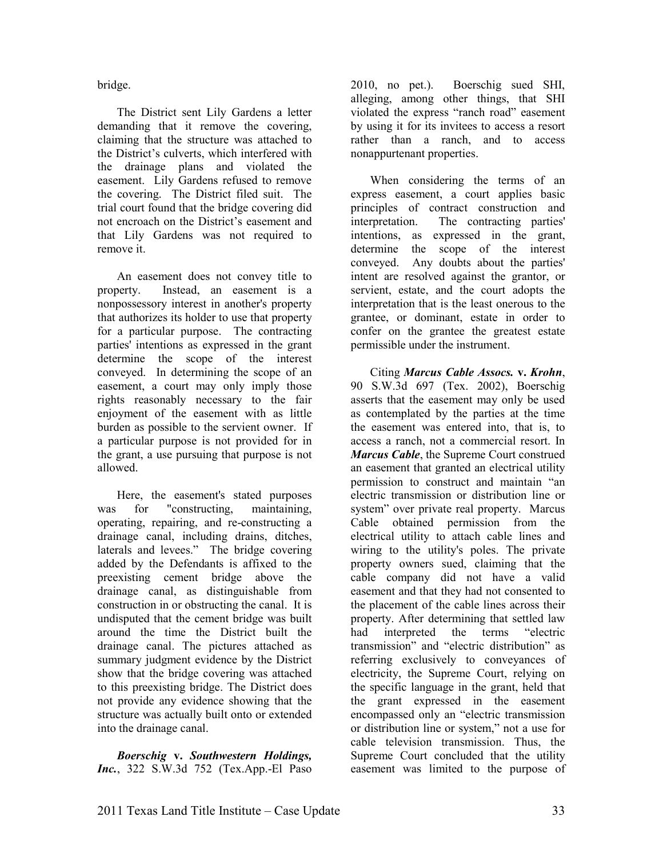bridge.

The District sent Lily Gardens a letter demanding that it remove the covering, claiming that the structure was attached to the District's culverts, which interfered with the drainage plans and violated the easement. Lily Gardens refused to remove the covering. The District filed suit. The trial court found that the bridge covering did not encroach on the District's easement and that Lily Gardens was not required to remove it.

An easement does not convey title to property. Instead, an easement is a nonpossessory interest in another's property that authorizes its holder to use that property for a particular purpose. The contracting parties' intentions as expressed in the grant determine the scope of the interest conveyed. In determining the scope of an easement, a court may only imply those rights reasonably necessary to the fair enjoyment of the easement with as little burden as possible to the servient owner. If a particular purpose is not provided for in the grant, a use pursuing that purpose is not allowed.

Here, the easement's stated purposes was for "constructing, maintaining, operating, repairing, and re-constructing a drainage canal, including drains, ditches, laterals and levees." The bridge covering added by the Defendants is affixed to the preexisting cement bridge above the drainage canal, as distinguishable from construction in or obstructing the canal. It is undisputed that the cement bridge was built around the time the District built the drainage canal. The pictures attached as summary judgment evidence by the District show that the bridge covering was attached to this preexisting bridge. The District does not provide any evidence showing that the structure was actually built onto or extended into the drainage canal.

*Boerschig* **v.** *Southwestern Holdings, Inc.*, 322 S.W.3d 752 (Tex.App.-El Paso 2010, no pet.). Boerschig sued SHI, alleging, among other things, that SHI violated the express "ranch road" easement by using it for its invitees to access a resort rather than a ranch, and to access nonappurtenant properties.

When considering the terms of an express easement, a court applies basic principles of contract construction and interpretation. The contracting parties' intentions, as expressed in the grant, determine the scope of the interest conveyed. Any doubts about the parties' intent are resolved against the grantor, or servient, estate, and the court adopts the interpretation that is the least onerous to the grantee, or dominant, estate in order to confer on the grantee the greatest estate permissible under the instrument.

Citing *Marcus Cable Assocs.* **v.** *Krohn*, 90 S.W.3d 697 (Tex. 2002), Boerschig asserts that the easement may only be used as contemplated by the parties at the time the easement was entered into, that is, to access a ranch, not a commercial resort. In *Marcus Cable*, the Supreme Court construed an easement that granted an electrical utility permission to construct and maintain "an electric transmission or distribution line or system" over private real property. Marcus Cable obtained permission from the electrical utility to attach cable lines and wiring to the utility's poles. The private property owners sued, claiming that the cable company did not have a valid easement and that they had not consented to the placement of the cable lines across their property. After determining that settled law had interpreted the terms "electric transmission" and "electric distribution" as referring exclusively to conveyances of electricity, the Supreme Court, relying on the specific language in the grant, held that the grant expressed in the easement encompassed only an "electric transmission or distribution line or system," not a use for cable television transmission. Thus, the Supreme Court concluded that the utility easement was limited to the purpose of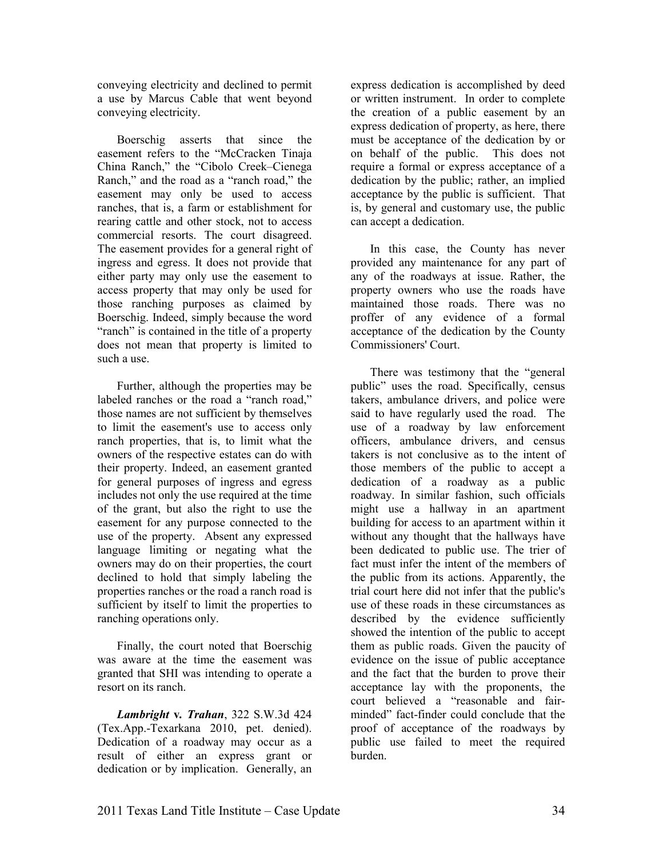conveying electricity and declined to permit a use by Marcus Cable that went beyond conveying electricity.

Boerschig asserts that since the easement refers to the "McCracken Tinaja China Ranch," the "Cibolo Creek–Cienega Ranch," and the road as a "ranch road," the easement may only be used to access ranches, that is, a farm or establishment for rearing cattle and other stock, not to access commercial resorts. The court disagreed. The easement provides for a general right of ingress and egress. It does not provide that either party may only use the easement to access property that may only be used for those ranching purposes as claimed by Boerschig. Indeed, simply because the word "ranch" is contained in the title of a property does not mean that property is limited to such a use.

Further, although the properties may be labeled ranches or the road a "ranch road," those names are not sufficient by themselves to limit the easement's use to access only ranch properties, that is, to limit what the owners of the respective estates can do with their property. Indeed, an easement granted for general purposes of ingress and egress includes not only the use required at the time of the grant, but also the right to use the easement for any purpose connected to the use of the property. Absent any expressed language limiting or negating what the owners may do on their properties, the court declined to hold that simply labeling the properties ranches or the road a ranch road is sufficient by itself to limit the properties to ranching operations only.

Finally, the court noted that Boerschig was aware at the time the easement was granted that SHI was intending to operate a resort on its ranch.

*Lambright* **v***. Trahan*, 322 S.W.3d 424 (Tex.App.-Texarkana 2010, pet. denied). Dedication of a roadway may occur as a result of either an express grant or dedication or by implication. Generally, an

express dedication is accomplished by deed or written instrument. In order to complete the creation of a public easement by an express dedication of property, as here, there must be acceptance of the dedication by or on behalf of the public. This does not require a formal or express acceptance of a dedication by the public; rather, an implied acceptance by the public is sufficient. That is, by general and customary use, the public can accept a dedication.

In this case, the County has never provided any maintenance for any part of any of the roadways at issue. Rather, the property owners who use the roads have maintained those roads. There was no proffer of any evidence of a formal acceptance of the dedication by the County Commissioners' Court.

There was testimony that the "general public" uses the road. Specifically, census takers, ambulance drivers, and police were said to have regularly used the road. The use of a roadway by law enforcement officers, ambulance drivers, and census takers is not conclusive as to the intent of those members of the public to accept a dedication of a roadway as a public roadway. In similar fashion, such officials might use a hallway in an apartment building for access to an apartment within it without any thought that the hallways have been dedicated to public use. The trier of fact must infer the intent of the members of the public from its actions. Apparently, the trial court here did not infer that the public's use of these roads in these circumstances as described by the evidence sufficiently showed the intention of the public to accept them as public roads. Given the paucity of evidence on the issue of public acceptance and the fact that the burden to prove their acceptance lay with the proponents, the court believed a "reasonable and fairminded" fact-finder could conclude that the proof of acceptance of the roadways by public use failed to meet the required burden.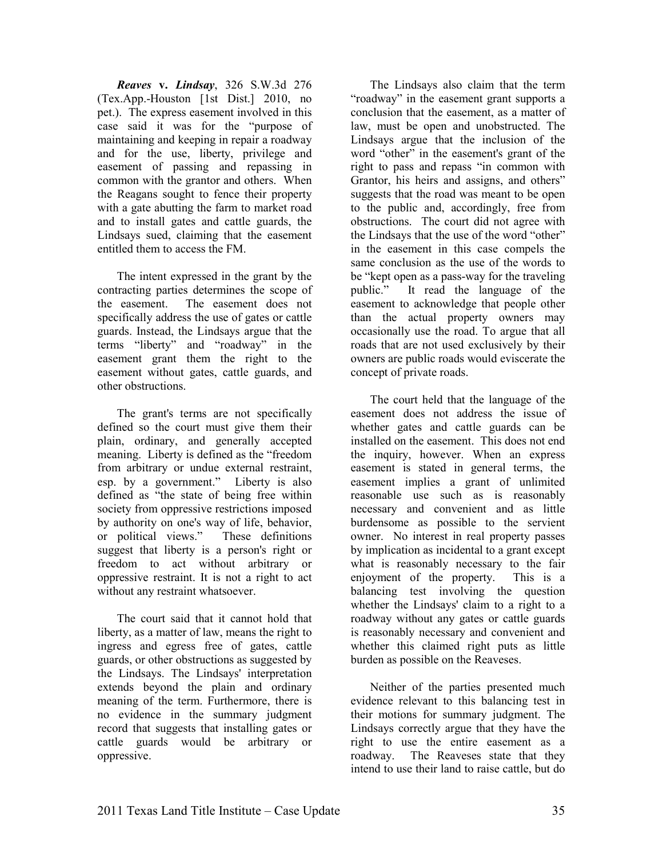*Reaves* **v.** *Lindsay*, 326 S.W.3d 276 (Tex.App.-Houston [1st Dist.] 2010, no pet.). The express easement involved in this case said it was for the "purpose of maintaining and keeping in repair a roadway and for the use, liberty, privilege and easement of passing and repassing in common with the grantor and others. When the Reagans sought to fence their property with a gate abutting the farm to market road and to install gates and cattle guards, the Lindsays sued, claiming that the easement entitled them to access the FM.

The intent expressed in the grant by the contracting parties determines the scope of the easement. The easement does not specifically address the use of gates or cattle guards. Instead, the Lindsays argue that the terms "liberty" and "roadway" in the easement grant them the right to the easement without gates, cattle guards, and other obstructions.

The grant's terms are not specifically defined so the court must give them their plain, ordinary, and generally accepted meaning. Liberty is defined as the "freedom from arbitrary or undue external restraint, esp. by a government." Liberty is also defined as "the state of being free within society from oppressive restrictions imposed by authority on one's way of life, behavior, or political views." These definitions suggest that liberty is a person's right or freedom to act without arbitrary or oppressive restraint. It is not a right to act without any restraint whatsoever.

The court said that it cannot hold that liberty, as a matter of law, means the right to ingress and egress free of gates, cattle guards, or other obstructions as suggested by the Lindsays. The Lindsays' interpretation extends beyond the plain and ordinary meaning of the term. Furthermore, there is no evidence in the summary judgment record that suggests that installing gates or cattle guards would be arbitrary or oppressive.

The Lindsays also claim that the term "roadway" in the easement grant supports a conclusion that the easement, as a matter of law, must be open and unobstructed. The Lindsays argue that the inclusion of the word "other" in the easement's grant of the right to pass and repass "in common with Grantor, his heirs and assigns, and others" suggests that the road was meant to be open to the public and, accordingly, free from obstructions. The court did not agree with the Lindsays that the use of the word "other" in the easement in this case compels the same conclusion as the use of the words to be "kept open as a pass-way for the traveling public." It read the language of the easement to acknowledge that people other than the actual property owners may occasionally use the road. To argue that all roads that are not used exclusively by their owners are public roads would eviscerate the concept of private roads.

The court held that the language of the easement does not address the issue of whether gates and cattle guards can be installed on the easement. This does not end the inquiry, however. When an express easement is stated in general terms, the easement implies a grant of unlimited reasonable use such as is reasonably necessary and convenient and as little burdensome as possible to the servient owner. No interest in real property passes by implication as incidental to a grant except what is reasonably necessary to the fair enjoyment of the property. This is a balancing test involving the question whether the Lindsays' claim to a right to a roadway without any gates or cattle guards is reasonably necessary and convenient and whether this claimed right puts as little burden as possible on the Reaveses.

Neither of the parties presented much evidence relevant to this balancing test in their motions for summary judgment. The Lindsays correctly argue that they have the right to use the entire easement as a roadway. The Reaveses state that they intend to use their land to raise cattle, but do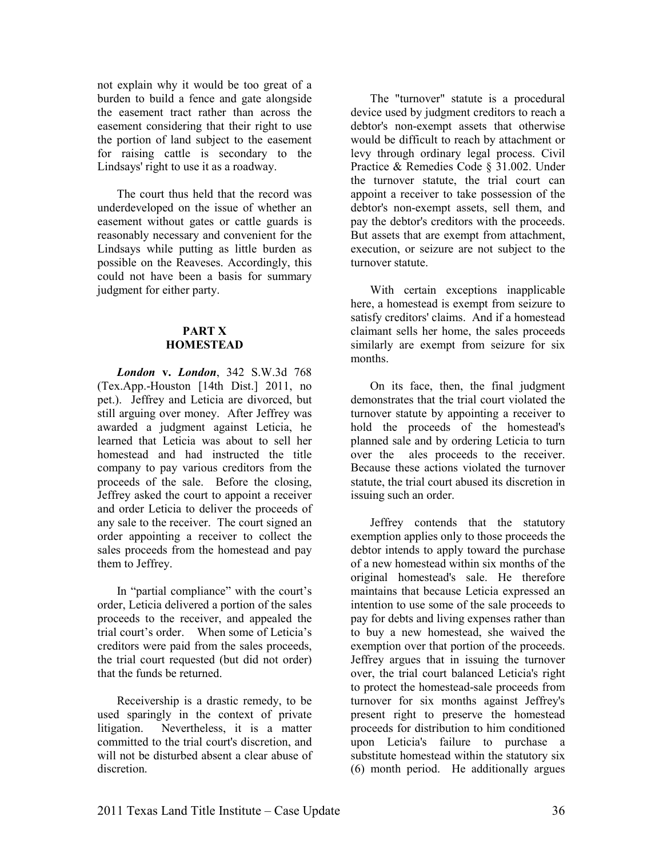not explain why it would be too great of a burden to build a fence and gate alongside the easement tract rather than across the easement considering that their right to use the portion of land subject to the easement for raising cattle is secondary to the Lindsays' right to use it as a roadway.

The court thus held that the record was underdeveloped on the issue of whether an easement without gates or cattle guards is reasonably necessary and convenient for the Lindsays while putting as little burden as possible on the Reaveses. Accordingly, this could not have been a basis for summary judgment for either party.

#### **PART X HOMESTEAD**

*London* **v.** *London*, 342 S.W.3d 768 (Tex.App.-Houston [14th Dist.] 2011, no pet.). Jeffrey and Leticia are divorced, but still arguing over money. After Jeffrey was awarded a judgment against Leticia, he learned that Leticia was about to sell her homestead and had instructed the title company to pay various creditors from the proceeds of the sale. Before the closing, Jeffrey asked the court to appoint a receiver and order Leticia to deliver the proceeds of any sale to the receiver. The court signed an order appointing a receiver to collect the sales proceeds from the homestead and pay them to Jeffrey.

In "partial compliance" with the court's order, Leticia delivered a portion of the sales proceeds to the receiver, and appealed the trial court's order. When some of Leticia's creditors were paid from the sales proceeds, the trial court requested (but did not order) that the funds be returned.

Receivership is a drastic remedy, to be used sparingly in the context of private litigation. Nevertheless, it is a matter committed to the trial court's discretion, and will not be disturbed absent a clear abuse of discretion.

The "turnover" statute is a procedural device used by judgment creditors to reach a debtor's non-exempt assets that otherwise would be difficult to reach by attachment or levy through ordinary legal process. Civil Practice & Remedies Code § 31.002. Under the turnover statute, the trial court can appoint a receiver to take possession of the debtor's non-exempt assets, sell them, and pay the debtor's creditors with the proceeds. But assets that are exempt from attachment, execution, or seizure are not subject to the turnover statute.

With certain exceptions inapplicable here, a homestead is exempt from seizure to satisfy creditors' claims. And if a homestead claimant sells her home, the sales proceeds similarly are exempt from seizure for six months.

On its face, then, the final judgment demonstrates that the trial court violated the turnover statute by appointing a receiver to hold the proceeds of the homestead's planned sale and by ordering Leticia to turn over the ales proceeds to the receiver. Because these actions violated the turnover statute, the trial court abused its discretion in issuing such an order.

Jeffrey contends that the statutory exemption applies only to those proceeds the debtor intends to apply toward the purchase of a new homestead within six months of the original homestead's sale. He therefore maintains that because Leticia expressed an intention to use some of the sale proceeds to pay for debts and living expenses rather than to buy a new homestead, she waived the exemption over that portion of the proceeds. Jeffrey argues that in issuing the turnover over, the trial court balanced Leticia's right to protect the homestead-sale proceeds from turnover for six months against Jeffrey's present right to preserve the homestead proceeds for distribution to him conditioned upon Leticia's failure to purchase a substitute homestead within the statutory six (6) month period. He additionally argues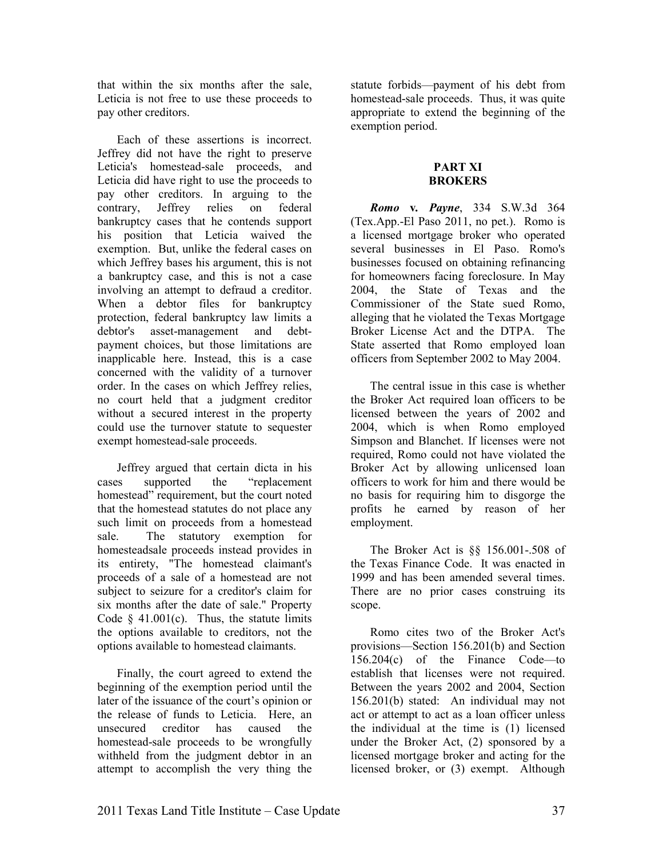that within the six months after the sale, Leticia is not free to use these proceeds to pay other creditors.

Each of these assertions is incorrect. Jeffrey did not have the right to preserve Leticia's homestead-sale proceeds, and Leticia did have right to use the proceeds to pay other creditors. In arguing to the contrary, Jeffrey relies on federal bankruptcy cases that he contends support his position that Leticia waived the exemption. But, unlike the federal cases on which Jeffrey bases his argument, this is not a bankruptcy case, and this is not a case involving an attempt to defraud a creditor. When a debtor files for bankruptcy protection, federal bankruptcy law limits a debtor's asset-management and debtpayment choices, but those limitations are inapplicable here. Instead, this is a case concerned with the validity of a turnover order. In the cases on which Jeffrey relies, no court held that a judgment creditor without a secured interest in the property could use the turnover statute to sequester exempt homestead-sale proceeds.

Jeffrey argued that certain dicta in his cases supported the "replacement homestead" requirement, but the court noted that the homestead statutes do not place any such limit on proceeds from a homestead sale. The statutory exemption for homesteadsale proceeds instead provides in its entirety, "The homestead claimant's proceeds of a sale of a homestead are not subject to seizure for a creditor's claim for six months after the date of sale." Property Code  $§$  41.001(c). Thus, the statute limits the options available to creditors, not the options available to homestead claimants.

Finally, the court agreed to extend the beginning of the exemption period until the later of the issuance of the court's opinion or the release of funds to Leticia. Here, an unsecured creditor has caused the homestead-sale proceeds to be wrongfully withheld from the judgment debtor in an attempt to accomplish the very thing the

statute forbids—payment of his debt from homestead-sale proceeds. Thus, it was quite appropriate to extend the beginning of the exemption period.

#### **PART XI BROKERS**

*Romo* **v***. Payne*, 334 S.W.3d 364 (Tex.App.-El Paso 2011, no pet.). Romo is a licensed mortgage broker who operated several businesses in El Paso. Romo's businesses focused on obtaining refinancing for homeowners facing foreclosure. In May 2004, the State of Texas and the Commissioner of the State sued Romo, alleging that he violated the Texas Mortgage Broker License Act and the DTPA. The State asserted that Romo employed loan officers from September 2002 to May 2004.

The central issue in this case is whether the Broker Act required loan officers to be licensed between the years of 2002 and 2004, which is when Romo employed Simpson and Blanchet. If licenses were not required, Romo could not have violated the Broker Act by allowing unlicensed loan officers to work for him and there would be no basis for requiring him to disgorge the profits he earned by reason of her employment.

The Broker Act is §§ 156.001-.508 of the Texas Finance Code. It was enacted in 1999 and has been amended several times. There are no prior cases construing its scope.

Romo cites two of the Broker Act's provisions—Section 156.201(b) and Section 156.204(c) of the Finance Code—to establish that licenses were not required. Between the years 2002 and 2004, Section 156.201(b) stated: An individual may not act or attempt to act as a loan officer unless the individual at the time is (1) licensed under the Broker Act, (2) sponsored by a licensed mortgage broker and acting for the licensed broker, or (3) exempt. Although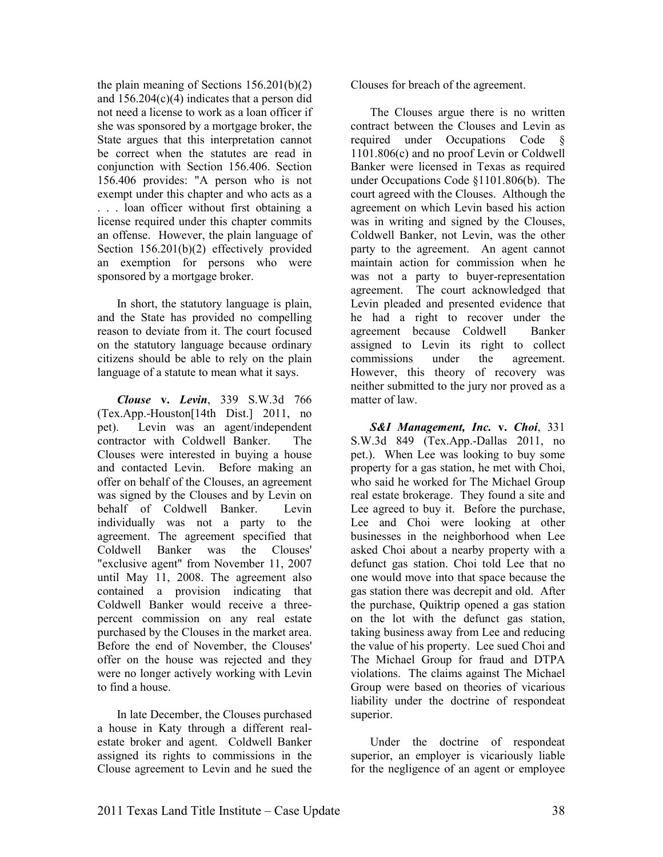the plain meaning of Sections 156.201(b)(2) and  $156.204(c)(4)$  indicates that a person did not need a license to work as a loan officer if she was sponsored by a mortgage broker, the State argues that this interpretation cannot be correct when the statutes are read in conjunction with Section 156.406. Section 156.406 provides: "A person who is not exempt under this chapter and who acts as a . . . loan officer without first obtaining a license required under this chapter commits an offense. However, the plain language of Section 156.201(b)(2) effectively provided an exemption for persons who were sponsored by a mortgage broker.

In short, the statutory language is plain, and the State has provided no compelling reason to deviate from it. The court focused on the statutory language because ordinary citizens should be able to rely on the plain language of a statute to mean what it says.

*Clouse* **v.** *Levin*, 339 S.W.3d 766 (Tex.App.-Houston[14th Dist.] 2011, no pet). Levin was an agent/independent contractor with Coldwell Banker. The Clouses were interested in buying a house and contacted Levin. Before making an offer on behalf of the Clouses, an agreement was signed by the Clouses and by Levin on behalf of Coldwell Banker. Levin individually was not a party to the agreement. The agreement specified that Coldwell Banker was the Clouses' "exclusive agent" from November 11, 2007 until May 11, 2008. The agreement also contained a provision indicating that Coldwell Banker would receive a threepercent commission on any real estate purchased by the Clouses in the market area. Before the end of November, the Clouses' offer on the house was rejected and they were no longer actively working with Levin to find a house.

In late December, the Clouses purchased a house in Katy through a different realestate broker and agent. Coldwell Banker assigned its rights to commissions in the Clouse agreement to Levin and he sued the

Clouses for breach of the agreement.

The Clouses argue there is no written contract between the Clouses and Levin as required under Occupations Code 1101.806(c) and no proof Levin or Coldwell Banker were licensed in Texas as required under Occupations Code §1101.806(b). The court agreed with the Clouses. Although the agreement on which Levin based his action was in writing and signed by the Clouses, Coldwell Banker, not Levin, was the other party to the agreement. An agent cannot maintain action for commission when he was not a party to buyer-representation agreement. The court acknowledged that Levin pleaded and presented evidence that he had a right to recover under the agreement because Coldwell Banker assigned to Levin its right to collect commissions under the agreement. However, this theory of recovery was neither submitted to the jury nor proved as a matter of law.

*S&I Management, Inc.* **v.** *Choi*, 331 S.W.3d 849 (Tex.App.-Dallas 2011, no pet.). When Lee was looking to buy some property for a gas station, he met with Choi, who said he worked for The Michael Group real estate brokerage. They found a site and Lee agreed to buy it. Before the purchase, Lee and Choi were looking at other businesses in the neighborhood when Lee asked Choi about a nearby property with a defunct gas station. Choi told Lee that no one would move into that space because the gas station there was decrepit and old. After the purchase, Quiktrip opened a gas station on the lot with the defunct gas station, taking business away from Lee and reducing the value of his property. Lee sued Choi and The Michael Group for fraud and DTPA violations. The claims against The Michael Group were based on theories of vicarious liability under the doctrine of respondeat superior.

Under the doctrine of respondeat superior, an employer is vicariously liable for the negligence of an agent or employee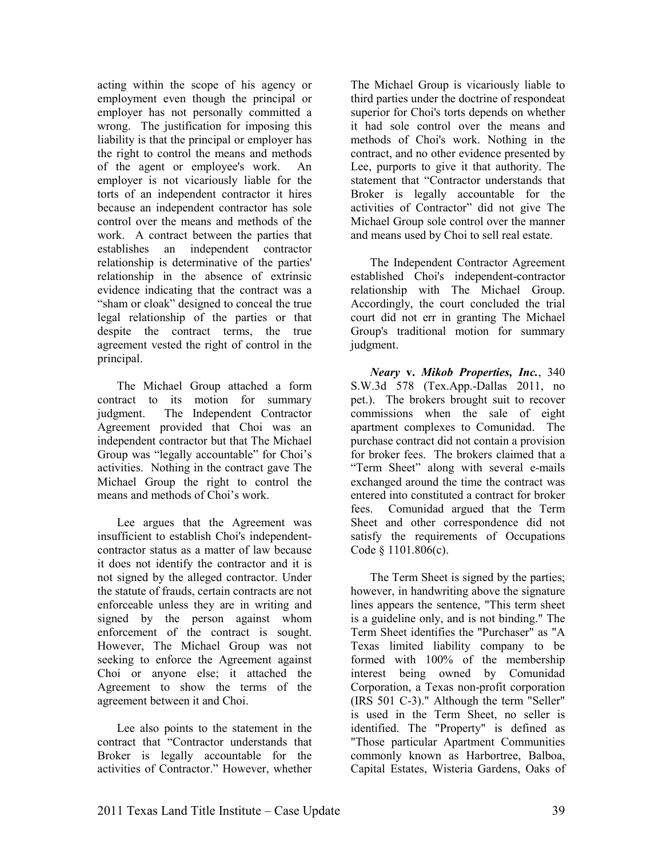acting within the scope of his agency or employment even though the principal or employer has not personally committed a wrong. The justification for imposing this liability is that the principal or employer has the right to control the means and methods of the agent or employee's work. An employer is not vicariously liable for the torts of an independent contractor it hires because an independent contractor has sole control over the means and methods of the work. A contract between the parties that establishes an independent contractor relationship is determinative of the parties' relationship in the absence of extrinsic evidence indicating that the contract was a "sham or cloak" designed to conceal the true legal relationship of the parties or that despite the contract terms, the true agreement vested the right of control in the principal.

The Michael Group attached a form contract to its motion for summary judgment. The Independent Contractor Agreement provided that Choi was an independent contractor but that The Michael Group was "legally accountable" for Choi's activities. Nothing in the contract gave The Michael Group the right to control the means and methods of Choi's work.

Lee argues that the Agreement was insufficient to establish Choi's independentcontractor status as a matter of law because it does not identify the contractor and it is not signed by the alleged contractor. Under the statute of frauds, certain contracts are not enforceable unless they are in writing and signed by the person against whom enforcement of the contract is sought. However, The Michael Group was not seeking to enforce the Agreement against Choi or anyone else; it attached the Agreement to show the terms of the agreement between it and Choi.

Lee also points to the statement in the contract that "Contractor understands that Broker is legally accountable for the activities of Contractor." However, whether

The Michael Group is vicariously liable to third parties under the doctrine of respondeat superior for Choi's torts depends on whether it had sole control over the means and methods of Choi's work. Nothing in the contract, and no other evidence presented by Lee, purports to give it that authority. The statement that "Contractor understands that Broker is legally accountable for the activities of Contractor" did not give The Michael Group sole control over the manner and means used by Choi to sell real estate.

The Independent Contractor Agreement established Choi's independent-contractor relationship with The Michael Group. Accordingly, the court concluded the trial court did not err in granting The Michael Group's traditional motion for summary judgment.

*eary* **v.** *Mikob Properties, Inc.*, 340 S.W.3d 578 (Tex.App.-Dallas 2011, no pet.). The brokers brought suit to recover commissions when the sale of eight apartment complexes to Comunidad. The purchase contract did not contain a provision for broker fees. The brokers claimed that a "Term Sheet" along with several e-mails exchanged around the time the contract was entered into constituted a contract for broker fees. Comunidad argued that the Term Sheet and other correspondence did not satisfy the requirements of Occupations Code § 1101.806(c).

The Term Sheet is signed by the parties; however, in handwriting above the signature lines appears the sentence, "This term sheet is a guideline only, and is not binding." The Term Sheet identifies the "Purchaser" as "A Texas limited liability company to be formed with 100% of the membership interest being owned by Comunidad Corporation, a Texas non-profit corporation (IRS 501 C-3)." Although the term "Seller" is used in the Term Sheet, no seller is identified. The "Property" is defined as "Those particular Apartment Communities commonly known as Harbortree, Balboa, Capital Estates, Wisteria Gardens, Oaks of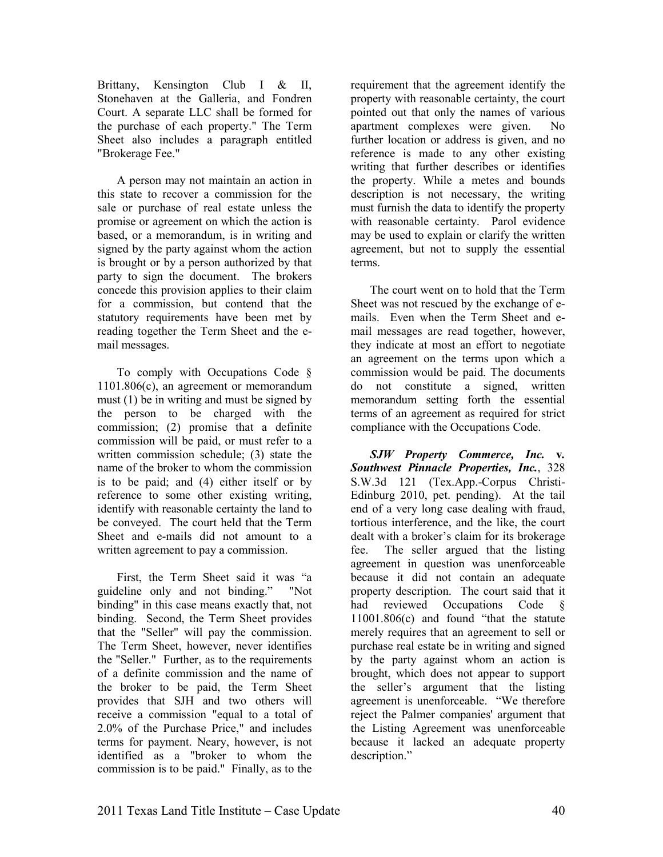Brittany, Kensington Club I & II, Stonehaven at the Galleria, and Fondren Court. A separate LLC shall be formed for the purchase of each property." The Term Sheet also includes a paragraph entitled "Brokerage Fee."

A person may not maintain an action in this state to recover a commission for the sale or purchase of real estate unless the promise or agreement on which the action is based, or a memorandum, is in writing and signed by the party against whom the action is brought or by a person authorized by that party to sign the document. The brokers concede this provision applies to their claim for a commission, but contend that the statutory requirements have been met by reading together the Term Sheet and the email messages.

To comply with Occupations Code § 1101.806(c), an agreement or memorandum must (1) be in writing and must be signed by the person to be charged with the commission; (2) promise that a definite commission will be paid, or must refer to a written commission schedule; (3) state the name of the broker to whom the commission is to be paid; and (4) either itself or by reference to some other existing writing, identify with reasonable certainty the land to be conveyed. The court held that the Term Sheet and e-mails did not amount to a written agreement to pay a commission.

First, the Term Sheet said it was "a guideline only and not binding." "Not binding" in this case means exactly that, not binding. Second, the Term Sheet provides that the "Seller" will pay the commission. The Term Sheet, however, never identifies the "Seller." Further, as to the requirements of a definite commission and the name of the broker to be paid, the Term Sheet provides that SJH and two others will receive a commission "equal to a total of 2.0% of the Purchase Price," and includes terms for payment. Neary, however, is not identified as a "broker to whom the commission is to be paid." Finally, as to the

requirement that the agreement identify the property with reasonable certainty, the court pointed out that only the names of various apartment complexes were given. No further location or address is given, and no reference is made to any other existing writing that further describes or identifies the property. While a metes and bounds description is not necessary, the writing must furnish the data to identify the property with reasonable certainty. Parol evidence may be used to explain or clarify the written agreement, but not to supply the essential terms.

The court went on to hold that the Term Sheet was not rescued by the exchange of emails. Even when the Term Sheet and email messages are read together, however, they indicate at most an effort to negotiate an agreement on the terms upon which a commission would be paid. The documents do not constitute a signed, written memorandum setting forth the essential terms of an agreement as required for strict compliance with the Occupations Code.

*SJW Property Commerce, Inc.* **v***. Southwest Pinnacle Properties, Inc.*, 328 S.W.3d 121 (Tex.App.-Corpus Christi-Edinburg 2010, pet. pending). At the tail end of a very long case dealing with fraud, tortious interference, and the like, the court dealt with a broker's claim for its brokerage fee. The seller argued that the listing agreement in question was unenforceable because it did not contain an adequate property description. The court said that it had reviewed Occupations Code 11001.806(c) and found "that the statute merely requires that an agreement to sell or purchase real estate be in writing and signed by the party against whom an action is brought, which does not appear to support the seller's argument that the listing agreement is unenforceable. "We therefore reject the Palmer companies' argument that the Listing Agreement was unenforceable because it lacked an adequate property description."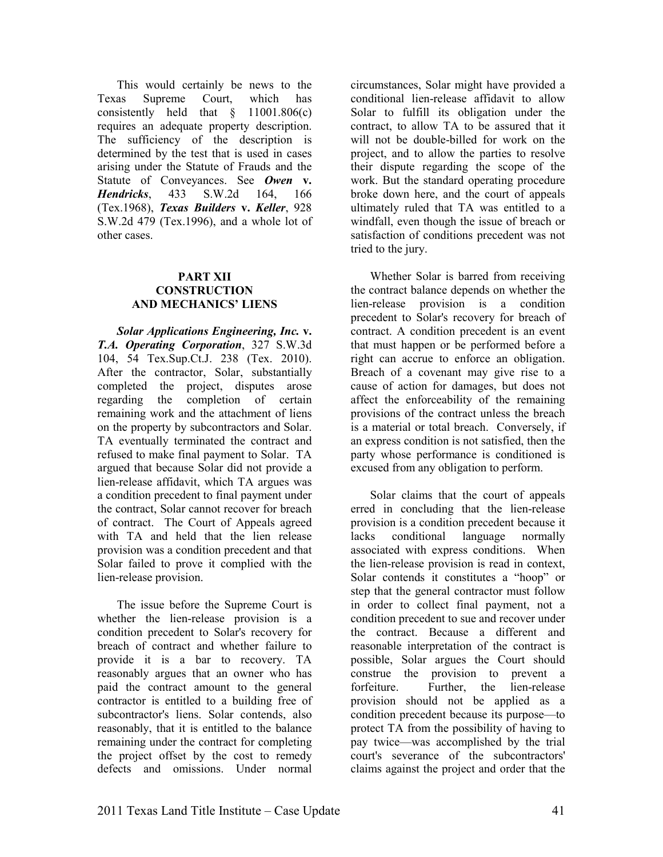This would certainly be news to the Texas Supreme Court, which has consistently held that § 11001.806(c) requires an adequate property description. The sufficiency of the description is determined by the test that is used in cases arising under the Statute of Frauds and the Statute of Conveyances. See *Owen* **v.** *Hendricks*, 433 S.W.2d 164, 166 (Tex.1968), *Texas Builders* **v.** *Keller*, 928 S.W.2d 479 (Tex.1996), and a whole lot of other cases.

#### **PART XII CONSTRUCTION AND MECHANICS' LIENS**

*Solar Applications Engineering, Inc.* **v.**  *T.A. Operating Corporation*, 327 S.W.3d 104, 54 Tex.Sup.Ct.J. 238 (Tex. 2010). After the contractor, Solar, substantially completed the project, disputes arose regarding the completion of certain remaining work and the attachment of liens on the property by subcontractors and Solar. TA eventually terminated the contract and refused to make final payment to Solar. TA argued that because Solar did not provide a lien-release affidavit, which TA argues was a condition precedent to final payment under the contract, Solar cannot recover for breach of contract. The Court of Appeals agreed with TA and held that the lien release provision was a condition precedent and that Solar failed to prove it complied with the lien-release provision.

The issue before the Supreme Court is whether the lien-release provision is a condition precedent to Solar's recovery for breach of contract and whether failure to provide it is a bar to recovery. TA reasonably argues that an owner who has paid the contract amount to the general contractor is entitled to a building free of subcontractor's liens. Solar contends, also reasonably, that it is entitled to the balance remaining under the contract for completing the project offset by the cost to remedy defects and omissions. Under normal

circumstances, Solar might have provided a conditional lien-release affidavit to allow Solar to fulfill its obligation under the contract, to allow TA to be assured that it will not be double-billed for work on the project, and to allow the parties to resolve their dispute regarding the scope of the work. But the standard operating procedure broke down here, and the court of appeals ultimately ruled that TA was entitled to a windfall, even though the issue of breach or satisfaction of conditions precedent was not tried to the jury.

Whether Solar is barred from receiving the contract balance depends on whether the lien-release provision is a condition precedent to Solar's recovery for breach of contract. A condition precedent is an event that must happen or be performed before a right can accrue to enforce an obligation. Breach of a covenant may give rise to a cause of action for damages, but does not affect the enforceability of the remaining provisions of the contract unless the breach is a material or total breach. Conversely, if an express condition is not satisfied, then the party whose performance is conditioned is excused from any obligation to perform.

Solar claims that the court of appeals erred in concluding that the lien-release provision is a condition precedent because it lacks conditional language normally associated with express conditions. When the lien-release provision is read in context, Solar contends it constitutes a "hoop" or step that the general contractor must follow in order to collect final payment, not a condition precedent to sue and recover under the contract. Because a different and reasonable interpretation of the contract is possible, Solar argues the Court should construe the provision to prevent a forfeiture. Further, the lien-release provision should not be applied as a condition precedent because its purpose—to protect TA from the possibility of having to pay twice—was accomplished by the trial court's severance of the subcontractors' claims against the project and order that the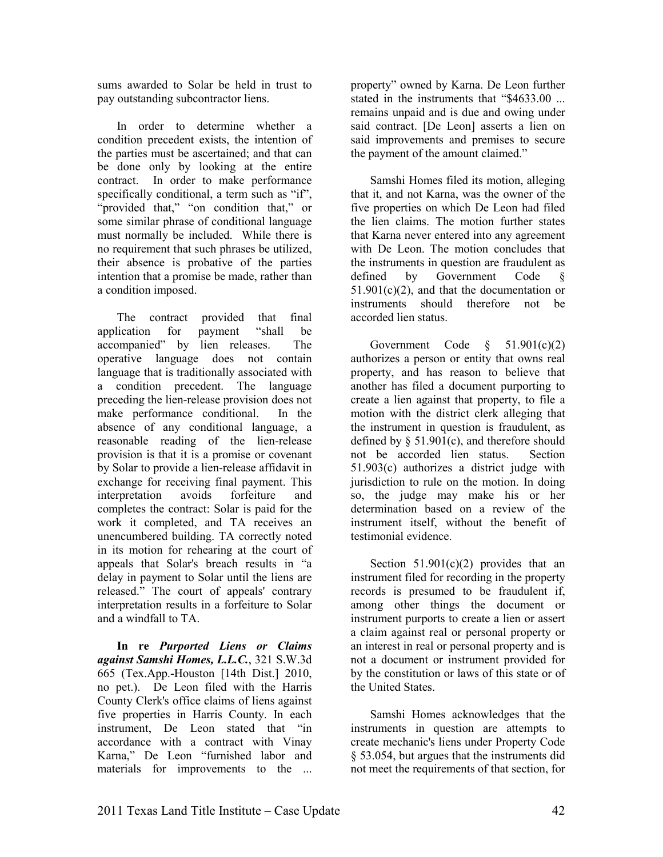sums awarded to Solar be held in trust to pay outstanding subcontractor liens.

In order to determine whether a condition precedent exists, the intention of the parties must be ascertained; and that can be done only by looking at the entire contract. In order to make performance specifically conditional, a term such as "if", "provided that," "on condition that," or some similar phrase of conditional language must normally be included. While there is no requirement that such phrases be utilized, their absence is probative of the parties intention that a promise be made, rather than a condition imposed.

The contract provided that final application for payment "shall be accompanied" by lien releases. The operative language does not contain language that is traditionally associated with a condition precedent. The language preceding the lien-release provision does not make performance conditional. In the absence of any conditional language, a reasonable reading of the lien-release provision is that it is a promise or covenant by Solar to provide a lien-release affidavit in exchange for receiving final payment. This interpretation avoids forfeiture and completes the contract: Solar is paid for the work it completed, and TA receives an unencumbered building. TA correctly noted in its motion for rehearing at the court of appeals that Solar's breach results in "a delay in payment to Solar until the liens are released." The court of appeals' contrary interpretation results in a forfeiture to Solar and a windfall to TA.

**In re** *Purported Liens or Claims against Samshi Homes, L.L.C.*, 321 S.W.3d 665 (Tex.App.-Houston [14th Dist.] 2010, no pet.). De Leon filed with the Harris County Clerk's office claims of liens against five properties in Harris County. In each instrument, De Leon stated that "in accordance with a contract with Vinay Karna," De Leon "furnished labor and materials for improvements to the ...

property" owned by Karna. De Leon further stated in the instruments that "\$4633.00 ... remains unpaid and is due and owing under said contract. [De Leon] asserts a lien on said improvements and premises to secure the payment of the amount claimed."

Samshi Homes filed its motion, alleging that it, and not Karna, was the owner of the five properties on which De Leon had filed the lien claims. The motion further states that Karna never entered into any agreement with De Leon. The motion concludes that the instruments in question are fraudulent as defined by Government Code §  $51.901(c)(2)$ , and that the documentation or instruments should therefore not be accorded lien status.

Government Code  $\S$  51.901(c)(2) authorizes a person or entity that owns real property, and has reason to believe that another has filed a document purporting to create a lien against that property, to file a motion with the district clerk alleging that the instrument in question is fraudulent, as defined by § 51.901(c), and therefore should not be accorded lien status. Section 51.903(c) authorizes a district judge with jurisdiction to rule on the motion. In doing so, the judge may make his or her determination based on a review of the instrument itself, without the benefit of testimonial evidence.

Section  $51.901(c)(2)$  provides that an instrument filed for recording in the property records is presumed to be fraudulent if, among other things the document or instrument purports to create a lien or assert a claim against real or personal property or an interest in real or personal property and is not a document or instrument provided for by the constitution or laws of this state or of the United States.

Samshi Homes acknowledges that the instruments in question are attempts to create mechanic's liens under Property Code § 53.054, but argues that the instruments did not meet the requirements of that section, for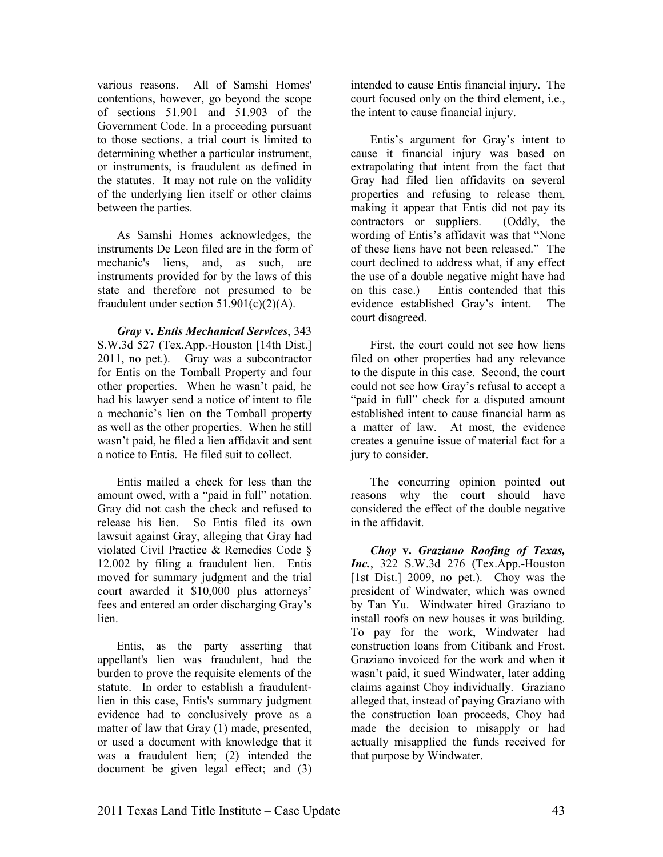various reasons. All of Samshi Homes' contentions, however, go beyond the scope of sections 51.901 and 51.903 of the Government Code. In a proceeding pursuant to those sections, a trial court is limited to determining whether a particular instrument, or instruments, is fraudulent as defined in the statutes. It may not rule on the validity of the underlying lien itself or other claims between the parties.

As Samshi Homes acknowledges, the instruments De Leon filed are in the form of mechanic's liens, and, as such, are instruments provided for by the laws of this state and therefore not presumed to be fraudulent under section  $51.901(c)(2)(A)$ .

*Gray* **v.** *Entis Mechanical Services*, 343 S.W.3d 527 (Tex.App.-Houston [14th Dist.] 2011, no pet.). Gray was a subcontractor for Entis on the Tomball Property and four other properties. When he wasn't paid, he had his lawyer send a notice of intent to file a mechanic's lien on the Tomball property as well as the other properties. When he still wasn't paid, he filed a lien affidavit and sent a notice to Entis. He filed suit to collect.

Entis mailed a check for less than the amount owed, with a "paid in full" notation. Gray did not cash the check and refused to release his lien. So Entis filed its own lawsuit against Gray, alleging that Gray had violated Civil Practice & Remedies Code § 12.002 by filing a fraudulent lien. Entis moved for summary judgment and the trial court awarded it \$10,000 plus attorneys' fees and entered an order discharging Gray's lien

Entis, as the party asserting that appellant's lien was fraudulent, had the burden to prove the requisite elements of the statute. In order to establish a fraudulentlien in this case, Entis's summary judgment evidence had to conclusively prove as a matter of law that Gray (1) made, presented. or used a document with knowledge that it was a fraudulent lien; (2) intended the document be given legal effect; and (3) intended to cause Entis financial injury. The court focused only on the third element, i.e., the intent to cause financial injury.

Entis's argument for Gray's intent to cause it financial injury was based on extrapolating that intent from the fact that Gray had filed lien affidavits on several properties and refusing to release them, making it appear that Entis did not pay its contractors or suppliers. (Oddly, the wording of Entis's affidavit was that "None of these liens have not been released." The court declined to address what, if any effect the use of a double negative might have had on this case.) Entis contended that this evidence established Gray's intent. The court disagreed.

First, the court could not see how liens filed on other properties had any relevance to the dispute in this case. Second, the court could not see how Gray's refusal to accept a "paid in full" check for a disputed amount established intent to cause financial harm as a matter of law. At most, the evidence creates a genuine issue of material fact for a jury to consider.

The concurring opinion pointed out reasons why the court should have considered the effect of the double negative in the affidavit.

*Choy* **v.** *Graziano Roofing of Texas, Inc.*, 322 S.W.3d 276 (Tex.App.-Houston [1st Dist.] 2009, no pet.). Choy was the president of Windwater, which was owned by Tan Yu. Windwater hired Graziano to install roofs on new houses it was building. To pay for the work, Windwater had construction loans from Citibank and Frost. Graziano invoiced for the work and when it wasn't paid, it sued Windwater, later adding claims against Choy individually. Graziano alleged that, instead of paying Graziano with the construction loan proceeds, Choy had made the decision to misapply or had actually misapplied the funds received for that purpose by Windwater.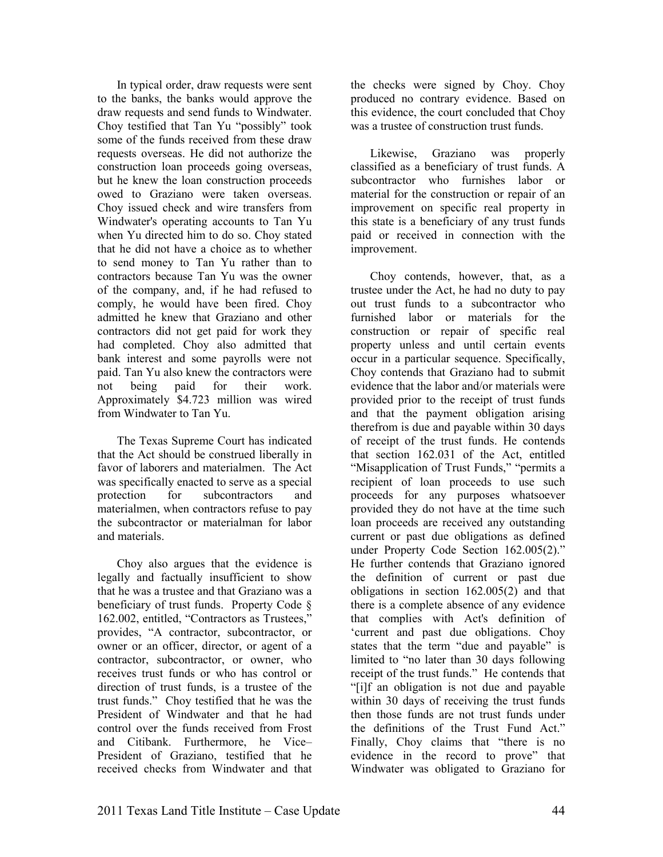In typical order, draw requests were sent to the banks, the banks would approve the draw requests and send funds to Windwater. Choy testified that Tan Yu "possibly" took some of the funds received from these draw requests overseas. He did not authorize the construction loan proceeds going overseas, but he knew the loan construction proceeds owed to Graziano were taken overseas. Choy issued check and wire transfers from Windwater's operating accounts to Tan Yu when Yu directed him to do so. Choy stated that he did not have a choice as to whether to send money to Tan Yu rather than to contractors because Tan Yu was the owner of the company, and, if he had refused to comply, he would have been fired. Choy admitted he knew that Graziano and other contractors did not get paid for work they had completed. Choy also admitted that bank interest and some payrolls were not paid. Tan Yu also knew the contractors were not being paid for their work. Approximately \$4.723 million was wired from Windwater to Tan Yu.

The Texas Supreme Court has indicated that the Act should be construed liberally in favor of laborers and materialmen. The Act was specifically enacted to serve as a special protection for subcontractors and materialmen, when contractors refuse to pay the subcontractor or materialman for labor and materials.

Choy also argues that the evidence is legally and factually insufficient to show that he was a trustee and that Graziano was a beneficiary of trust funds. Property Code § 162.002, entitled, "Contractors as Trustees," provides, "A contractor, subcontractor, or owner or an officer, director, or agent of a contractor, subcontractor, or owner, who receives trust funds or who has control or direction of trust funds, is a trustee of the trust funds." Choy testified that he was the President of Windwater and that he had control over the funds received from Frost and Citibank. Furthermore, he Vice– President of Graziano, testified that he received checks from Windwater and that

the checks were signed by Choy. Choy produced no contrary evidence. Based on this evidence, the court concluded that Choy was a trustee of construction trust funds.

Likewise, Graziano was properly classified as a beneficiary of trust funds. A subcontractor who furnishes labor or material for the construction or repair of an improvement on specific real property in this state is a beneficiary of any trust funds paid or received in connection with the improvement.

Choy contends, however, that, as a trustee under the Act, he had no duty to pay out trust funds to a subcontractor who furnished labor or materials for the construction or repair of specific real property unless and until certain events occur in a particular sequence. Specifically, Choy contends that Graziano had to submit evidence that the labor and/or materials were provided prior to the receipt of trust funds and that the payment obligation arising therefrom is due and payable within 30 days of receipt of the trust funds. He contends that section 162.031 of the Act, entitled "Misapplication of Trust Funds," "permits a recipient of loan proceeds to use such proceeds for any purposes whatsoever provided they do not have at the time such loan proceeds are received any outstanding current or past due obligations as defined under Property Code Section 162.005(2)." He further contends that Graziano ignored the definition of current or past due obligations in section 162.005(2) and that there is a complete absence of any evidence that complies with Act's definition of 'current and past due obligations. Choy states that the term "due and payable" is limited to "no later than 30 days following receipt of the trust funds." He contends that "[i]f an obligation is not due and payable within 30 days of receiving the trust funds then those funds are not trust funds under the definitions of the Trust Fund Act." Finally, Choy claims that "there is no evidence in the record to prove" that Windwater was obligated to Graziano for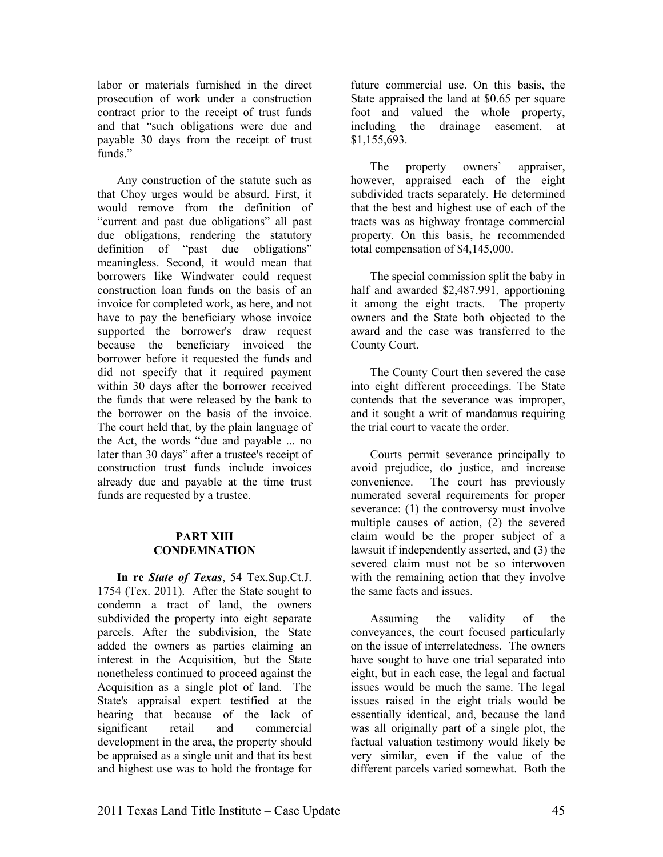labor or materials furnished in the direct prosecution of work under a construction contract prior to the receipt of trust funds and that "such obligations were due and payable 30 days from the receipt of trust funds."

Any construction of the statute such as that Choy urges would be absurd. First, it would remove from the definition of "current and past due obligations" all past due obligations, rendering the statutory definition of "past due obligations" meaningless. Second, it would mean that borrowers like Windwater could request construction loan funds on the basis of an invoice for completed work, as here, and not have to pay the beneficiary whose invoice supported the borrower's draw request because the beneficiary invoiced the borrower before it requested the funds and did not specify that it required payment within 30 days after the borrower received the funds that were released by the bank to the borrower on the basis of the invoice. The court held that, by the plain language of the Act, the words "due and payable ... no later than 30 days" after a trustee's receipt of construction trust funds include invoices already due and payable at the time trust funds are requested by a trustee.

#### **PART XIII CONDEMNATION**

**In re** *State of Texas*, 54 Tex.Sup.Ct.J. 1754 (Tex. 2011). After the State sought to condemn a tract of land, the owners subdivided the property into eight separate parcels. After the subdivision, the State added the owners as parties claiming an interest in the Acquisition, but the State nonetheless continued to proceed against the Acquisition as a single plot of land. The State's appraisal expert testified at the hearing that because of the lack of significant retail and commercial development in the area, the property should be appraised as a single unit and that its best and highest use was to hold the frontage for

future commercial use. On this basis, the State appraised the land at \$0.65 per square foot and valued the whole property, including the drainage easement, at \$1,155,693.

The property owners' appraiser, however, appraised each of the eight subdivided tracts separately. He determined that the best and highest use of each of the tracts was as highway frontage commercial property. On this basis, he recommended total compensation of \$4,145,000.

The special commission split the baby in half and awarded \$2,487.991, apportioning it among the eight tracts. The property owners and the State both objected to the award and the case was transferred to the County Court.

The County Court then severed the case into eight different proceedings. The State contends that the severance was improper, and it sought a writ of mandamus requiring the trial court to vacate the order.

Courts permit severance principally to avoid prejudice, do justice, and increase convenience. The court has previously numerated several requirements for proper severance: (1) the controversy must involve multiple causes of action, (2) the severed claim would be the proper subject of a lawsuit if independently asserted, and (3) the severed claim must not be so interwoven with the remaining action that they involve the same facts and issues.

Assuming the validity of the conveyances, the court focused particularly on the issue of interrelatedness. The owners have sought to have one trial separated into eight, but in each case, the legal and factual issues would be much the same. The legal issues raised in the eight trials would be essentially identical, and, because the land was all originally part of a single plot, the factual valuation testimony would likely be very similar, even if the value of the different parcels varied somewhat. Both the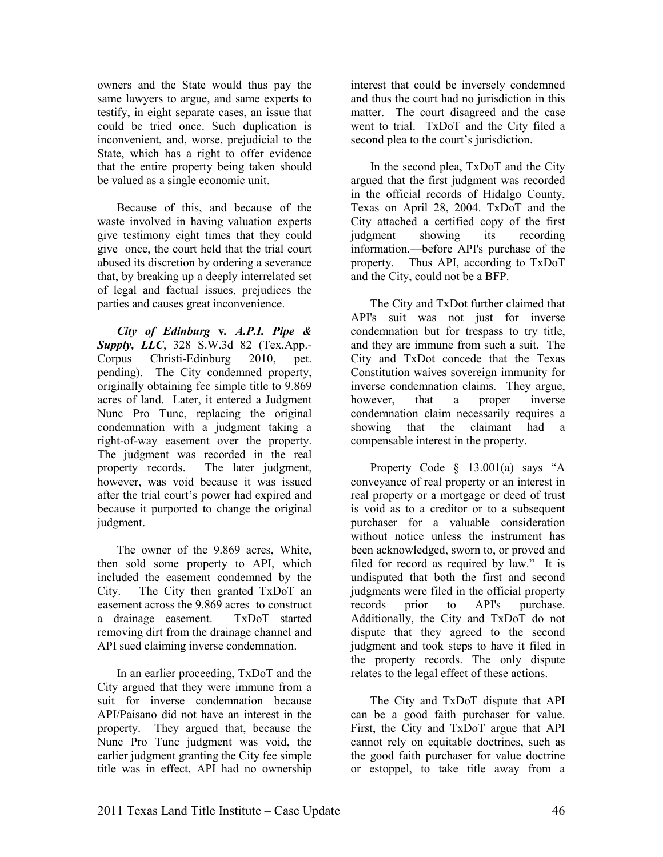owners and the State would thus pay the same lawyers to argue, and same experts to testify, in eight separate cases, an issue that could be tried once. Such duplication is inconvenient, and, worse, prejudicial to the State, which has a right to offer evidence that the entire property being taken should be valued as a single economic unit.

Because of this, and because of the waste involved in having valuation experts give testimony eight times that they could give once, the court held that the trial court abused its discretion by ordering a severance that, by breaking up a deeply interrelated set of legal and factual issues, prejudices the parties and causes great inconvenience.

*City of Edinburg* **v***. A.P.I. Pipe & Supply, LLC*, 328 S.W.3d 82 (Tex.App.- Corpus Christi-Edinburg 2010, pet. pending). The City condemned property, originally obtaining fee simple title to 9.869 acres of land. Later, it entered a Judgment Nunc Pro Tunc, replacing the original condemnation with a judgment taking a right-of-way easement over the property. The judgment was recorded in the real property records. The later judgment, however, was void because it was issued after the trial court's power had expired and because it purported to change the original judgment.

The owner of the 9.869 acres, White, then sold some property to API, which included the easement condemned by the City. The City then granted TxDoT an easement across the 9.869 acres to construct a drainage easement. TxDoT started removing dirt from the drainage channel and API sued claiming inverse condemnation.

In an earlier proceeding, TxDoT and the City argued that they were immune from a suit for inverse condemnation because API/Paisano did not have an interest in the property. They argued that, because the Nunc Pro Tunc judgment was void, the earlier judgment granting the City fee simple title was in effect, API had no ownership

interest that could be inversely condemned and thus the court had no jurisdiction in this matter. The court disagreed and the case went to trial. TxDoT and the City filed a second plea to the court's jurisdiction.

In the second plea, TxDoT and the City argued that the first judgment was recorded in the official records of Hidalgo County, Texas on April 28, 2004. TxDoT and the City attached a certified copy of the first judgment showing its recording information.—before API's purchase of the property. Thus API, according to TxDoT and the City, could not be a BFP.

The City and TxDot further claimed that API's suit was not just for inverse condemnation but for trespass to try title, and they are immune from such a suit. The City and TxDot concede that the Texas Constitution waives sovereign immunity for inverse condemnation claims. They argue, however, that a proper inverse condemnation claim necessarily requires a showing that the claimant had a compensable interest in the property.

Property Code § 13.001(a) says "A conveyance of real property or an interest in real property or a mortgage or deed of trust is void as to a creditor or to a subsequent purchaser for a valuable consideration without notice unless the instrument has been acknowledged, sworn to, or proved and filed for record as required by law." It is undisputed that both the first and second judgments were filed in the official property records prior to API's purchase. Additionally, the City and TxDoT do not dispute that they agreed to the second judgment and took steps to have it filed in the property records. The only dispute relates to the legal effect of these actions.

The City and TxDoT dispute that API can be a good faith purchaser for value. First, the City and TxDoT argue that API cannot rely on equitable doctrines, such as the good faith purchaser for value doctrine or estoppel, to take title away from a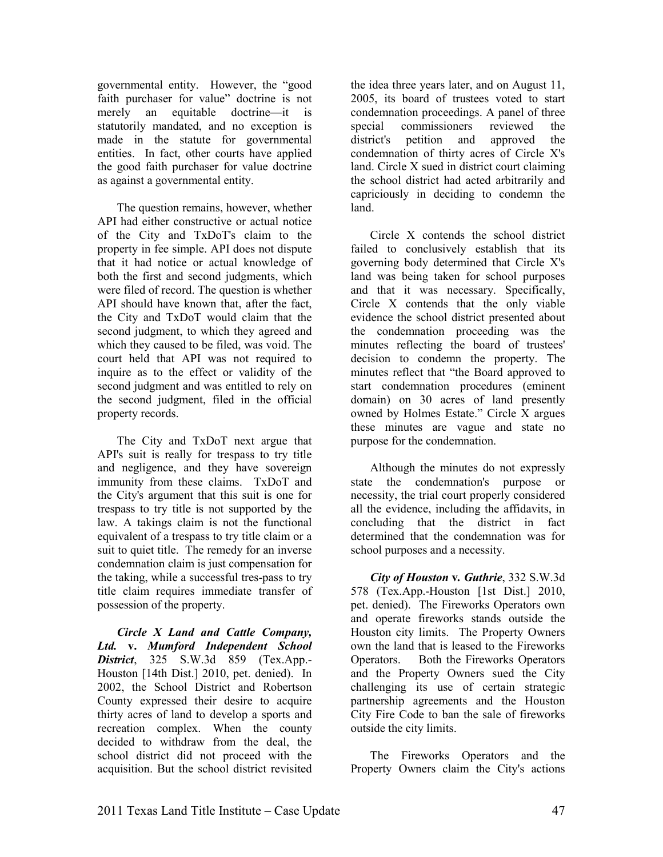governmental entity. However, the "good faith purchaser for value" doctrine is not merely an equitable doctrine—it is statutorily mandated, and no exception is made in the statute for governmental entities. In fact, other courts have applied the good faith purchaser for value doctrine as against a governmental entity.

The question remains, however, whether API had either constructive or actual notice of the City and TxDoT's claim to the property in fee simple. API does not dispute that it had notice or actual knowledge of both the first and second judgments, which were filed of record. The question is whether API should have known that, after the fact, the City and TxDoT would claim that the second judgment, to which they agreed and which they caused to be filed, was void. The court held that API was not required to inquire as to the effect or validity of the second judgment and was entitled to rely on the second judgment, filed in the official property records.

The City and TxDoT next argue that API's suit is really for trespass to try title and negligence, and they have sovereign immunity from these claims. TxDoT and the City's argument that this suit is one for trespass to try title is not supported by the law. A takings claim is not the functional equivalent of a trespass to try title claim or a suit to quiet title. The remedy for an inverse condemnation claim is just compensation for the taking, while a successful tres-pass to try title claim requires immediate transfer of possession of the property.

*Circle X Land and Cattle Company, Ltd.* **v.** *Mumford Independent School District*, 325 S.W.3d 859 (Tex.App.- Houston [14th Dist.] 2010, pet. denied). In 2002, the School District and Robertson County expressed their desire to acquire thirty acres of land to develop a sports and recreation complex. When the county decided to withdraw from the deal, the school district did not proceed with the acquisition. But the school district revisited

the idea three years later, and on August 11, 2005, its board of trustees voted to start condemnation proceedings. A panel of three special commissioners reviewed the district's petition and approved the condemnation of thirty acres of Circle X's land. Circle X sued in district court claiming the school district had acted arbitrarily and capriciously in deciding to condemn the land.

Circle X contends the school district failed to conclusively establish that its governing body determined that Circle X's land was being taken for school purposes and that it was necessary. Specifically, Circle X contends that the only viable evidence the school district presented about the condemnation proceeding was the minutes reflecting the board of trustees' decision to condemn the property. The minutes reflect that "the Board approved to start condemnation procedures (eminent domain) on 30 acres of land presently owned by Holmes Estate." Circle X argues these minutes are vague and state no purpose for the condemnation.

Although the minutes do not expressly state the condemnation's purpose or necessity, the trial court properly considered all the evidence, including the affidavits, in concluding that the district in fact determined that the condemnation was for school purposes and a necessity.

*City of Houston* **v***. Guthrie*, 332 S.W.3d 578 (Tex.App.-Houston [1st Dist.] 2010, pet. denied). The Fireworks Operators own and operate fireworks stands outside the Houston city limits. The Property Owners own the land that is leased to the Fireworks Operators. Both the Fireworks Operators and the Property Owners sued the City challenging its use of certain strategic partnership agreements and the Houston City Fire Code to ban the sale of fireworks outside the city limits.

The Fireworks Operators and the Property Owners claim the City's actions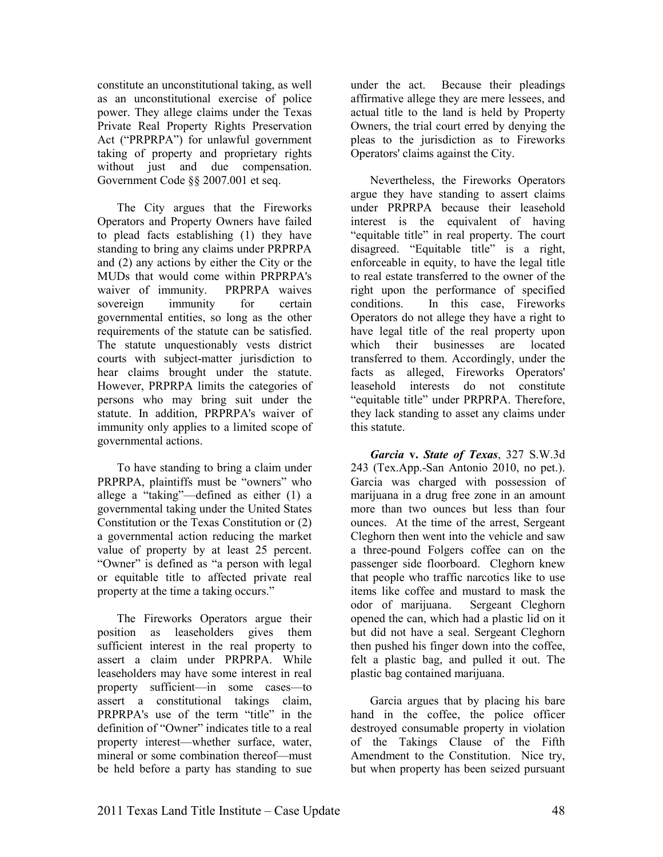constitute an unconstitutional taking, as well as an unconstitutional exercise of police power. They allege claims under the Texas Private Real Property Rights Preservation Act ("PRPRPA") for unlawful government taking of property and proprietary rights without just and due compensation. Government Code §§ 2007.001 et seq.

The City argues that the Fireworks Operators and Property Owners have failed to plead facts establishing (1) they have standing to bring any claims under PRPRPA and (2) any actions by either the City or the MUDs that would come within PRPRPA's waiver of immunity. PRPRPA waives sovereign immunity for certain governmental entities, so long as the other requirements of the statute can be satisfied. The statute unquestionably vests district courts with subject-matter jurisdiction to hear claims brought under the statute. However, PRPRPA limits the categories of persons who may bring suit under the statute. In addition, PRPRPA's waiver of immunity only applies to a limited scope of governmental actions.

To have standing to bring a claim under PRPRPA, plaintiffs must be "owners" who allege a "taking"—defined as either (1) a governmental taking under the United States Constitution or the Texas Constitution or (2) a governmental action reducing the market value of property by at least 25 percent. "Owner" is defined as "a person with legal or equitable title to affected private real property at the time a taking occurs."

The Fireworks Operators argue their position as leaseholders gives them sufficient interest in the real property to assert a claim under PRPRPA. While leaseholders may have some interest in real property sufficient—in some cases—to assert a constitutional takings claim, PRPRPA's use of the term "title" in the definition of "Owner" indicates title to a real property interest—whether surface, water, mineral or some combination thereof—must be held before a party has standing to sue

under the act. Because their pleadings affirmative allege they are mere lessees, and actual title to the land is held by Property Owners, the trial court erred by denying the pleas to the jurisdiction as to Fireworks Operators' claims against the City.

Nevertheless, the Fireworks Operators argue they have standing to assert claims under PRPRPA because their leasehold interest is the equivalent of having "equitable title" in real property. The court disagreed. "Equitable title" is a right, enforceable in equity, to have the legal title to real estate transferred to the owner of the right upon the performance of specified conditions. In this case, Fireworks Operators do not allege they have a right to have legal title of the real property upon<br>which their businesses are located which their businesses are located transferred to them. Accordingly, under the facts as alleged, Fireworks Operators' leasehold interests do not constitute "equitable title" under PRPRPA. Therefore, they lack standing to asset any claims under this statute.

*Garcia* **v.** *State of Texas*, 327 S.W.3d 243 (Tex.App.-San Antonio 2010, no pet.). Garcia was charged with possession of marijuana in a drug free zone in an amount more than two ounces but less than four ounces. At the time of the arrest, Sergeant Cleghorn then went into the vehicle and saw a three-pound Folgers coffee can on the passenger side floorboard. Cleghorn knew that people who traffic narcotics like to use items like coffee and mustard to mask the odor of marijuana. Sergeant Cleghorn opened the can, which had a plastic lid on it but did not have a seal. Sergeant Cleghorn then pushed his finger down into the coffee, felt a plastic bag, and pulled it out. The plastic bag contained marijuana.

Garcia argues that by placing his bare hand in the coffee, the police officer destroyed consumable property in violation of the Takings Clause of the Fifth Amendment to the Constitution. Nice try, but when property has been seized pursuant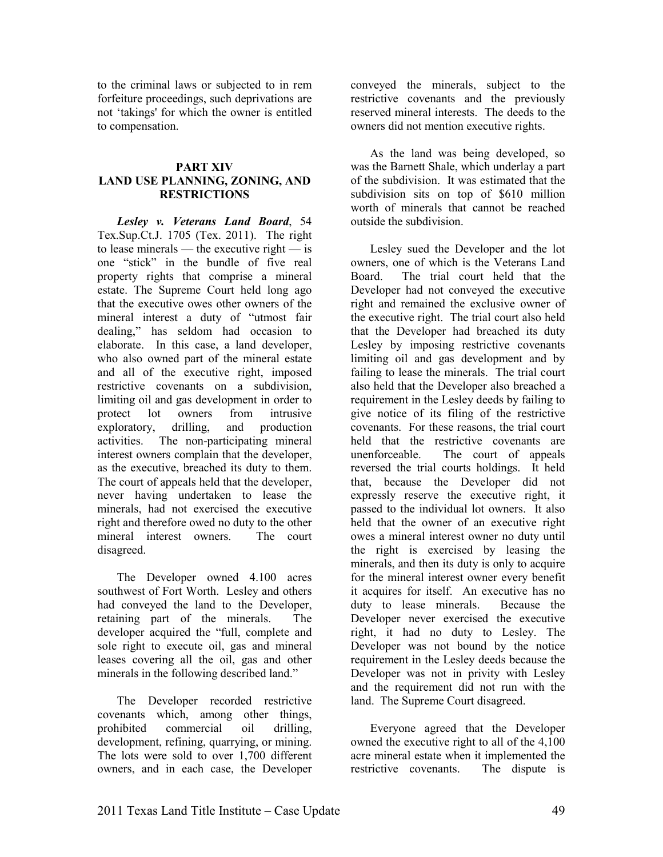to the criminal laws or subjected to in rem forfeiture proceedings, such deprivations are not 'takings' for which the owner is entitled to compensation.

#### **PART XIV LAND USE PLANNING, ZONING, AND RESTRICTIOS**

*Lesley v. Veterans Land Board*, 54 Tex.Sup.Ct.J. 1705 (Tex. 2011). The right to lease minerals — the executive right — is one "stick" in the bundle of five real property rights that comprise a mineral estate. The Supreme Court held long ago that the executive owes other owners of the mineral interest a duty of "utmost fair dealing," has seldom had occasion to elaborate. In this case, a land developer, who also owned part of the mineral estate and all of the executive right, imposed restrictive covenants on a subdivision, limiting oil and gas development in order to protect lot owners from intrusive exploratory, drilling, and production activities. The non-participating mineral interest owners complain that the developer, as the executive, breached its duty to them. The court of appeals held that the developer, never having undertaken to lease the minerals, had not exercised the executive right and therefore owed no duty to the other mineral interest owners. The court disagreed.

The Developer owned 4.100 acres southwest of Fort Worth. Lesley and others had conveyed the land to the Developer, retaining part of the minerals. The developer acquired the "full, complete and sole right to execute oil, gas and mineral leases covering all the oil, gas and other minerals in the following described land."

The Developer recorded restrictive covenants which, among other things, prohibited commercial oil drilling, development, refining, quarrying, or mining. The lots were sold to over 1,700 different owners, and in each case, the Developer

conveyed the minerals, subject to the restrictive covenants and the previously reserved mineral interests. The deeds to the owners did not mention executive rights.

As the land was being developed, so was the Barnett Shale, which underlay a part of the subdivision. It was estimated that the subdivision sits on top of \$610 million worth of minerals that cannot be reached outside the subdivision.

Lesley sued the Developer and the lot owners, one of which is the Veterans Land Board. The trial court held that the Developer had not conveyed the executive right and remained the exclusive owner of the executive right. The trial court also held that the Developer had breached its duty Lesley by imposing restrictive covenants limiting oil and gas development and by failing to lease the minerals. The trial court also held that the Developer also breached a requirement in the Lesley deeds by failing to give notice of its filing of the restrictive covenants. For these reasons, the trial court held that the restrictive covenants are unenforceable. The court of appeals reversed the trial courts holdings. It held that, because the Developer did not expressly reserve the executive right, it passed to the individual lot owners. It also held that the owner of an executive right owes a mineral interest owner no duty until the right is exercised by leasing the minerals, and then its duty is only to acquire for the mineral interest owner every benefit it acquires for itself. An executive has no duty to lease minerals. Because the Developer never exercised the executive right, it had no duty to Lesley. The Developer was not bound by the notice requirement in the Lesley deeds because the Developer was not in privity with Lesley and the requirement did not run with the land. The Supreme Court disagreed.

Everyone agreed that the Developer owned the executive right to all of the 4,100 acre mineral estate when it implemented the restrictive covenants. The dispute is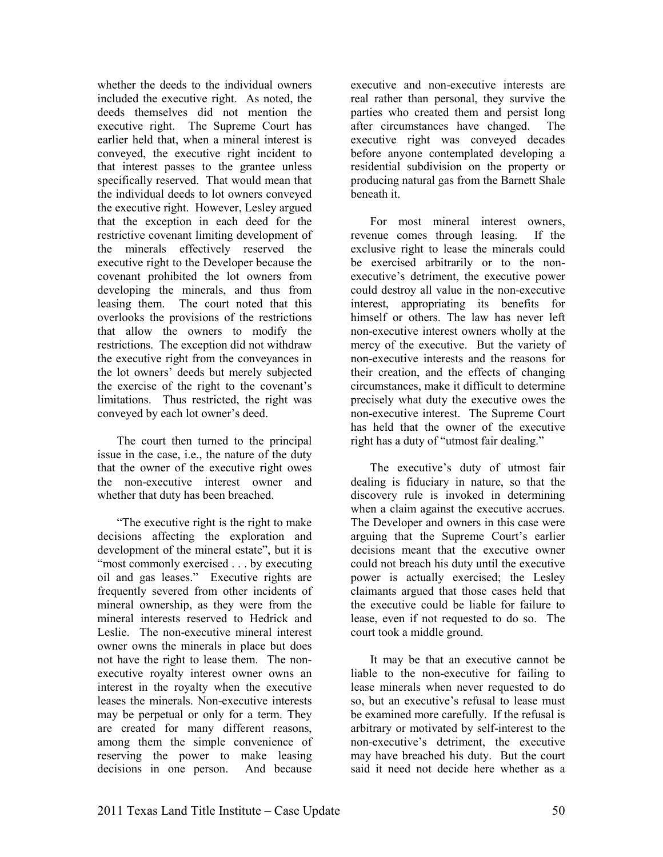whether the deeds to the individual owners included the executive right. As noted, the deeds themselves did not mention the executive right. The Supreme Court has earlier held that, when a mineral interest is conveyed, the executive right incident to that interest passes to the grantee unless specifically reserved. That would mean that the individual deeds to lot owners conveyed the executive right. However, Lesley argued that the exception in each deed for the restrictive covenant limiting development of the minerals effectively reserved the executive right to the Developer because the covenant prohibited the lot owners from developing the minerals, and thus from leasing them. The court noted that this overlooks the provisions of the restrictions that allow the owners to modify the restrictions. The exception did not withdraw the executive right from the conveyances in the lot owners' deeds but merely subjected the exercise of the right to the covenant's limitations. Thus restricted, the right was conveyed by each lot owner's deed.

The court then turned to the principal issue in the case, i.e., the nature of the duty that the owner of the executive right owes the non-executive interest owner and whether that duty has been breached.

"The executive right is the right to make decisions affecting the exploration and development of the mineral estate", but it is "most commonly exercised . . . by executing oil and gas leases." Executive rights are frequently severed from other incidents of mineral ownership, as they were from the mineral interests reserved to Hedrick and Leslie. The non-executive mineral interest owner owns the minerals in place but does not have the right to lease them. The nonexecutive royalty interest owner owns an interest in the royalty when the executive leases the minerals. Non-executive interests may be perpetual or only for a term. They are created for many different reasons, among them the simple convenience of reserving the power to make leasing decisions in one person. And because

executive and non-executive interests are real rather than personal, they survive the parties who created them and persist long after circumstances have changed. The executive right was conveyed decades before anyone contemplated developing a residential subdivision on the property or producing natural gas from the Barnett Shale beneath it.

For most mineral interest owners, revenue comes through leasing. If the exclusive right to lease the minerals could be exercised arbitrarily or to the nonexecutive's detriment, the executive power could destroy all value in the non-executive interest, appropriating its benefits for himself or others. The law has never left non-executive interest owners wholly at the mercy of the executive. But the variety of non-executive interests and the reasons for their creation, and the effects of changing circumstances, make it difficult to determine precisely what duty the executive owes the non-executive interest. The Supreme Court has held that the owner of the executive right has a duty of "utmost fair dealing."

The executive's duty of utmost fair dealing is fiduciary in nature, so that the discovery rule is invoked in determining when a claim against the executive accrues. The Developer and owners in this case were arguing that the Supreme Court's earlier decisions meant that the executive owner could not breach his duty until the executive power is actually exercised; the Lesley claimants argued that those cases held that the executive could be liable for failure to lease, even if not requested to do so. The court took a middle ground.

It may be that an executive cannot be liable to the non-executive for failing to lease minerals when never requested to do so, but an executive's refusal to lease must be examined more carefully. If the refusal is arbitrary or motivated by self-interest to the non-executive's detriment, the executive may have breached his duty. But the court said it need not decide here whether as a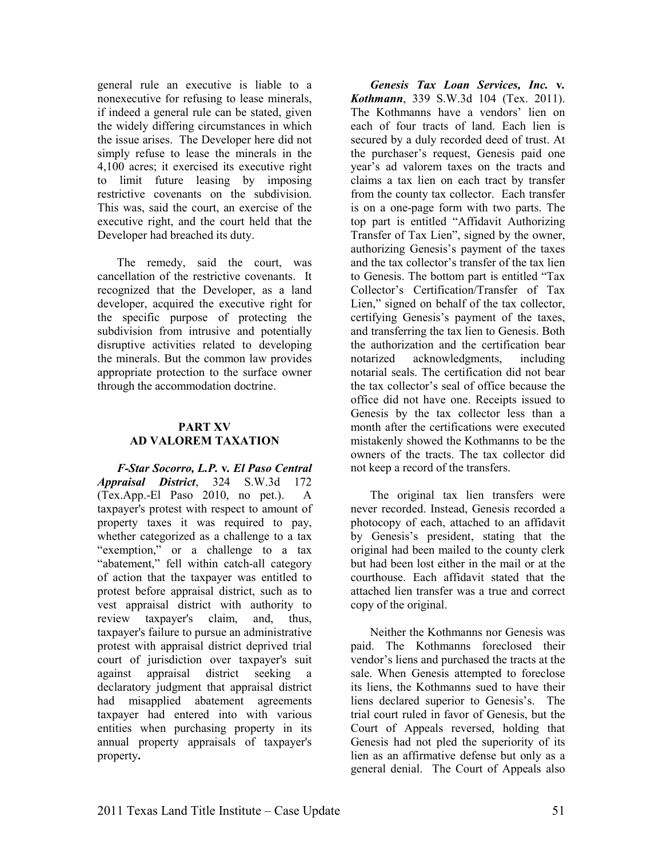general rule an executive is liable to a nonexecutive for refusing to lease minerals, if indeed a general rule can be stated, given the widely differing circumstances in which the issue arises. The Developer here did not simply refuse to lease the minerals in the 4,100 acres; it exercised its executive right to limit future leasing by imposing restrictive covenants on the subdivision. This was, said the court, an exercise of the executive right, and the court held that the Developer had breached its duty.

The remedy, said the court, was cancellation of the restrictive covenants. It recognized that the Developer, as a land developer, acquired the executive right for the specific purpose of protecting the subdivision from intrusive and potentially disruptive activities related to developing the minerals. But the common law provides appropriate protection to the surface owner through the accommodation doctrine.

#### **PART XV AD VALOREM TAXATION**

*F-Star Socorro, L.P.* **v***. El Paso Central Appraisal District*, 324 S.W.3d 172 (Tex.App.-El Paso 2010, no pet.). A taxpayer's protest with respect to amount of property taxes it was required to pay, whether categorized as a challenge to a tax "exemption," or a challenge to a tax "abatement," fell within catch-all category of action that the taxpayer was entitled to protest before appraisal district, such as to vest appraisal district with authority to review taxpayer's claim, and, thus, taxpayer's failure to pursue an administrative protest with appraisal district deprived trial court of jurisdiction over taxpayer's suit against appraisal district seeking a declaratory judgment that appraisal district had misapplied abatement agreements taxpayer had entered into with various entities when purchasing property in its annual property appraisals of taxpayer's property**.** 

*Genesis Tax Loan Services, Inc.* **v***. Kothmann*, 339 S.W.3d 104 (Tex. 2011). The Kothmanns have a vendors' lien on each of four tracts of land. Each lien is secured by a duly recorded deed of trust. At the purchaser's request, Genesis paid one year's ad valorem taxes on the tracts and claims a tax lien on each tract by transfer from the county tax collector. Each transfer is on a one-page form with two parts. The top part is entitled "Affidavit Authorizing Transfer of Tax Lien", signed by the owner, authorizing Genesis's payment of the taxes and the tax collector's transfer of the tax lien to Genesis. The bottom part is entitled "Tax Collector's Certification/Transfer of Tax Lien," signed on behalf of the tax collector, certifying Genesis's payment of the taxes, and transferring the tax lien to Genesis. Both the authorization and the certification bear notarized acknowledgments, including notarial seals. The certification did not bear the tax collector's seal of office because the office did not have one. Receipts issued to Genesis by the tax collector less than a month after the certifications were executed mistakenly showed the Kothmanns to be the owners of the tracts. The tax collector did not keep a record of the transfers.

The original tax lien transfers were never recorded. Instead, Genesis recorded a photocopy of each, attached to an affidavit by Genesis's president, stating that the original had been mailed to the county clerk but had been lost either in the mail or at the courthouse. Each affidavit stated that the attached lien transfer was a true and correct copy of the original.

Neither the Kothmanns nor Genesis was paid. The Kothmanns foreclosed their vendor's liens and purchased the tracts at the sale. When Genesis attempted to foreclose its liens, the Kothmanns sued to have their liens declared superior to Genesis's. The trial court ruled in favor of Genesis, but the Court of Appeals reversed, holding that Genesis had not pled the superiority of its lien as an affirmative defense but only as a general denial. The Court of Appeals also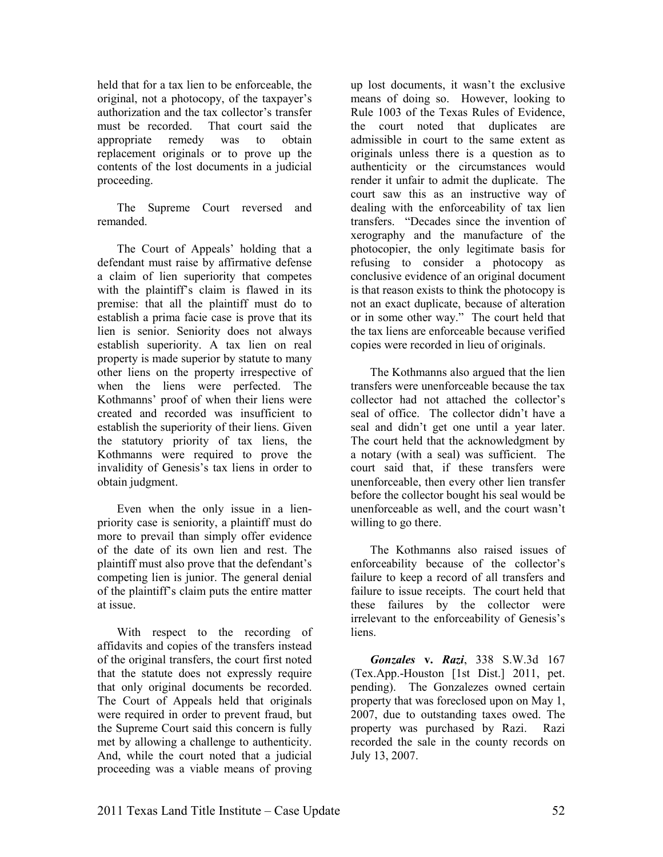held that for a tax lien to be enforceable, the original, not a photocopy, of the taxpayer's authorization and the tax collector's transfer must be recorded. That court said the appropriate remedy was to obtain replacement originals or to prove up the contents of the lost documents in a judicial proceeding.

The Supreme Court reversed and remanded.

The Court of Appeals' holding that a defendant must raise by affirmative defense a claim of lien superiority that competes with the plaintiff's claim is flawed in its premise: that all the plaintiff must do to establish a prima facie case is prove that its lien is senior. Seniority does not always establish superiority. A tax lien on real property is made superior by statute to many other liens on the property irrespective of when the liens were perfected. The Kothmanns' proof of when their liens were created and recorded was insufficient to establish the superiority of their liens. Given the statutory priority of tax liens, the Kothmanns were required to prove the invalidity of Genesis's tax liens in order to obtain judgment.

Even when the only issue in a lienpriority case is seniority, a plaintiff must do more to prevail than simply offer evidence of the date of its own lien and rest. The plaintiff must also prove that the defendant's competing lien is junior. The general denial of the plaintiff's claim puts the entire matter at issue.

With respect to the recording of affidavits and copies of the transfers instead of the original transfers, the court first noted that the statute does not expressly require that only original documents be recorded. The Court of Appeals held that originals were required in order to prevent fraud, but the Supreme Court said this concern is fully met by allowing a challenge to authenticity. And, while the court noted that a judicial proceeding was a viable means of proving

up lost documents, it wasn't the exclusive means of doing so. However, looking to Rule 1003 of the Texas Rules of Evidence, the court noted that duplicates are admissible in court to the same extent as originals unless there is a question as to authenticity or the circumstances would render it unfair to admit the duplicate. The court saw this as an instructive way of dealing with the enforceability of tax lien transfers. "Decades since the invention of xerography and the manufacture of the photocopier, the only legitimate basis for refusing to consider a photocopy as conclusive evidence of an original document is that reason exists to think the photocopy is not an exact duplicate, because of alteration or in some other way." The court held that the tax liens are enforceable because verified copies were recorded in lieu of originals.

The Kothmanns also argued that the lien transfers were unenforceable because the tax collector had not attached the collector's seal of office. The collector didn't have a seal and didn't get one until a year later. The court held that the acknowledgment by a notary (with a seal) was sufficient. The court said that, if these transfers were unenforceable, then every other lien transfer before the collector bought his seal would be unenforceable as well, and the court wasn't willing to go there.

The Kothmanns also raised issues of enforceability because of the collector's failure to keep a record of all transfers and failure to issue receipts. The court held that these failures by the collector were irrelevant to the enforceability of Genesis's liens.

*Gonzales* **v.** *Razi*, 338 S.W.3d 167 (Tex.App.-Houston [1st Dist.] 2011, pet. pending). The Gonzalezes owned certain property that was foreclosed upon on May 1, 2007, due to outstanding taxes owed. The property was purchased by Razi. Razi recorded the sale in the county records on July 13, 2007.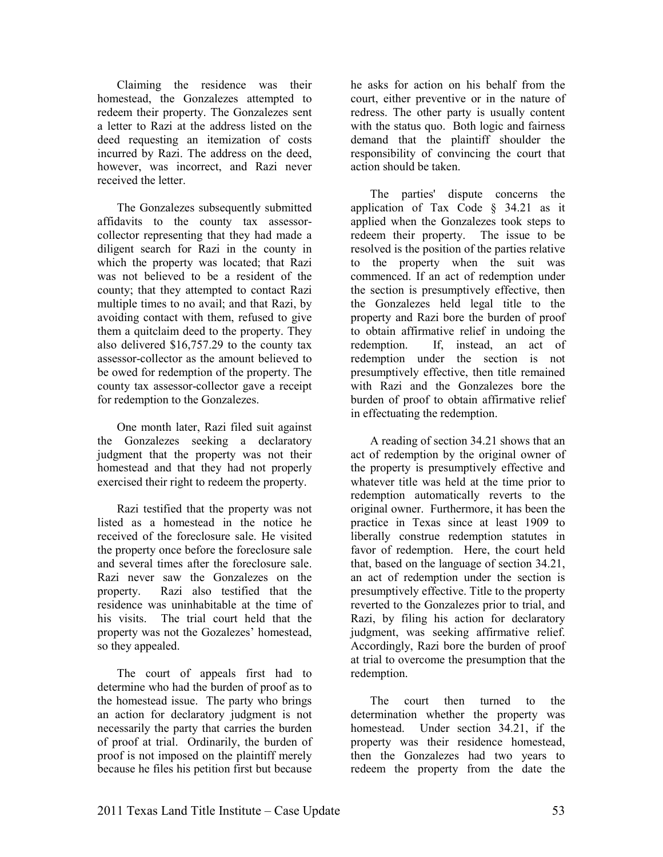Claiming the residence was their homestead, the Gonzalezes attempted to redeem their property. The Gonzalezes sent a letter to Razi at the address listed on the deed requesting an itemization of costs incurred by Razi. The address on the deed, however, was incorrect, and Razi never received the letter.

The Gonzalezes subsequently submitted affidavits to the county tax assessorcollector representing that they had made a diligent search for Razi in the county in which the property was located; that Razi was not believed to be a resident of the county; that they attempted to contact Razi multiple times to no avail; and that Razi, by avoiding contact with them, refused to give them a quitclaim deed to the property. They also delivered \$16,757.29 to the county tax assessor-collector as the amount believed to be owed for redemption of the property. The county tax assessor-collector gave a receipt for redemption to the Gonzalezes.

One month later, Razi filed suit against the Gonzalezes seeking a declaratory judgment that the property was not their homestead and that they had not properly exercised their right to redeem the property.

Razi testified that the property was not listed as a homestead in the notice he received of the foreclosure sale. He visited the property once before the foreclosure sale and several times after the foreclosure sale. Razi never saw the Gonzalezes on the property. Razi also testified that the residence was uninhabitable at the time of his visits. The trial court held that the property was not the Gozalezes' homestead, so they appealed.

The court of appeals first had to determine who had the burden of proof as to the homestead issue. The party who brings an action for declaratory judgment is not necessarily the party that carries the burden of proof at trial. Ordinarily, the burden of proof is not imposed on the plaintiff merely because he files his petition first but because

he asks for action on his behalf from the court, either preventive or in the nature of redress. The other party is usually content with the status quo. Both logic and fairness demand that the plaintiff shoulder the responsibility of convincing the court that action should be taken.

The parties' dispute concerns the application of Tax Code § 34.21 as it applied when the Gonzalezes took steps to redeem their property. The issue to be resolved is the position of the parties relative to the property when the suit was commenced. If an act of redemption under the section is presumptively effective, then the Gonzalezes held legal title to the property and Razi bore the burden of proof to obtain affirmative relief in undoing the redemption. If, instead, an act of redemption under the section is not presumptively effective, then title remained with Razi and the Gonzalezes bore the burden of proof to obtain affirmative relief in effectuating the redemption.

A reading of section 34.21 shows that an act of redemption by the original owner of the property is presumptively effective and whatever title was held at the time prior to redemption automatically reverts to the original owner. Furthermore, it has been the practice in Texas since at least 1909 to liberally construe redemption statutes in favor of redemption. Here, the court held that, based on the language of section 34.21, an act of redemption under the section is presumptively effective. Title to the property reverted to the Gonzalezes prior to trial, and Razi, by filing his action for declaratory judgment, was seeking affirmative relief. Accordingly, Razi bore the burden of proof at trial to overcome the presumption that the redemption.

The court then turned to the determination whether the property was homestead. Under section 34.21, if the property was their residence homestead, then the Gonzalezes had two years to redeem the property from the date the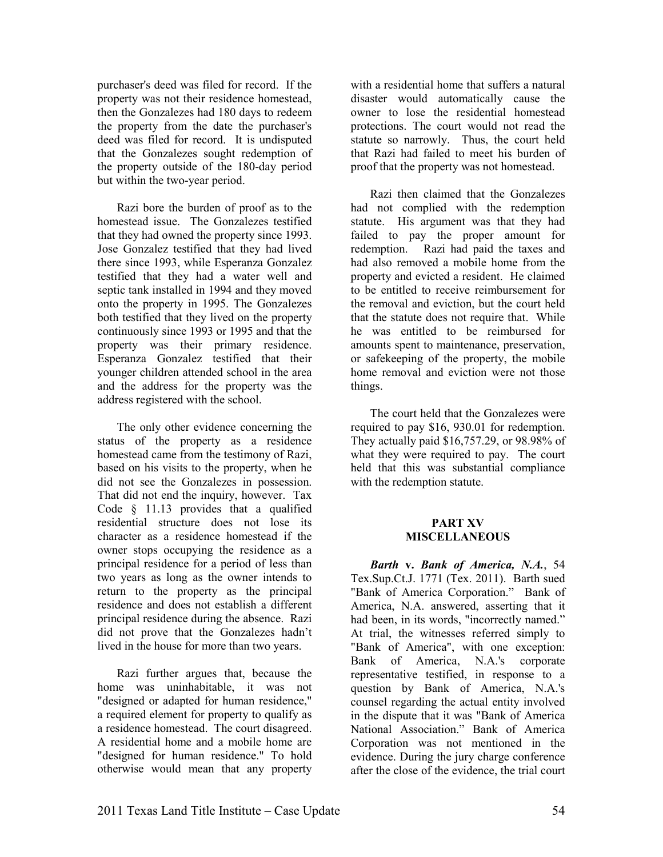purchaser's deed was filed for record. If the property was not their residence homestead, then the Gonzalezes had 180 days to redeem the property from the date the purchaser's deed was filed for record. It is undisputed that the Gonzalezes sought redemption of the property outside of the 180-day period but within the two-year period.

Razi bore the burden of proof as to the homestead issue. The Gonzalezes testified that they had owned the property since 1993. Jose Gonzalez testified that they had lived there since 1993, while Esperanza Gonzalez testified that they had a water well and septic tank installed in 1994 and they moved onto the property in 1995. The Gonzalezes both testified that they lived on the property continuously since 1993 or 1995 and that the property was their primary residence. Esperanza Gonzalez testified that their younger children attended school in the area and the address for the property was the address registered with the school.

The only other evidence concerning the status of the property as a residence homestead came from the testimony of Razi, based on his visits to the property, when he did not see the Gonzalezes in possession. That did not end the inquiry, however. Tax Code § 11.13 provides that a qualified residential structure does not lose its character as a residence homestead if the owner stops occupying the residence as a principal residence for a period of less than two years as long as the owner intends to return to the property as the principal residence and does not establish a different principal residence during the absence. Razi did not prove that the Gonzalezes hadn't lived in the house for more than two years.

Razi further argues that, because the home was uninhabitable, it was not "designed or adapted for human residence," a required element for property to qualify as a residence homestead. The court disagreed. A residential home and a mobile home are "designed for human residence." To hold otherwise would mean that any property

with a residential home that suffers a natural disaster would automatically cause the owner to lose the residential homestead protections. The court would not read the statute so narrowly. Thus, the court held that Razi had failed to meet his burden of proof that the property was not homestead.

Razi then claimed that the Gonzalezes had not complied with the redemption statute. His argument was that they had failed to pay the proper amount for redemption. Razi had paid the taxes and had also removed a mobile home from the property and evicted a resident. He claimed to be entitled to receive reimbursement for the removal and eviction, but the court held that the statute does not require that. While he was entitled to be reimbursed for amounts spent to maintenance, preservation, or safekeeping of the property, the mobile home removal and eviction were not those things.

The court held that the Gonzalezes were required to pay \$16, 930.01 for redemption. They actually paid \$16,757.29, or 98.98% of what they were required to pay. The court held that this was substantial compliance with the redemption statute.

#### **PART XV MISCELLAEOUS**

*Barth v. Bank of America, N.A., 54* Tex.Sup.Ct.J. 1771 (Tex. 2011). Barth sued "Bank of America Corporation." Bank of America, N.A. answered, asserting that it had been, in its words, "incorrectly named." At trial, the witnesses referred simply to "Bank of America", with one exception: Bank of America, N.A.'s corporate representative testified, in response to a question by Bank of America, N.A.'s counsel regarding the actual entity involved in the dispute that it was "Bank of America National Association." Bank of America Corporation was not mentioned in the evidence. During the jury charge conference after the close of the evidence, the trial court